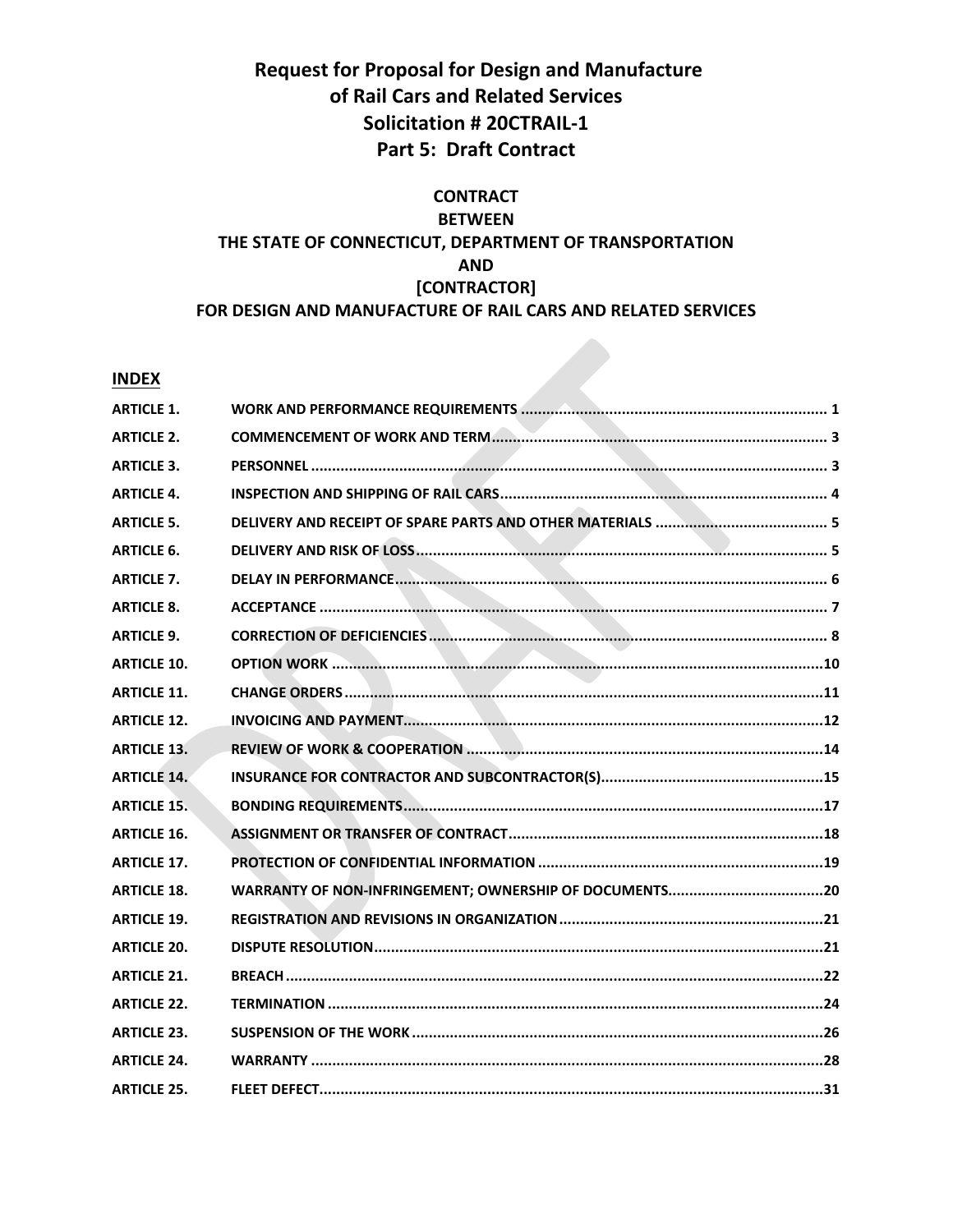## **Request for Proposal for Design and Manufacture of Rail Cars and Related Services Solicitation # 20CTRAIL‐1 Part 5: Draft Contract**

## **CONTRACT BETWEEN THE STATE OF CONNECTICUT, DEPARTMENT OF TRANSPORTATION AND [CONTRACTOR] FOR DESIGN AND MANUFACTURE OF RAIL CARS AND RELATED SERVICES**

## **INDEX**

| <b>ARTICLE 1.</b>  |  |
|--------------------|--|
| <b>ARTICLE 2.</b>  |  |
| <b>ARTICLE 3.</b>  |  |
| <b>ARTICLE 4.</b>  |  |
| <b>ARTICLE 5.</b>  |  |
| <b>ARTICLE 6.</b>  |  |
| <b>ARTICLE 7.</b>  |  |
| <b>ARTICLE 8.</b>  |  |
| <b>ARTICLE 9.</b>  |  |
| <b>ARTICLE 10.</b> |  |
| <b>ARTICLE 11.</b> |  |
| <b>ARTICLE 12.</b> |  |
| <b>ARTICLE 13.</b> |  |
| <b>ARTICLE 14.</b> |  |
| <b>ARTICLE 15.</b> |  |
| <b>ARTICLE 16.</b> |  |
| <b>ARTICLE 17.</b> |  |
| <b>ARTICLE 18.</b> |  |
| <b>ARTICLE 19.</b> |  |
| <b>ARTICLE 20.</b> |  |
| <b>ARTICLE 21.</b> |  |
| <b>ARTICLE 22.</b> |  |
| <b>ARTICLE 23.</b> |  |
| <b>ARTICLE 24.</b> |  |
| <b>ARTICLE 25.</b> |  |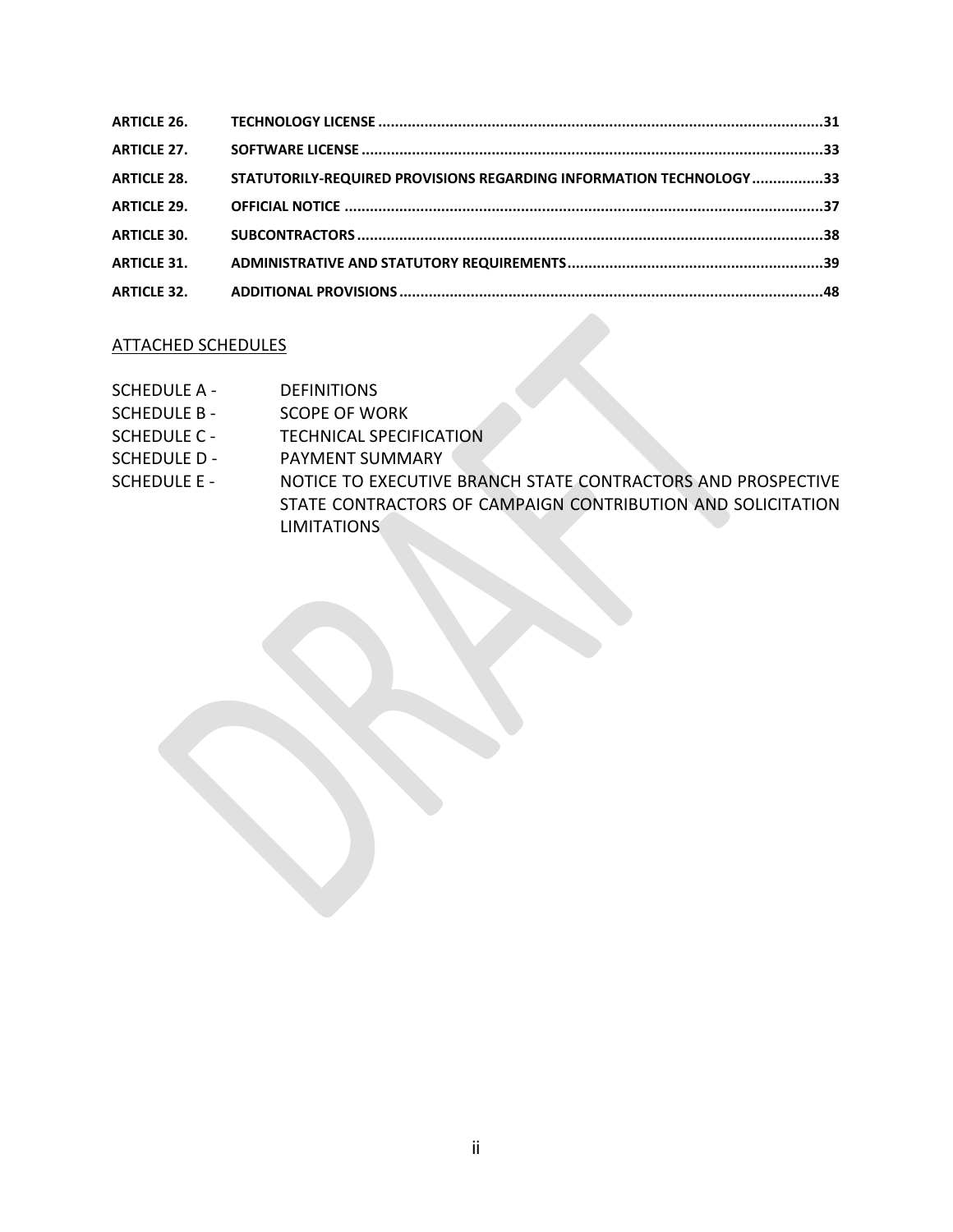| <b>ARTICLE 27.</b> |                                                                     |  |
|--------------------|---------------------------------------------------------------------|--|
| <b>ARTICLE 28.</b> | STATUTORILY-REQUIRED PROVISIONS REGARDING INFORMATION TECHNOLOGY 33 |  |
| <b>ARTICLE 29.</b> |                                                                     |  |
| <b>ARTICLE 30.</b> |                                                                     |  |
| <b>ARTICLE 31.</b> |                                                                     |  |
|                    |                                                                     |  |

## ATTACHED SCHEDULES

- SCHEDULE A DEFINITIONS
- SCHEDULE B SCOPE OF WORK
- SCHEDULE C TECHNICAL SPECIFICATION
- SCHEDULE D PAYMENT SUMMARY
- SCHEDULE E NOTICE TO EXECUTIVE BRANCH STATE CONTRACTORS AND PROSPECTIVE STATE CONTRACTORS OF CAMPAIGN CONTRIBUTION AND SOLICITATION LIMITATIONS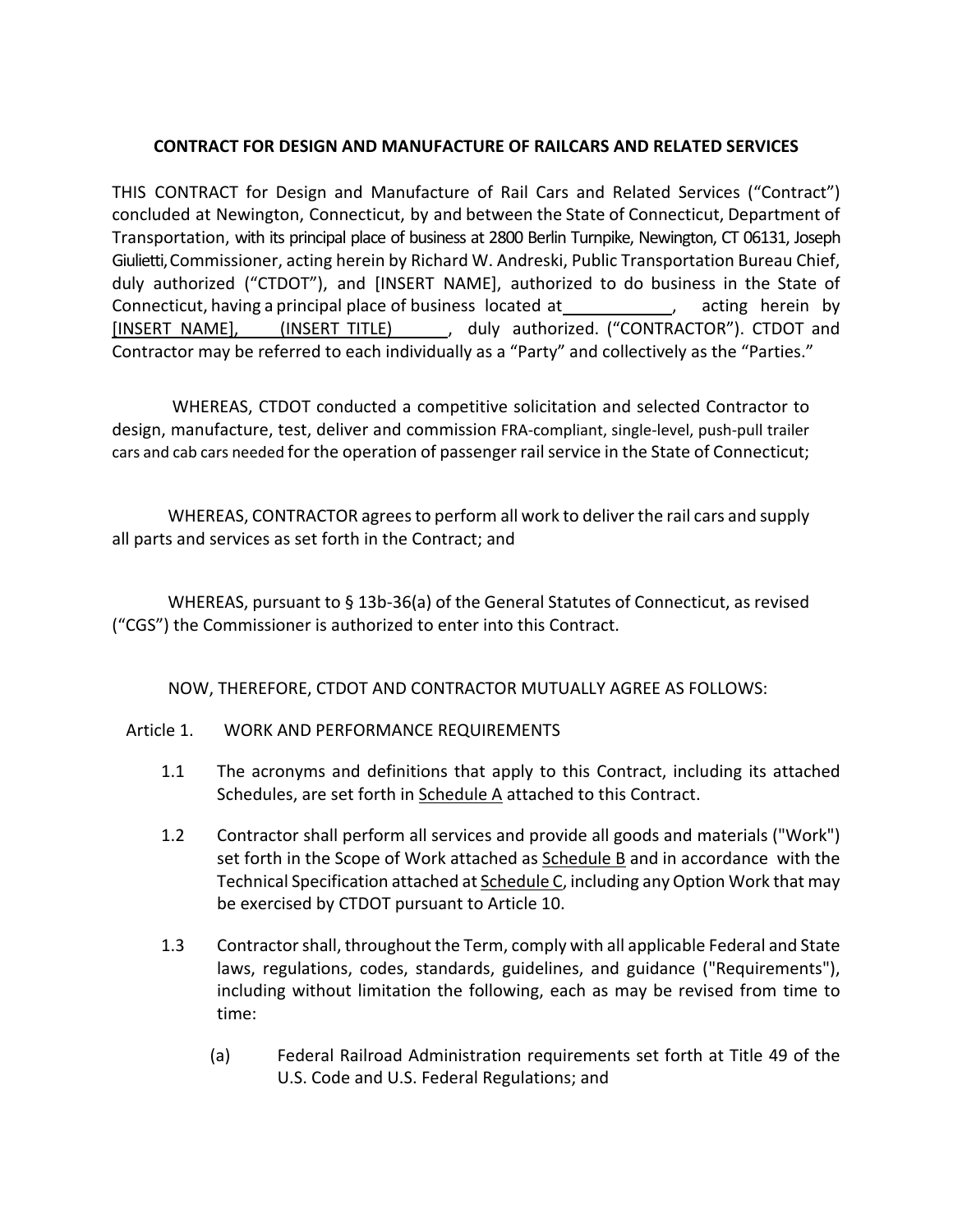## **CONTRACT FOR DESIGN AND MANUFACTURE OF RAILCARS AND RELATED SERVICES**

THIS CONTRACT for Design and Manufacture of Rail Cars and Related Services ("Contract") concluded at Newington, Connecticut, by and between the State of Connecticut, Department of Transportation, with its principal place of business at 2800 Berlin Turnpike, Newington, CT 06131, Joseph Giulietti, Commissioner, acting herein by Richard W. Andreski, Public Transportation Bureau Chief, duly authorized ("CTDOT"), and [INSERT NAME], authorized to do business in the State of Connecticut, having a principal place of business located at  $\qquad \qquad$ , acting herein by [INSERT NAME], (INSERT TITLE) (buly authorized. ("CONTRACTOR"). CTDOT and Contractor may be referred to each individually as a "Party" and collectively as the "Parties."

 WHEREAS, CTDOT conducted a competitive solicitation and selected Contractor to design, manufacture, test, deliver and commission FRA‐compliant, single‐level, push‐pull trailer cars and cab cars needed for the operation of passenger rail service in the State of Connecticut;

WHEREAS, CONTRACTOR agrees to perform all work to deliver the rail cars and supply all parts and services as set forth in the Contract; and

WHEREAS, pursuant to § 13b‐36(a) of the General Statutes of Connecticut, as revised ("CGS") the Commissioner is authorized to enter into this Contract.

NOW, THEREFORE, CTDOT AND CONTRACTOR MUTUALLY AGREE AS FOLLOWS:

## Article 1. WORK AND PERFORMANCE REQUIREMENTS

- 1.1 The acronyms and definitions that apply to this Contract, including its attached Schedules, are set forth in Schedule A attached to this Contract.
- 1.2 Contractor shall perform all services and provide all goods and materials ("Work") set forth in the Scope of Work attached as Schedule B and in accordance with the Technical Specification attached at Schedule C, including any Option Work that may be exercised by CTDOT pursuant to Article 10.
- 1.3 Contractor shall, throughout the Term, comply with all applicable Federal and State laws, regulations, codes, standards, guidelines, and guidance ("Requirements"), including without limitation the following, each as may be revised from time to time:
	- (a) Federal Railroad Administration requirements set forth at Title 49 of the U.S. Code and U.S. Federal Regulations; and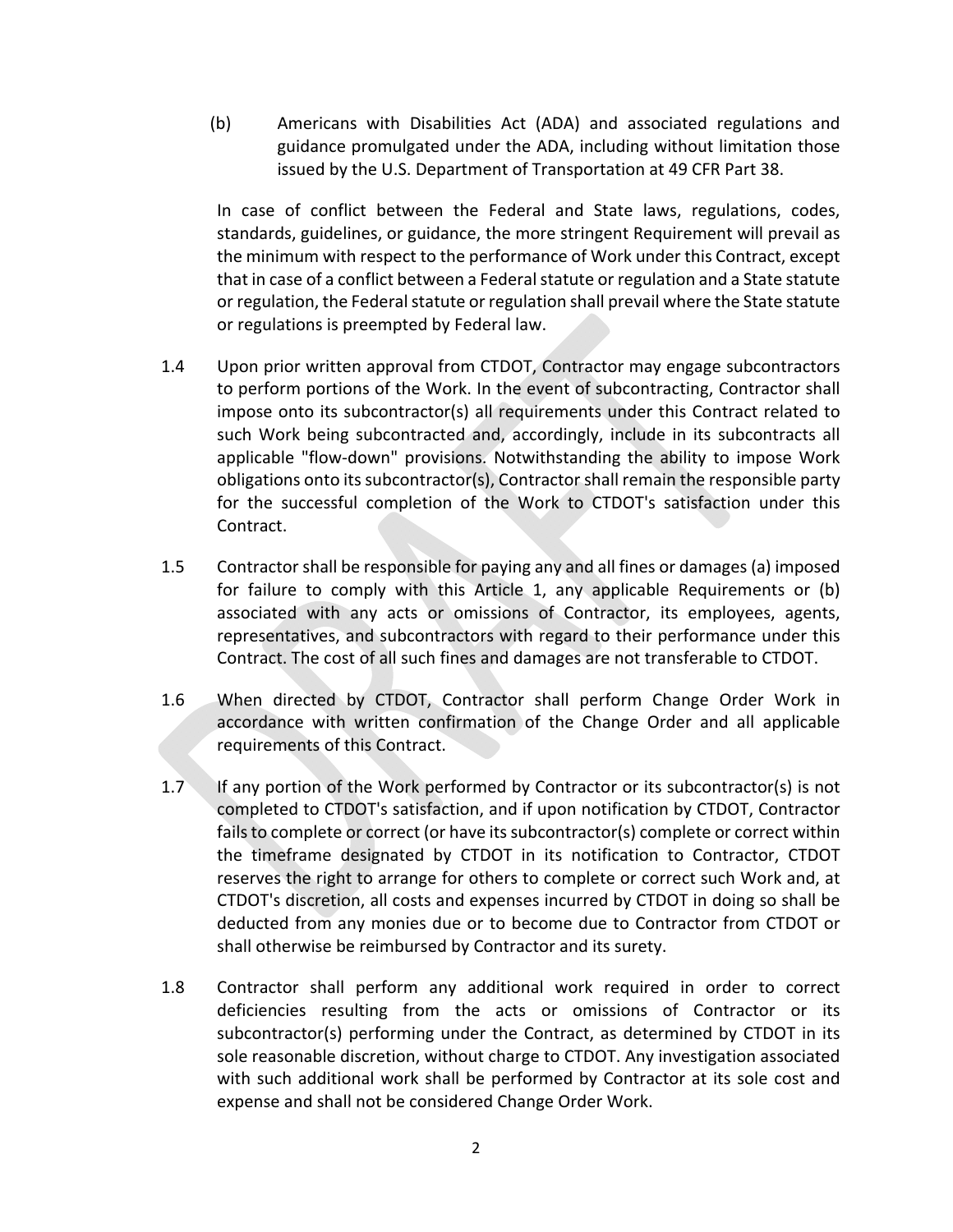(b) Americans with Disabilities Act (ADA) and associated regulations and guidance promulgated under the ADA, including without limitation those issued by the U.S. Department of Transportation at 49 CFR Part 38.

In case of conflict between the Federal and State laws, regulations, codes, standards, guidelines, or guidance, the more stringent Requirement will prevail as the minimum with respect to the performance of Work under this Contract, except that in case of a conflict between a Federal statute or regulation and a State statute or regulation, the Federal statute or regulation shall prevail where the State statute or regulations is preempted by Federal law.

- 1.4 Upon prior written approval from CTDOT, Contractor may engage subcontractors to perform portions of the Work. In the event of subcontracting, Contractor shall impose onto its subcontractor(s) all requirements under this Contract related to such Work being subcontracted and, accordingly, include in its subcontracts all applicable "flow-down" provisions. Notwithstanding the ability to impose Work obligations onto its subcontractor(s), Contractor shall remain the responsible party for the successful completion of the Work to CTDOT's satisfaction under this Contract.
- 1.5 Contractor shall be responsible for paying any and all fines or damages (a) imposed for failure to comply with this Article 1, any applicable Requirements or (b) associated with any acts or omissions of Contractor, its employees, agents, representatives, and subcontractors with regard to their performance under this Contract. The cost of all such fines and damages are not transferable to CTDOT.
- 1.6 When directed by CTDOT, Contractor shall perform Change Order Work in accordance with written confirmation of the Change Order and all applicable requirements of this Contract.
- 1.7 If any portion of the Work performed by Contractor or its subcontractor(s) is not completed to CTDOT's satisfaction, and if upon notification by CTDOT, Contractor fails to complete or correct (or have its subcontractor(s) complete or correct within the timeframe designated by CTDOT in its notification to Contractor, CTDOT reserves the right to arrange for others to complete or correct such Work and, at CTDOT's discretion, all costs and expenses incurred by CTDOT in doing so shall be deducted from any monies due or to become due to Contractor from CTDOT or shall otherwise be reimbursed by Contractor and its surety.
- 1.8 Contractor shall perform any additional work required in order to correct deficiencies resulting from the acts or omissions of Contractor or its subcontractor(s) performing under the Contract, as determined by CTDOT in its sole reasonable discretion, without charge to CTDOT. Any investigation associated with such additional work shall be performed by Contractor at its sole cost and expense and shall not be considered Change Order Work.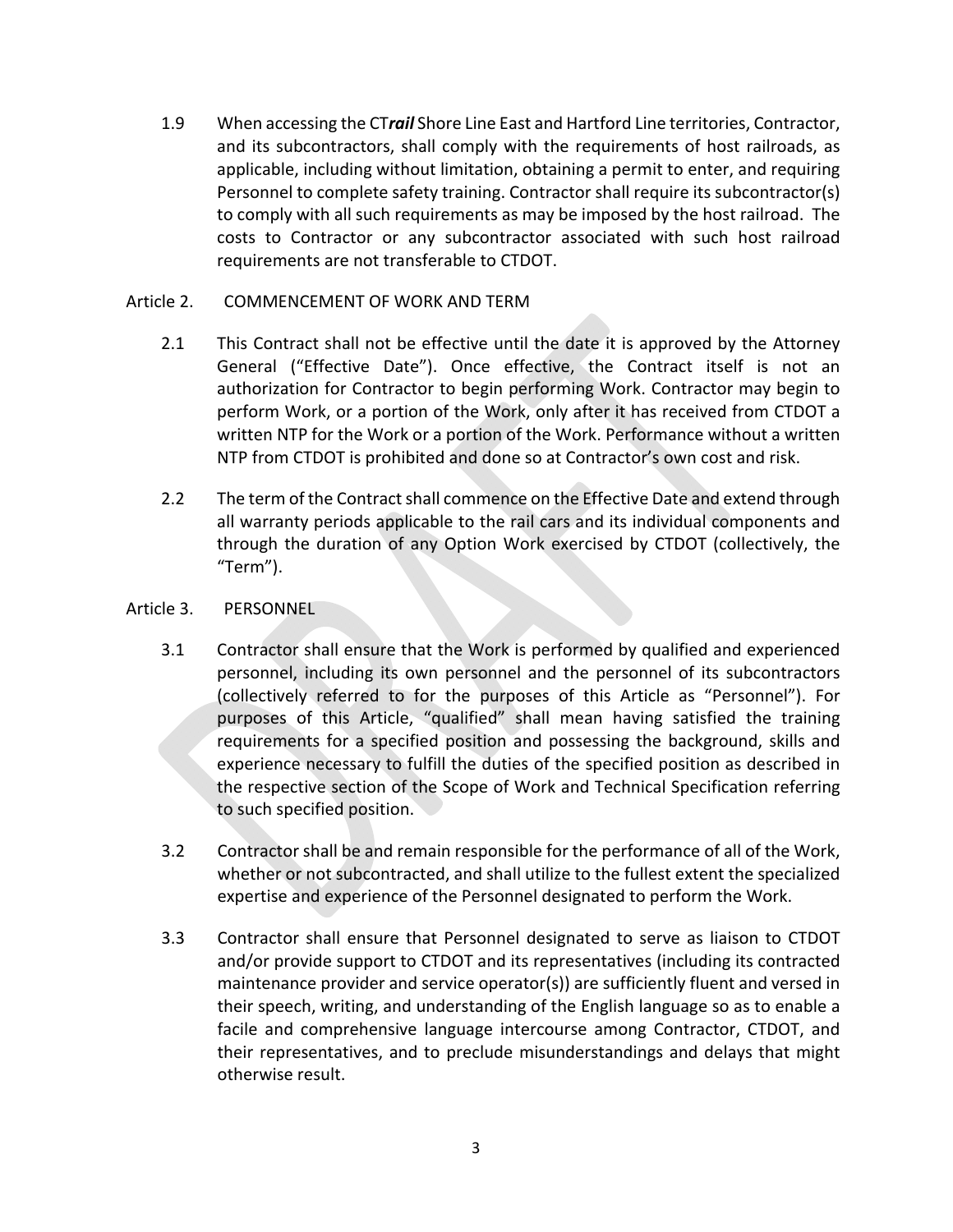1.9 When accessing the CT*rail* Shore Line East and Hartford Line territories, Contractor, and its subcontractors, shall comply with the requirements of host railroads, as applicable, including without limitation, obtaining a permit to enter, and requiring Personnel to complete safety training. Contractor shall require its subcontractor(s) to comply with all such requirements as may be imposed by the host railroad. The costs to Contractor or any subcontractor associated with such host railroad requirements are not transferable to CTDOT.

## Article 2. COMMENCEMENT OF WORK AND TERM

- 2.1 This Contract shall not be effective until the date it is approved by the Attorney General ("Effective Date"). Once effective, the Contract itself is not an authorization for Contractor to begin performing Work. Contractor may begin to perform Work, or a portion of the Work, only after it has received from CTDOT a written NTP for the Work or a portion of the Work. Performance without a written NTP from CTDOT is prohibited and done so at Contractor's own cost and risk.
- 2.2 The term of the Contract shall commence on the Effective Date and extend through all warranty periods applicable to the rail cars and its individual components and through the duration of any Option Work exercised by CTDOT (collectively, the "Term").
- Article 3. PERSONNEL
	- 3.1 Contractor shall ensure that the Work is performed by qualified and experienced personnel, including its own personnel and the personnel of its subcontractors (collectively referred to for the purposes of this Article as "Personnel"). For purposes of this Article, "qualified" shall mean having satisfied the training requirements for a specified position and possessing the background, skills and experience necessary to fulfill the duties of the specified position as described in the respective section of the Scope of Work and Technical Specification referring to such specified position.
	- 3.2 Contractor shall be and remain responsible for the performance of all of the Work, whether or not subcontracted, and shall utilize to the fullest extent the specialized expertise and experience of the Personnel designated to perform the Work.
	- 3.3 Contractor shall ensure that Personnel designated to serve as liaison to CTDOT and/or provide support to CTDOT and its representatives (including its contracted maintenance provider and service operator(s)) are sufficiently fluent and versed in their speech, writing, and understanding of the English language so as to enable a facile and comprehensive language intercourse among Contractor, CTDOT, and their representatives, and to preclude misunderstandings and delays that might otherwise result.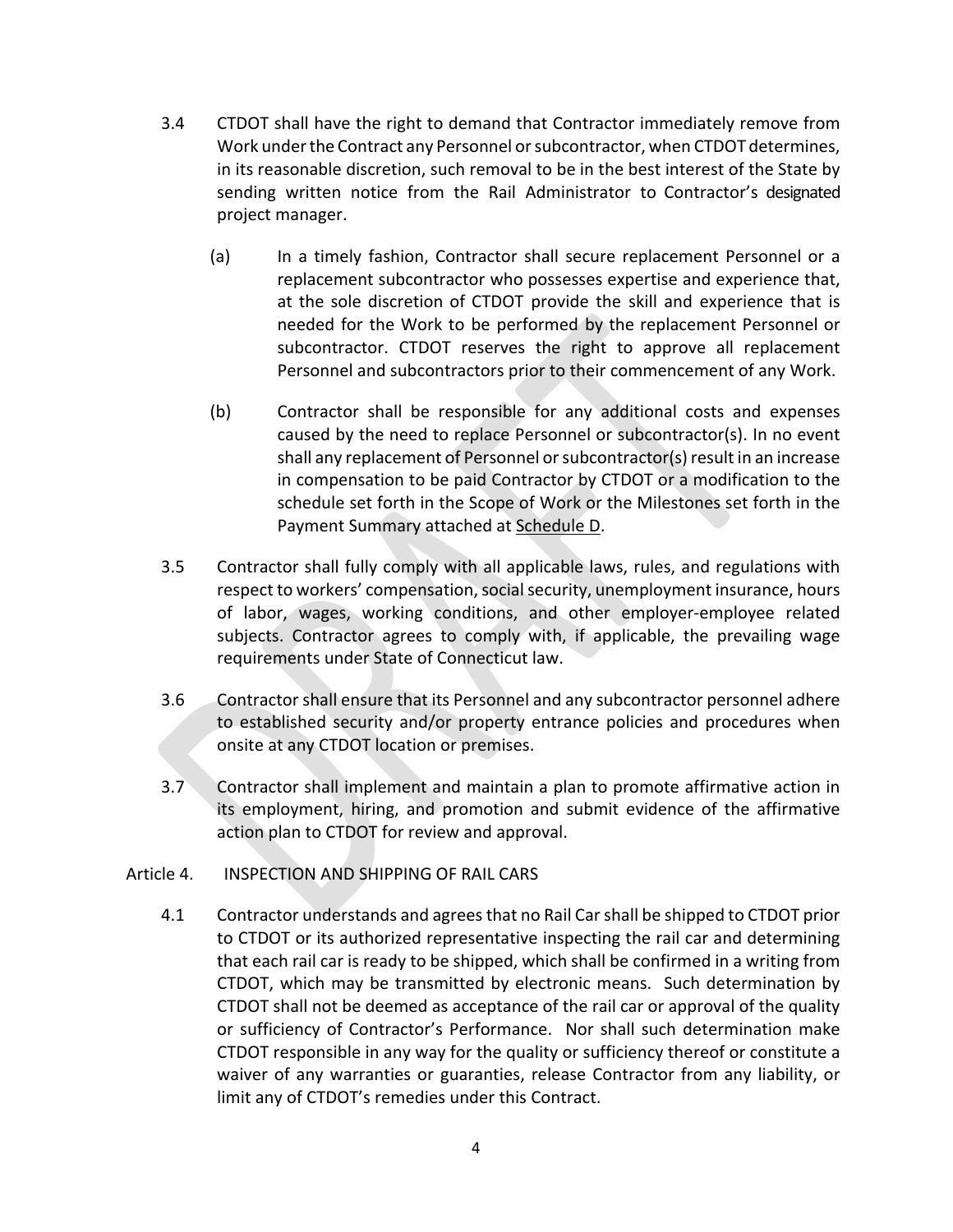- 3.4 CTDOT shall have the right to demand that Contractor immediately remove from Work under the Contract any Personnel or subcontractor, when CTDOT determines, in its reasonable discretion, such removal to be in the best interest of the State by sending written notice from the Rail Administrator to Contractor's designated project manager.
	- (a) In a timely fashion, Contractor shall secure replacement Personnel or a replacement subcontractor who possesses expertise and experience that, at the sole discretion of CTDOT provide the skill and experience that is needed for the Work to be performed by the replacement Personnel or subcontractor. CTDOT reserves the right to approve all replacement Personnel and subcontractors prior to their commencement of any Work.
	- (b) Contractor shall be responsible for any additional costs and expenses caused by the need to replace Personnel or subcontractor(s). In no event shall any replacement of Personnel or subcontractor(s) result in an increase in compensation to be paid Contractor by CTDOT or a modification to the schedule set forth in the Scope of Work or the Milestones set forth in the Payment Summary attached at Schedule D.
- 3.5 Contractor shall fully comply with all applicable laws, rules, and regulations with respect to workers' compensation, social security, unemployment insurance, hours of labor, wages, working conditions, and other employer‐employee related subjects. Contractor agrees to comply with, if applicable, the prevailing wage requirements under State of Connecticut law.
- 3.6 Contractor shall ensure that its Personnel and any subcontractor personnel adhere to established security and/or property entrance policies and procedures when onsite at any CTDOT location or premises.
- 3.7 Contractor shall implement and maintain a plan to promote affirmative action in its employment, hiring, and promotion and submit evidence of the affirmative action plan to CTDOT for review and approval.
- Article 4. INSPECTION AND SHIPPING OF RAIL CARS
	- 4.1 Contractor understands and agrees that no Rail Car shall be shipped to CTDOT prior to CTDOT or its authorized representative inspecting the rail car and determining that each rail car is ready to be shipped, which shall be confirmed in a writing from CTDOT, which may be transmitted by electronic means. Such determination by CTDOT shall not be deemed as acceptance of the rail car or approval of the quality or sufficiency of Contractor's Performance. Nor shall such determination make CTDOT responsible in any way for the quality or sufficiency thereof or constitute a waiver of any warranties or guaranties, release Contractor from any liability, or limit any of CTDOT's remedies under this Contract.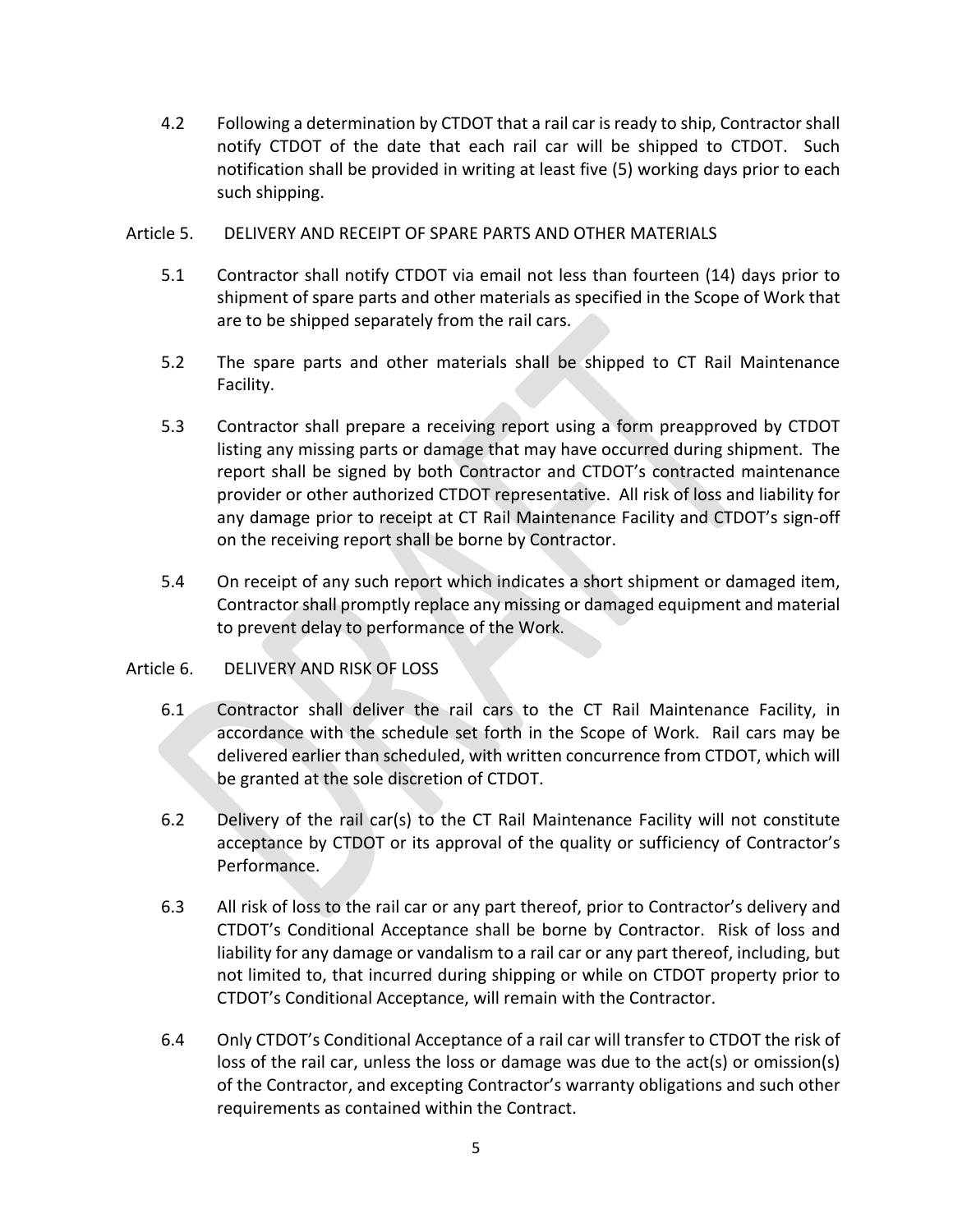- 4.2 Following a determination by CTDOT that a rail car is ready to ship, Contractor shall notify CTDOT of the date that each rail car will be shipped to CTDOT. Such notification shall be provided in writing at least five (5) working days prior to each such shipping.
- Article 5. DELIVERY AND RECEIPT OF SPARE PARTS AND OTHER MATERIALS
	- 5.1 Contractor shall notify CTDOT via email not less than fourteen (14) days prior to shipment of spare parts and other materials as specified in the Scope of Work that are to be shipped separately from the rail cars.
	- 5.2 The spare parts and other materials shall be shipped to CT Rail Maintenance Facility.
	- 5.3 Contractor shall prepare a receiving report using a form preapproved by CTDOT listing any missing parts or damage that may have occurred during shipment. The report shall be signed by both Contractor and CTDOT's contracted maintenance provider or other authorized CTDOT representative. All risk of loss and liability for any damage prior to receipt at CT Rail Maintenance Facility and CTDOT's sign-off on the receiving report shall be borne by Contractor.
	- 5.4 On receipt of any such report which indicates a short shipment or damaged item, Contractor shall promptly replace any missing or damaged equipment and material to prevent delay to performance of the Work.

## Article 6. DELIVERY AND RISK OF LOSS

- 6.1 Contractor shall deliver the rail cars to the CT Rail Maintenance Facility, in accordance with the schedule set forth in the Scope of Work. Rail cars may be delivered earlier than scheduled, with written concurrence from CTDOT, which will be granted at the sole discretion of CTDOT.
- 6.2 Delivery of the rail car(s) to the CT Rail Maintenance Facility will not constitute acceptance by CTDOT or its approval of the quality or sufficiency of Contractor's Performance.
- 6.3 All risk of loss to the rail car or any part thereof, prior to Contractor's delivery and CTDOT's Conditional Acceptance shall be borne by Contractor. Risk of loss and liability for any damage or vandalism to a rail car or any part thereof, including, but not limited to, that incurred during shipping or while on CTDOT property prior to CTDOT's Conditional Acceptance, will remain with the Contractor.
- 6.4 Only CTDOT's Conditional Acceptance of a rail car will transfer to CTDOT the risk of loss of the rail car, unless the loss or damage was due to the act(s) or omission(s) of the Contractor, and excepting Contractor's warranty obligations and such other requirements as contained within the Contract.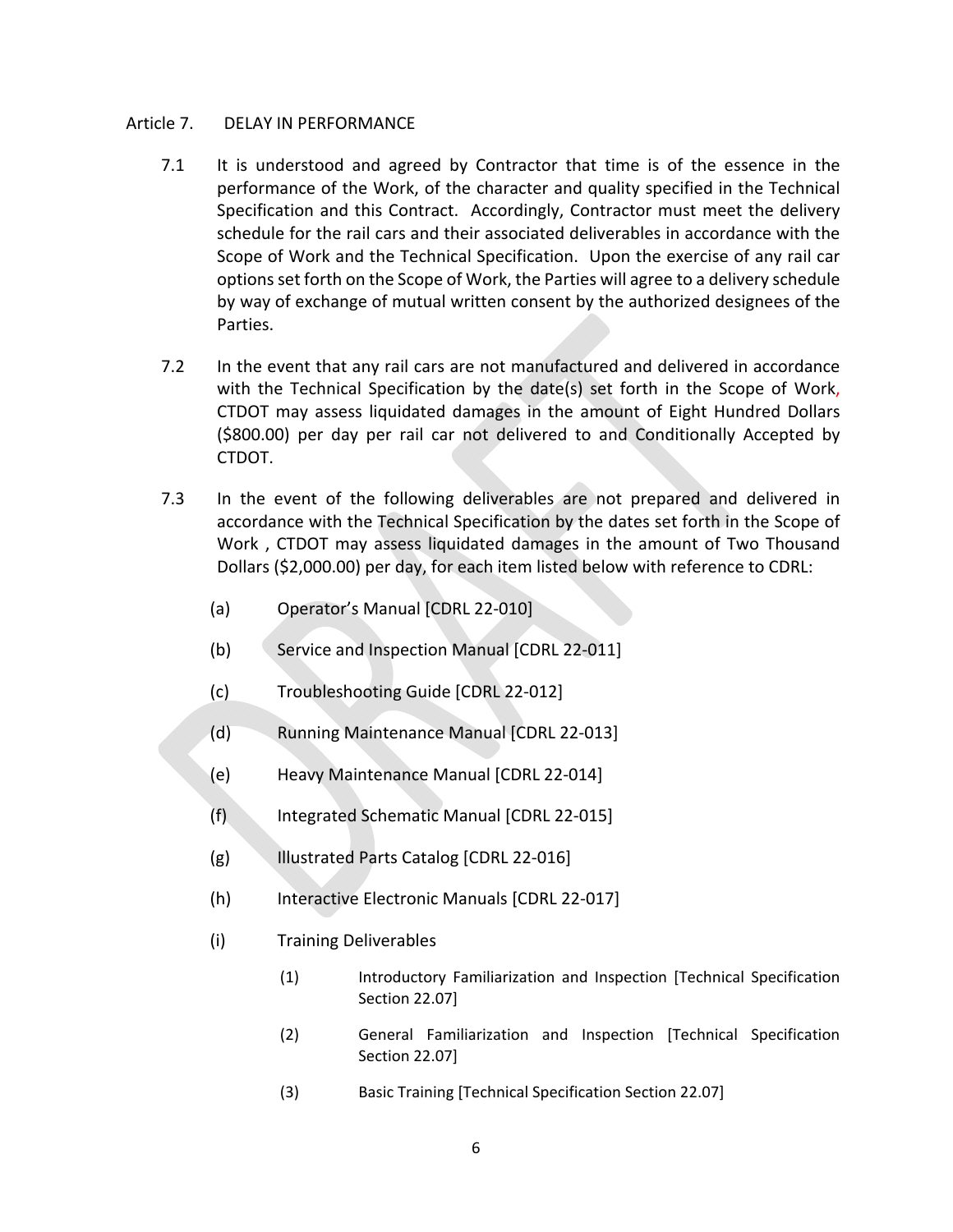### Article 7. DELAY IN PERFORMANCE

- 7.1 It is understood and agreed by Contractor that time is of the essence in the performance of the Work, of the character and quality specified in the Technical Specification and this Contract. Accordingly, Contractor must meet the delivery schedule for the rail cars and their associated deliverables in accordance with the Scope of Work and the Technical Specification. Upon the exercise of any rail car options set forth on the Scope of Work, the Parties will agree to a delivery schedule by way of exchange of mutual written consent by the authorized designees of the Parties.
- 7.2 In the event that any rail cars are not manufactured and delivered in accordance with the Technical Specification by the date(s) set forth in the Scope of Work, CTDOT may assess liquidated damages in the amount of Eight Hundred Dollars (\$800.00) per day per rail car not delivered to and Conditionally Accepted by CTDOT.
- 7.3 In the event of the following deliverables are not prepared and delivered in accordance with the Technical Specification by the dates set forth in the Scope of Work, CTDOT may assess liquidated damages in the amount of Two Thousand Dollars (\$2,000.00) per day, for each item listed below with reference to CDRL:
	- (a) Operator's Manual [CDRL 22‐010]
	- (b) Service and Inspection Manual [CDRL 22‐011]
	- (c) Troubleshooting Guide [CDRL 22‐012]
	- (d) Running Maintenance Manual [CDRL 22‐013]
	- (e) Heavy Maintenance Manual [CDRL 22‐014]
	- (f) Integrated Schematic Manual [CDRL 22‐015]
	- (g) Illustrated Parts Catalog [CDRL 22‐016]
	- (h) Interactive Electronic Manuals [CDRL 22‐017]
	- (i) Training Deliverables
		- (1) Introductory Familiarization and Inspection [Technical Specification Section 22.07]
		- (2) General Familiarization and Inspection [Technical Specification Section 22.07]
		- (3) Basic Training [Technical Specification Section 22.07]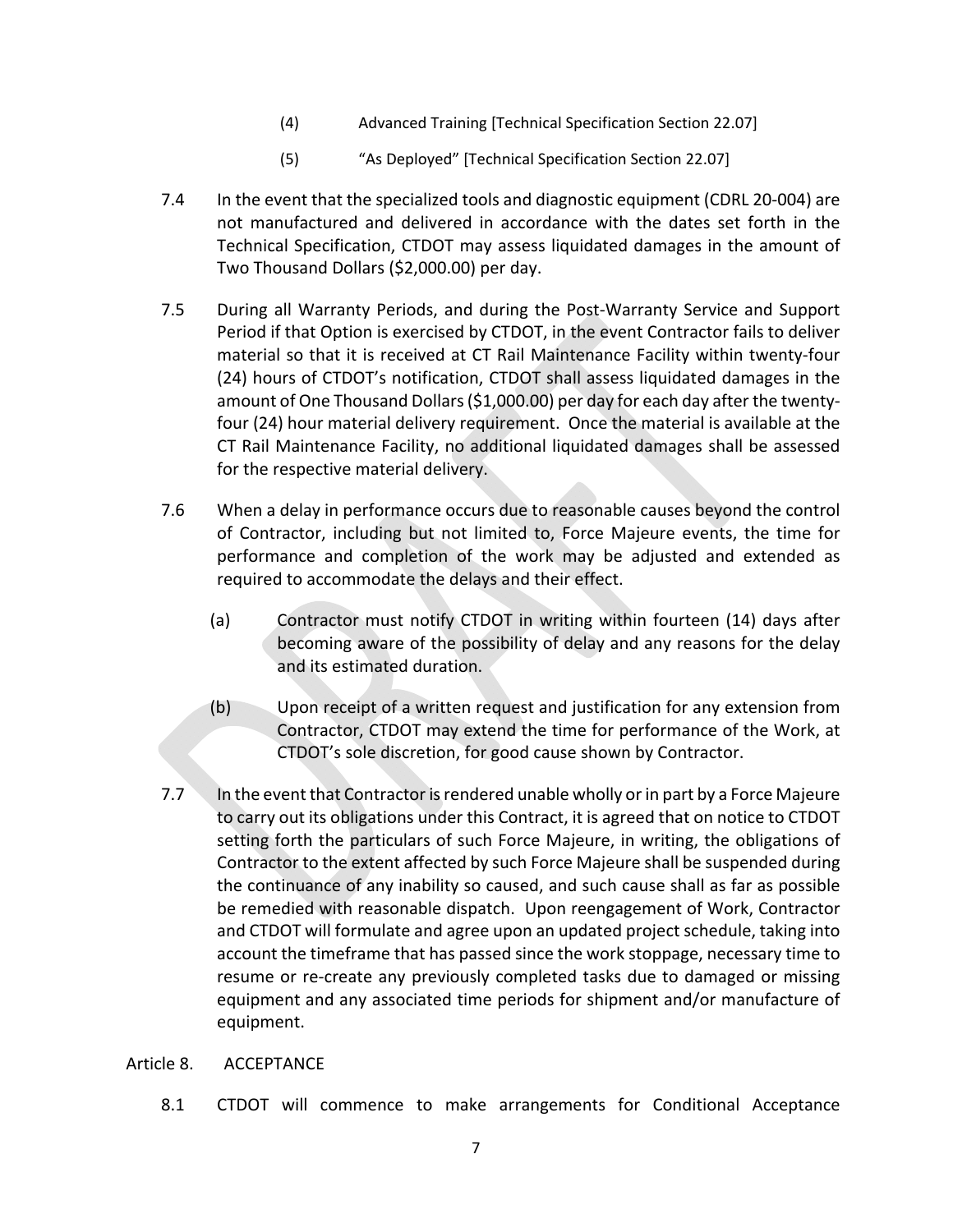- (4) Advanced Training [Technical Specification Section 22.07]
- (5) "As Deployed" [Technical Specification Section 22.07]
- 7.4 In the event that the specialized tools and diagnostic equipment (CDRL 20‐004) are not manufactured and delivered in accordance with the dates set forth in the Technical Specification, CTDOT may assess liquidated damages in the amount of Two Thousand Dollars (\$2,000.00) per day.
- 7.5 During all Warranty Periods, and during the Post-Warranty Service and Support Period if that Option is exercised by CTDOT, in the event Contractor fails to deliver material so that it is received at CT Rail Maintenance Facility within twenty‐four (24) hours of CTDOT's notification, CTDOT shall assess liquidated damages in the amount of One Thousand Dollars (\$1,000.00) per day for each day after the twenty‐ four (24) hour material delivery requirement. Once the material is available at the CT Rail Maintenance Facility, no additional liquidated damages shall be assessed for the respective material delivery.
- 7.6 When a delay in performance occurs due to reasonable causes beyond the control of Contractor, including but not limited to, Force Majeure events, the time for performance and completion of the work may be adjusted and extended as required to accommodate the delays and their effect.
	- (a) Contractor must notify CTDOT in writing within fourteen (14) days after becoming aware of the possibility of delay and any reasons for the delay and its estimated duration.
	- (b) Upon receipt of a written request and justification for any extension from Contractor, CTDOT may extend the time for performance of the Work, at CTDOT's sole discretion, for good cause shown by Contractor.
- 7.7 In the event that Contractor is rendered unable wholly or in part by a Force Majeure to carry out its obligations under this Contract, it is agreed that on notice to CTDOT setting forth the particulars of such Force Majeure, in writing, the obligations of Contractor to the extent affected by such Force Majeure shall be suspended during the continuance of any inability so caused, and such cause shall as far as possible be remedied with reasonable dispatch. Upon reengagement of Work, Contractor and CTDOT will formulate and agree upon an updated project schedule, taking into account the timeframe that has passed since the work stoppage, necessary time to resume or re-create any previously completed tasks due to damaged or missing equipment and any associated time periods for shipment and/or manufacture of equipment.

## Article 8. ACCEPTANCE

8.1 CTDOT will commence to make arrangements for Conditional Acceptance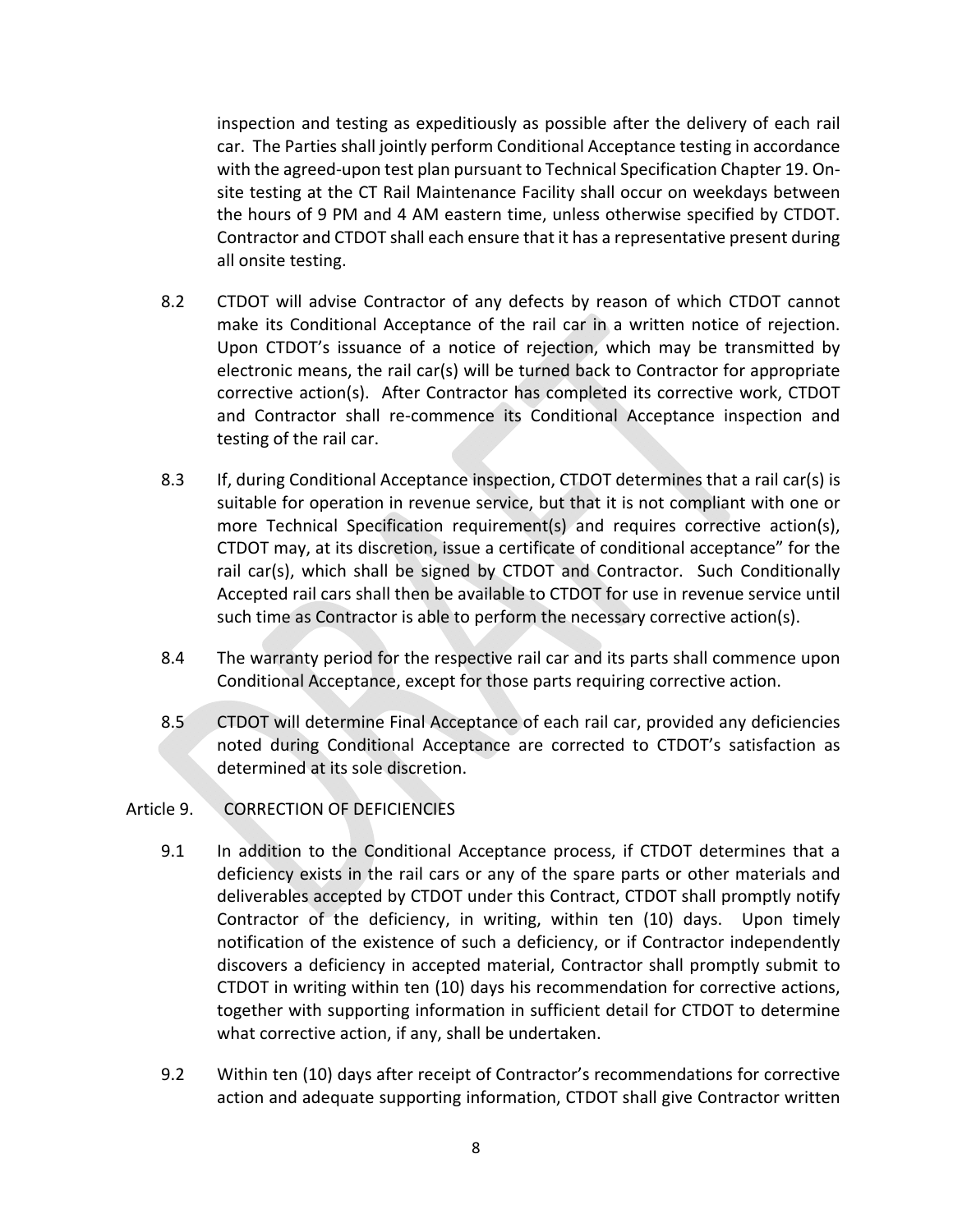inspection and testing as expeditiously as possible after the delivery of each rail car. The Parties shall jointly perform Conditional Acceptance testing in accordance with the agreed‐upon test plan pursuant to Technical Specification Chapter 19. On‐ site testing at the CT Rail Maintenance Facility shall occur on weekdays between the hours of 9 PM and 4 AM eastern time, unless otherwise specified by CTDOT. Contractor and CTDOT shall each ensure that it has a representative present during all onsite testing.

- 8.2 CTDOT will advise Contractor of any defects by reason of which CTDOT cannot make its Conditional Acceptance of the rail car in a written notice of rejection. Upon CTDOT's issuance of a notice of rejection, which may be transmitted by electronic means, the rail car(s) will be turned back to Contractor for appropriate corrective action(s). After Contractor has completed its corrective work, CTDOT and Contractor shall re‐commence its Conditional Acceptance inspection and testing of the rail car.
- 8.3 If, during Conditional Acceptance inspection, CTDOT determines that a rail car(s) is suitable for operation in revenue service, but that it is not compliant with one or more Technical Specification requirement(s) and requires corrective action(s), CTDOT may, at its discretion, issue a certificate of conditional acceptance" for the rail car(s), which shall be signed by CTDOT and Contractor. Such Conditionally Accepted rail cars shall then be available to CTDOT for use in revenue service until such time as Contractor is able to perform the necessary corrective action(s).
- 8.4 The warranty period for the respective rail car and its parts shall commence upon Conditional Acceptance, except for those parts requiring corrective action.
- 8.5 CTDOT will determine Final Acceptance of each rail car, provided any deficiencies noted during Conditional Acceptance are corrected to CTDOT's satisfaction as determined at its sole discretion.
- Article 9. CORRECTION OF DEFICIENCIES
	- 9.1 In addition to the Conditional Acceptance process, if CTDOT determines that a deficiency exists in the rail cars or any of the spare parts or other materials and deliverables accepted by CTDOT under this Contract, CTDOT shall promptly notify Contractor of the deficiency, in writing, within ten (10) days. Upon timely notification of the existence of such a deficiency, or if Contractor independently discovers a deficiency in accepted material, Contractor shall promptly submit to CTDOT in writing within ten (10) days his recommendation for corrective actions, together with supporting information in sufficient detail for CTDOT to determine what corrective action, if any, shall be undertaken.
	- 9.2 Within ten (10) days after receipt of Contractor's recommendations for corrective action and adequate supporting information, CTDOT shall give Contractor written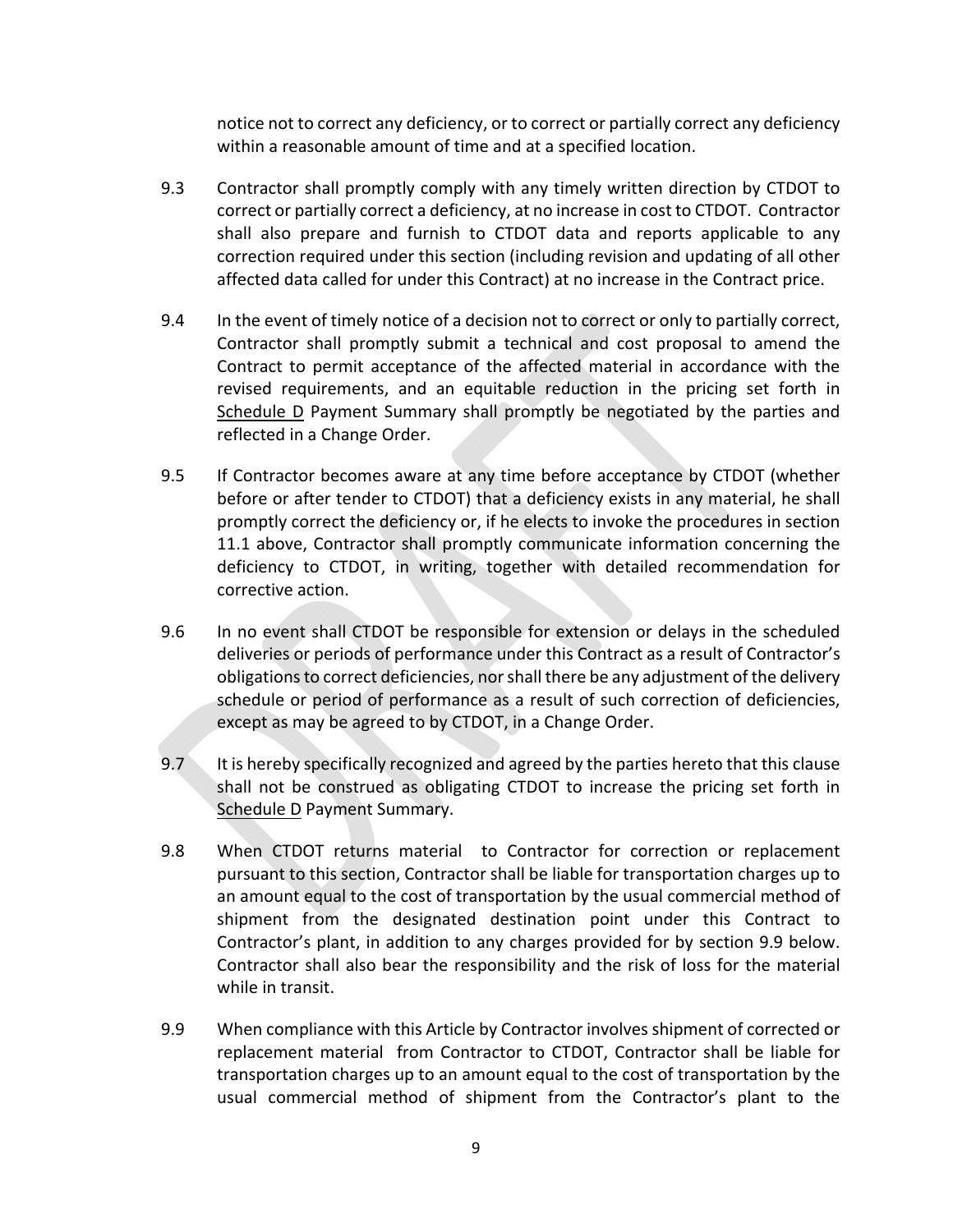notice not to correct any deficiency, or to correct or partially correct any deficiency within a reasonable amount of time and at a specified location.

- 9.3 Contractor shall promptly comply with any timely written direction by CTDOT to correct or partially correct a deficiency, at no increase in cost to CTDOT. Contractor shall also prepare and furnish to CTDOT data and reports applicable to any correction required under this section (including revision and updating of all other affected data called for under this Contract) at no increase in the Contract price.
- 9.4 In the event of timely notice of a decision not to correct or only to partially correct, Contractor shall promptly submit a technical and cost proposal to amend the Contract to permit acceptance of the affected material in accordance with the revised requirements, and an equitable reduction in the pricing set forth in Schedule D Payment Summary shall promptly be negotiated by the parties and reflected in a Change Order.
- 9.5 If Contractor becomes aware at any time before acceptance by CTDOT (whether before or after tender to CTDOT) that a deficiency exists in any material, he shall promptly correct the deficiency or, if he elects to invoke the procedures in section 11.1 above, Contractor shall promptly communicate information concerning the deficiency to CTDOT, in writing, together with detailed recommendation for corrective action.
- 9.6 In no event shall CTDOT be responsible for extension or delays in the scheduled deliveries or periods of performance under this Contract as a result of Contractor's obligations to correct deficiencies, nor shall there be any adjustment of the delivery schedule or period of performance as a result of such correction of deficiencies, except as may be agreed to by CTDOT, in a Change Order.
- 9.7 It is hereby specifically recognized and agreed by the parties hereto that this clause shall not be construed as obligating CTDOT to increase the pricing set forth in Schedule D Payment Summary.
- 9.8 When CTDOT returns material to Contractor for correction or replacement pursuant to this section, Contractor shall be liable for transportation charges up to an amount equal to the cost of transportation by the usual commercial method of shipment from the designated destination point under this Contract to Contractor's plant, in addition to any charges provided for by section 9.9 below. Contractor shall also bear the responsibility and the risk of loss for the material while in transit.
- 9.9 When compliance with this Article by Contractor involves shipment of corrected or replacement material from Contractor to CTDOT, Contractor shall be liable for transportation charges up to an amount equal to the cost of transportation by the usual commercial method of shipment from the Contractor's plant to the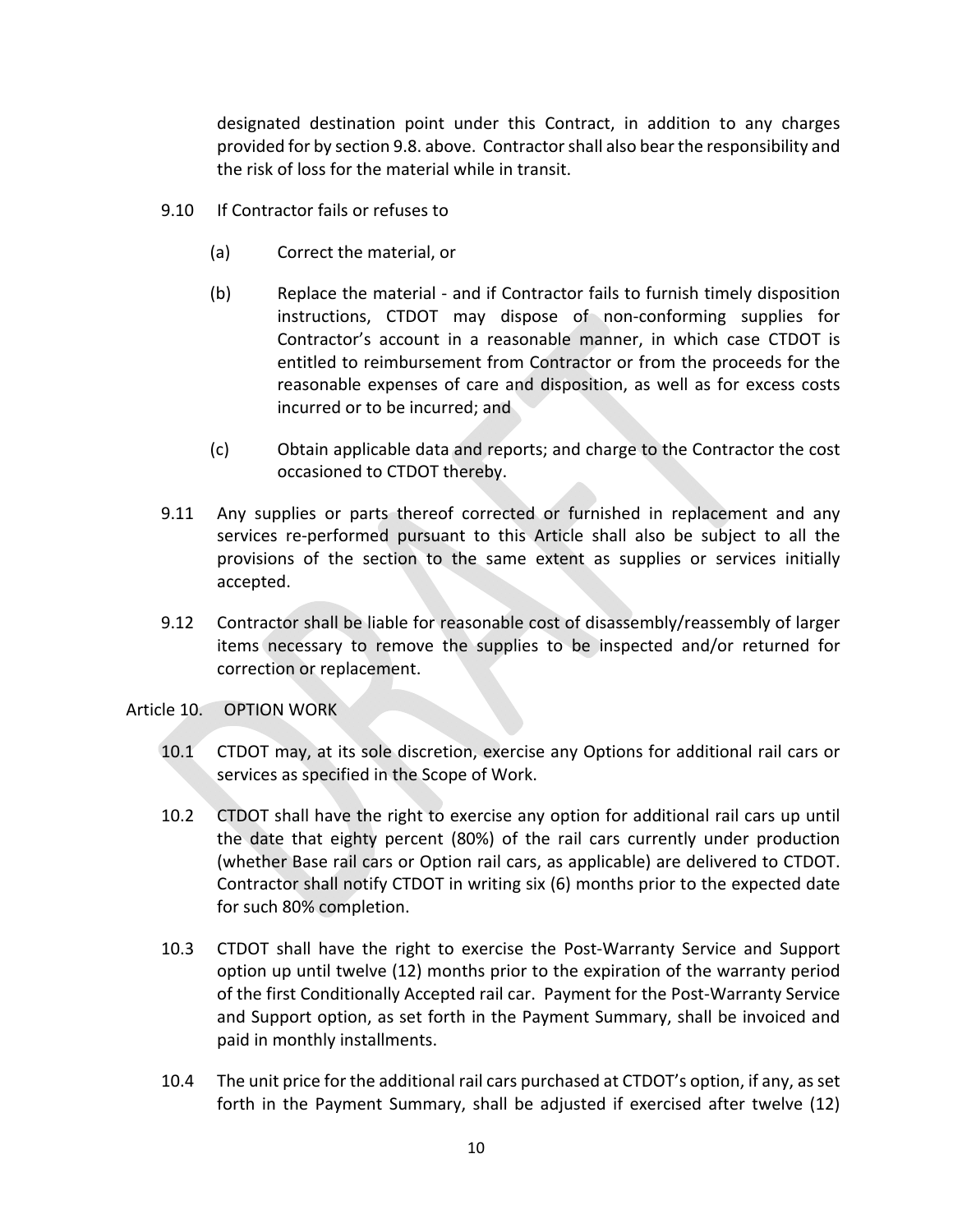designated destination point under this Contract, in addition to any charges provided for by section 9.8. above. Contractor shall also bear the responsibility and the risk of loss for the material while in transit.

- 9.10 If Contractor fails or refuses to
	- (a) Correct the material, or
	- (b) Replace the material ‐ and if Contractor fails to furnish timely disposition instructions, CTDOT may dispose of non-conforming supplies for Contractor's account in a reasonable manner, in which case CTDOT is entitled to reimbursement from Contractor or from the proceeds for the reasonable expenses of care and disposition, as well as for excess costs incurred or to be incurred; and
	- (c) Obtain applicable data and reports; and charge to the Contractor the cost occasioned to CTDOT thereby.
- 9.11 Any supplies or parts thereof corrected or furnished in replacement and any services re-performed pursuant to this Article shall also be subject to all the provisions of the section to the same extent as supplies or services initially accepted.
- 9.12 Contractor shall be liable for reasonable cost of disassembly/reassembly of larger items necessary to remove the supplies to be inspected and/or returned for correction or replacement.

## Article 10. OPTION WORK

- 10.1 CTDOT may, at its sole discretion, exercise any Options for additional rail cars or services as specified in the Scope of Work.
- 10.2 CTDOT shall have the right to exercise any option for additional rail cars up until the date that eighty percent (80%) of the rail cars currently under production (whether Base rail cars or Option rail cars, as applicable) are delivered to CTDOT. Contractor shall notify CTDOT in writing six (6) months prior to the expected date for such 80% completion.
- 10.3 CTDOT shall have the right to exercise the Post‐Warranty Service and Support option up until twelve (12) months prior to the expiration of the warranty period of the first Conditionally Accepted rail car. Payment for the Post‐Warranty Service and Support option, as set forth in the Payment Summary, shall be invoiced and paid in monthly installments.
- 10.4 The unit price for the additional rail cars purchased at CTDOT's option, if any, as set forth in the Payment Summary, shall be adjusted if exercised after twelve (12)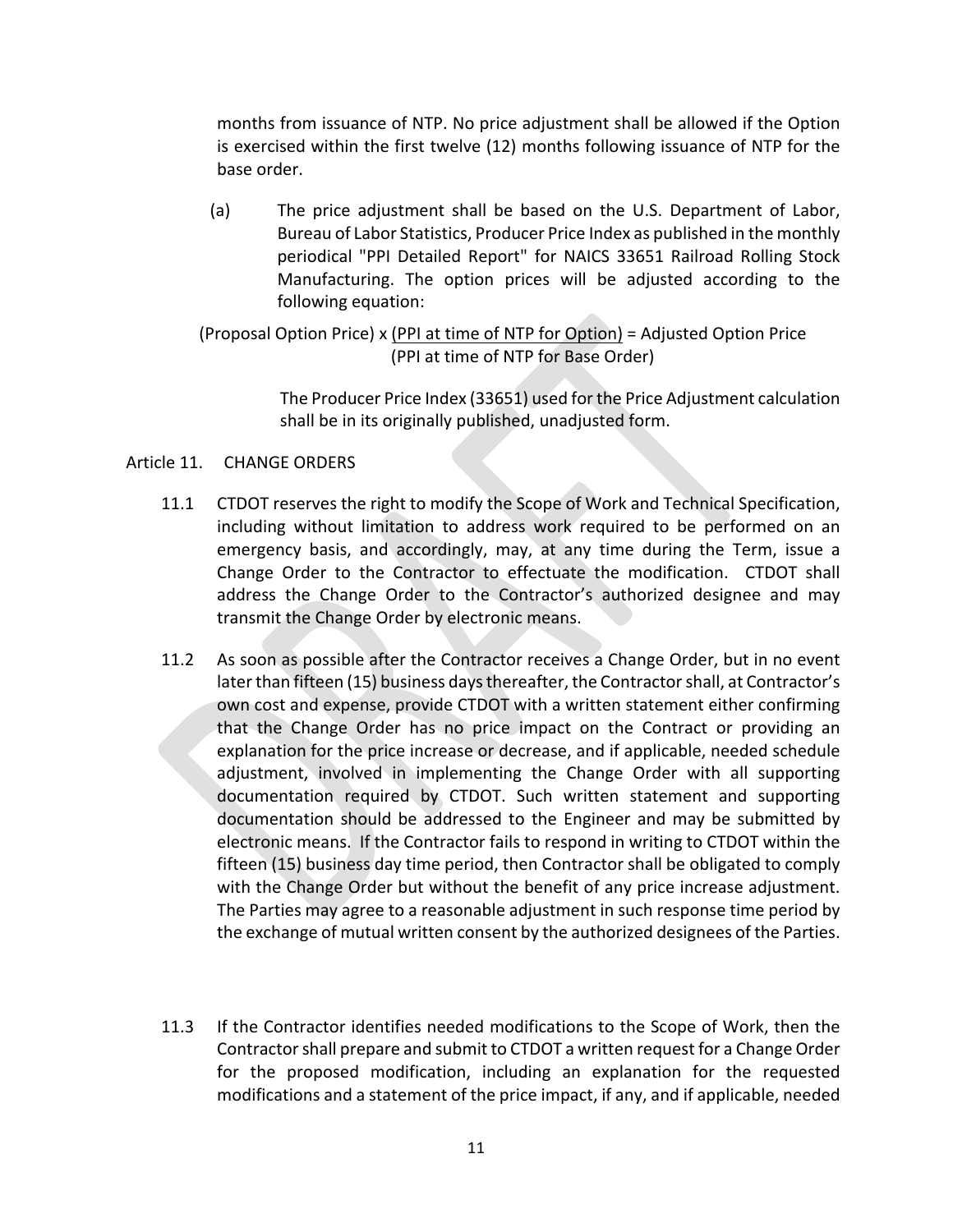months from issuance of NTP. No price adjustment shall be allowed if the Option is exercised within the first twelve (12) months following issuance of NTP for the base order.

(a) The price adjustment shall be based on the U.S. Department of Labor, Bureau of Labor Statistics, Producer Price Index as published in the monthly periodical "PPI Detailed Report" for NAICS 33651 Railroad Rolling Stock Manufacturing. The option prices will be adjusted according to the following equation:

(Proposal Option Price) x (PPI at time of NTP for Option) = Adjusted Option Price (PPI at time of NTP for Base Order)

> The Producer Price Index (33651) used for the Price Adjustment calculation shall be in its originally published, unadjusted form.

## Article 11. CHANGE ORDERS

- 11.1 CTDOT reserves the right to modify the Scope of Work and Technical Specification, including without limitation to address work required to be performed on an emergency basis, and accordingly, may, at any time during the Term, issue a Change Order to the Contractor to effectuate the modification. CTDOT shall address the Change Order to the Contractor's authorized designee and may transmit the Change Order by electronic means.
- 11.2 As soon as possible after the Contractor receives a Change Order, but in no event later than fifteen (15) business days thereafter, the Contractor shall, at Contractor's own cost and expense, provide CTDOT with a written statement either confirming that the Change Order has no price impact on the Contract or providing an explanation for the price increase or decrease, and if applicable, needed schedule adjustment, involved in implementing the Change Order with all supporting documentation required by CTDOT. Such written statement and supporting documentation should be addressed to the Engineer and may be submitted by electronic means. If the Contractor fails to respond in writing to CTDOT within the fifteen (15) business day time period, then Contractor shall be obligated to comply with the Change Order but without the benefit of any price increase adjustment. The Parties may agree to a reasonable adjustment in such response time period by the exchange of mutual written consent by the authorized designees of the Parties.
- 11.3 If the Contractor identifies needed modifications to the Scope of Work, then the Contractor shall prepare and submit to CTDOT a written request for a Change Order for the proposed modification, including an explanation for the requested modifications and a statement of the price impact, if any, and if applicable, needed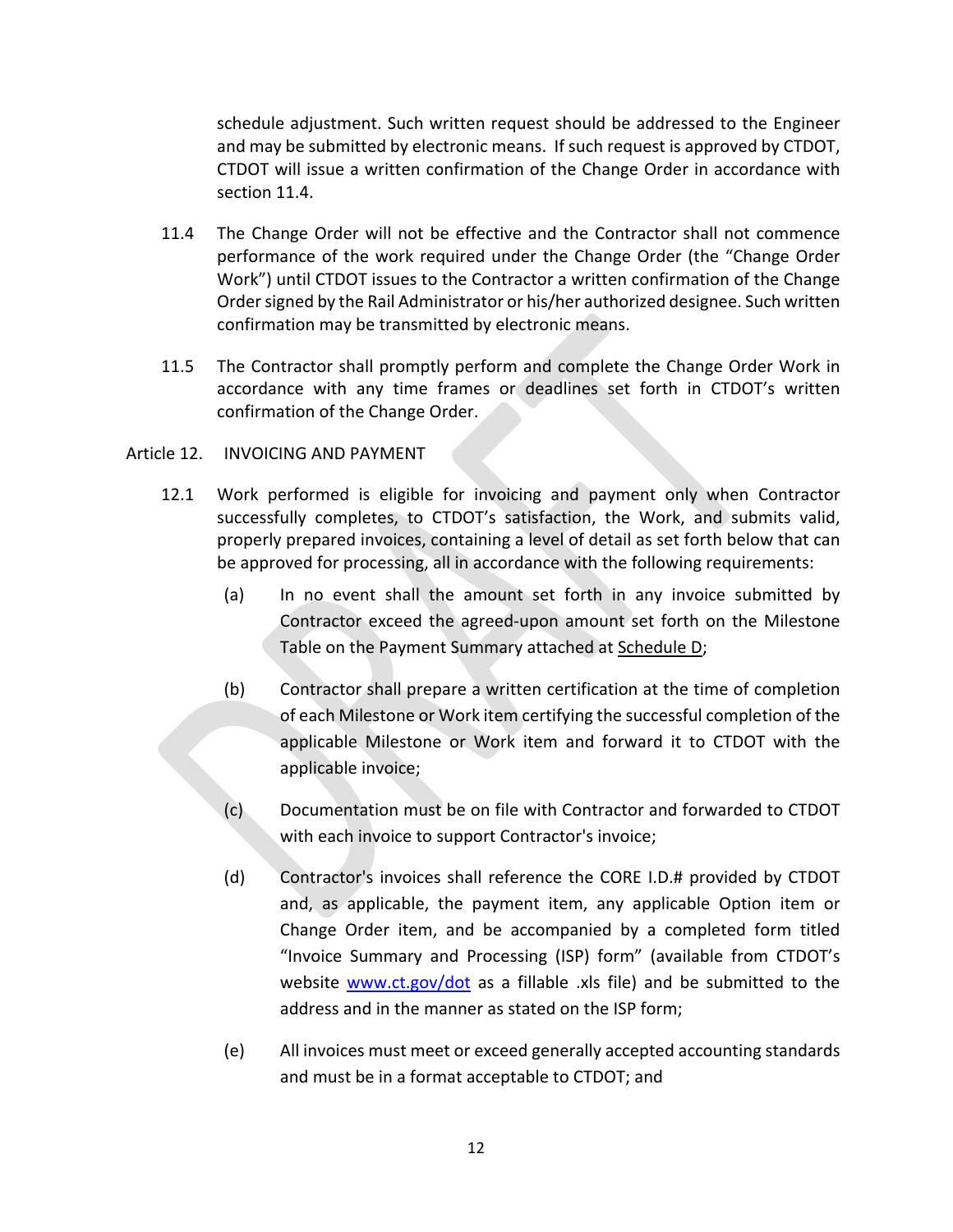schedule adjustment. Such written request should be addressed to the Engineer and may be submitted by electronic means. If such request is approved by CTDOT, CTDOT will issue a written confirmation of the Change Order in accordance with section 11.4.

- 11.4 The Change Order will not be effective and the Contractor shall not commence performance of the work required under the Change Order (the "Change Order Work") until CTDOT issues to the Contractor a written confirmation of the Change Order signed by the Rail Administrator or his/her authorized designee. Such written confirmation may be transmitted by electronic means.
- 11.5 The Contractor shall promptly perform and complete the Change Order Work in accordance with any time frames or deadlines set forth in CTDOT's written confirmation of the Change Order.

## Article 12. INVOICING AND PAYMENT

- 12.1 Work performed is eligible for invoicing and payment only when Contractor successfully completes, to CTDOT's satisfaction, the Work, and submits valid, properly prepared invoices, containing a level of detail as set forth below that can be approved for processing, all in accordance with the following requirements:
	- (a) In no event shall the amount set forth in any invoice submitted by Contractor exceed the agreed‐upon amount set forth on the Milestone Table on the Payment Summary attached at Schedule D;
	- (b) Contractor shall prepare a written certification at the time of completion of each Milestone or Work item certifying the successful completion of the applicable Milestone or Work item and forward it to CTDOT with the applicable invoice;
	- (c) Documentation must be on file with Contractor and forwarded to CTDOT with each invoice to support Contractor's invoice;
	- (d) Contractor's invoices shall reference the CORE I.D.# provided by CTDOT and, as applicable, the payment item, any applicable Option item or Change Order item, and be accompanied by a completed form titled "Invoice Summary and Processing (ISP) form" (available from CTDOT's website www.ct.gov/dot as a fillable xls file) and be submitted to the address and in the manner as stated on the ISP form;
	- (e) All invoices must meet or exceed generally accepted accounting standards and must be in a format acceptable to CTDOT; and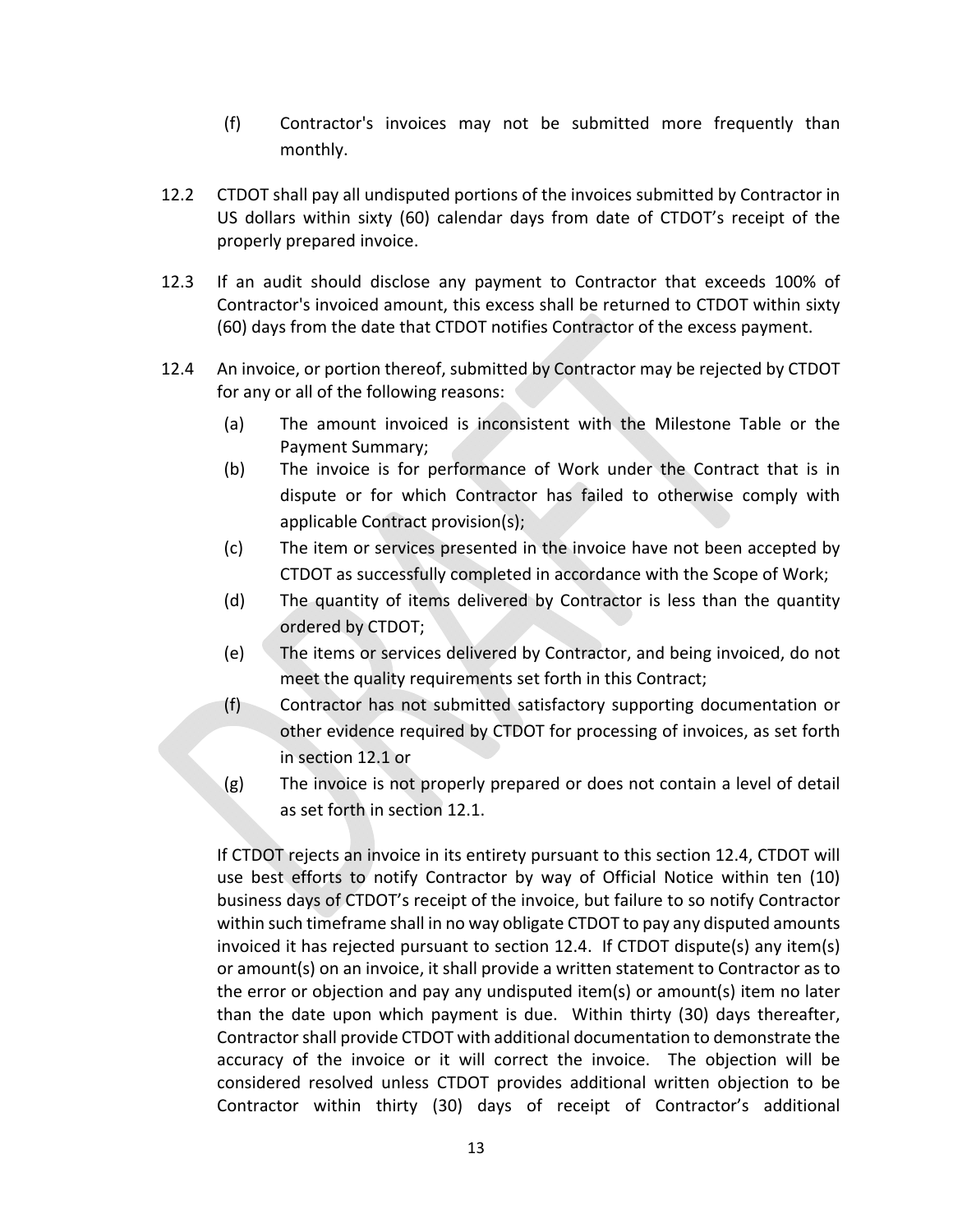- (f) Contractor's invoices may not be submitted more frequently than monthly.
- 12.2 CTDOT shall pay all undisputed portions of the invoices submitted by Contractor in US dollars within sixty (60) calendar days from date of CTDOT's receipt of the properly prepared invoice.
- 12.3 If an audit should disclose any payment to Contractor that exceeds 100% of Contractor's invoiced amount, this excess shall be returned to CTDOT within sixty (60) days from the date that CTDOT notifies Contractor of the excess payment.
- 12.4 An invoice, or portion thereof, submitted by Contractor may be rejected by CTDOT for any or all of the following reasons:
	- (a) The amount invoiced is inconsistent with the Milestone Table or the Payment Summary;
	- (b) The invoice is for performance of Work under the Contract that is in dispute or for which Contractor has failed to otherwise comply with applicable Contract provision(s);
	- (c) The item or services presented in the invoice have not been accepted by CTDOT as successfully completed in accordance with the Scope of Work;
	- (d) The quantity of items delivered by Contractor is less than the quantity ordered by CTDOT;
	- (e) The items or services delivered by Contractor, and being invoiced, do not meet the quality requirements set forth in this Contract;
	- (f) Contractor has not submitted satisfactory supporting documentation or other evidence required by CTDOT for processing of invoices, as set forth in section 12.1 or
	- (g) The invoice is not properly prepared or does not contain a level of detail as set forth in section 12.1.

If CTDOT rejects an invoice in its entirety pursuant to this section 12.4, CTDOT will use best efforts to notify Contractor by way of Official Notice within ten (10) business days of CTDOT's receipt of the invoice, but failure to so notify Contractor within such timeframe shall in no way obligate CTDOT to pay any disputed amounts invoiced it has rejected pursuant to section 12.4. If CTDOT dispute(s) any item(s) or amount(s) on an invoice, it shall provide a written statement to Contractor as to the error or objection and pay any undisputed item(s) or amount(s) item no later than the date upon which payment is due. Within thirty (30) days thereafter, Contractor shall provide CTDOT with additional documentation to demonstrate the accuracy of the invoice or it will correct the invoice. The objection will be considered resolved unless CTDOT provides additional written objection to be Contractor within thirty (30) days of receipt of Contractor's additional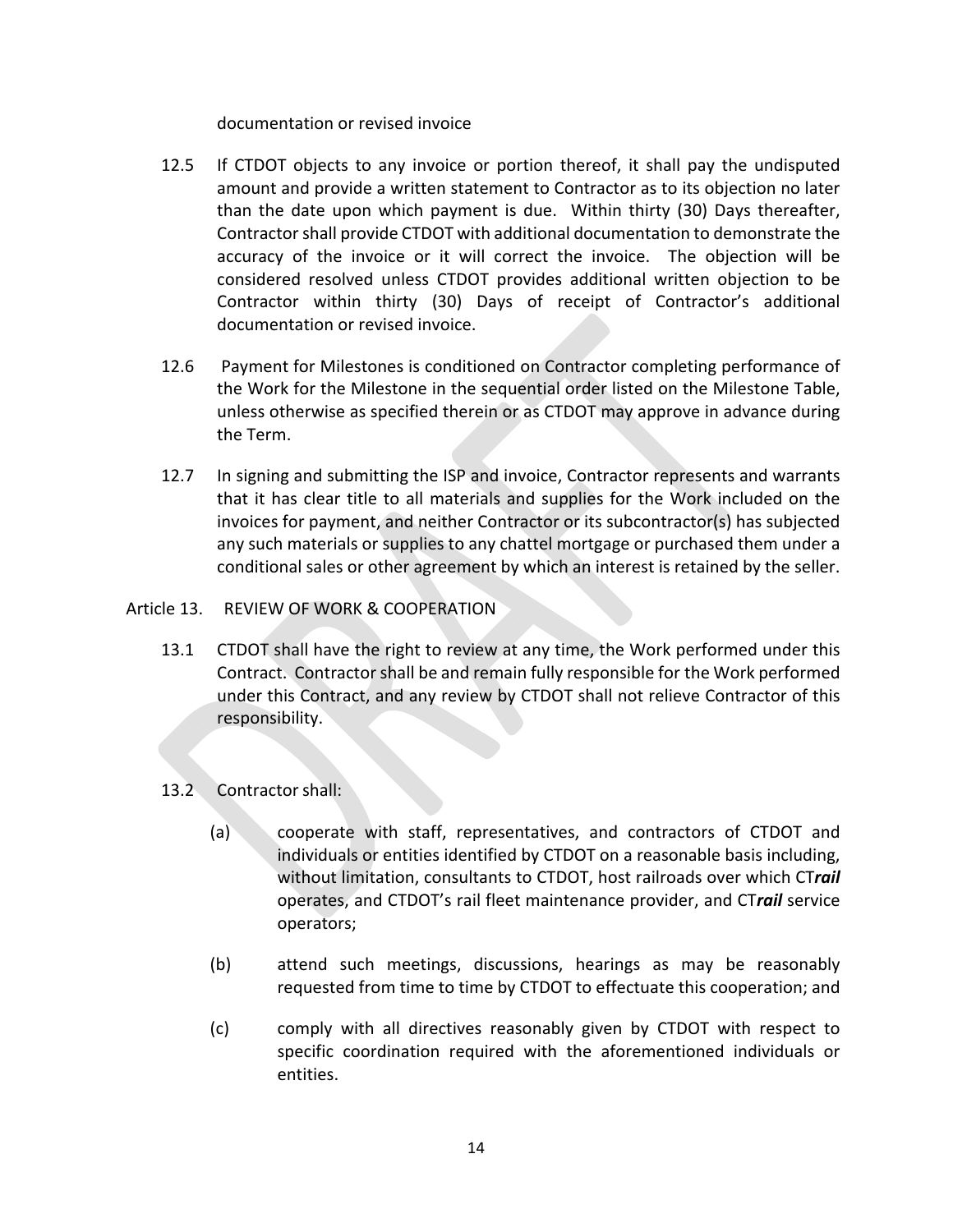## documentation or revised invoice

- 12.5 If CTDOT objects to any invoice or portion thereof, it shall pay the undisputed amount and provide a written statement to Contractor as to its objection no later than the date upon which payment is due. Within thirty (30) Days thereafter, Contractor shall provide CTDOT with additional documentation to demonstrate the accuracy of the invoice or it will correct the invoice. The objection will be considered resolved unless CTDOT provides additional written objection to be Contractor within thirty (30) Days of receipt of Contractor's additional documentation or revised invoice.
- 12.6 Payment for Milestones is conditioned on Contractor completing performance of the Work for the Milestone in the sequential order listed on the Milestone Table, unless otherwise as specified therein or as CTDOT may approve in advance during the Term.
- 12.7 In signing and submitting the ISP and invoice, Contractor represents and warrants that it has clear title to all materials and supplies for the Work included on the invoices for payment, and neither Contractor or its subcontractor(s) has subjected any such materials or supplies to any chattel mortgage or purchased them under a conditional sales or other agreement by which an interest is retained by the seller.

## Article 13. REVIEW OF WORK & COOPERATION

13.1 CTDOT shall have the right to review at any time, the Work performed under this Contract. Contractor shall be and remain fully responsible for the Work performed under this Contract, and any review by CTDOT shall not relieve Contractor of this responsibility.

## 13.2 Contractor shall:

- (a) cooperate with staff, representatives, and contractors of CTDOT and individuals or entities identified by CTDOT on a reasonable basis including, without limitation, consultants to CTDOT, host railroads over which CT*rail* operates, and CTDOT's rail fleet maintenance provider, and CT*rail* service operators;
- (b) attend such meetings, discussions, hearings as may be reasonably requested from time to time by CTDOT to effectuate this cooperation; and
- (c) comply with all directives reasonably given by CTDOT with respect to specific coordination required with the aforementioned individuals or entities.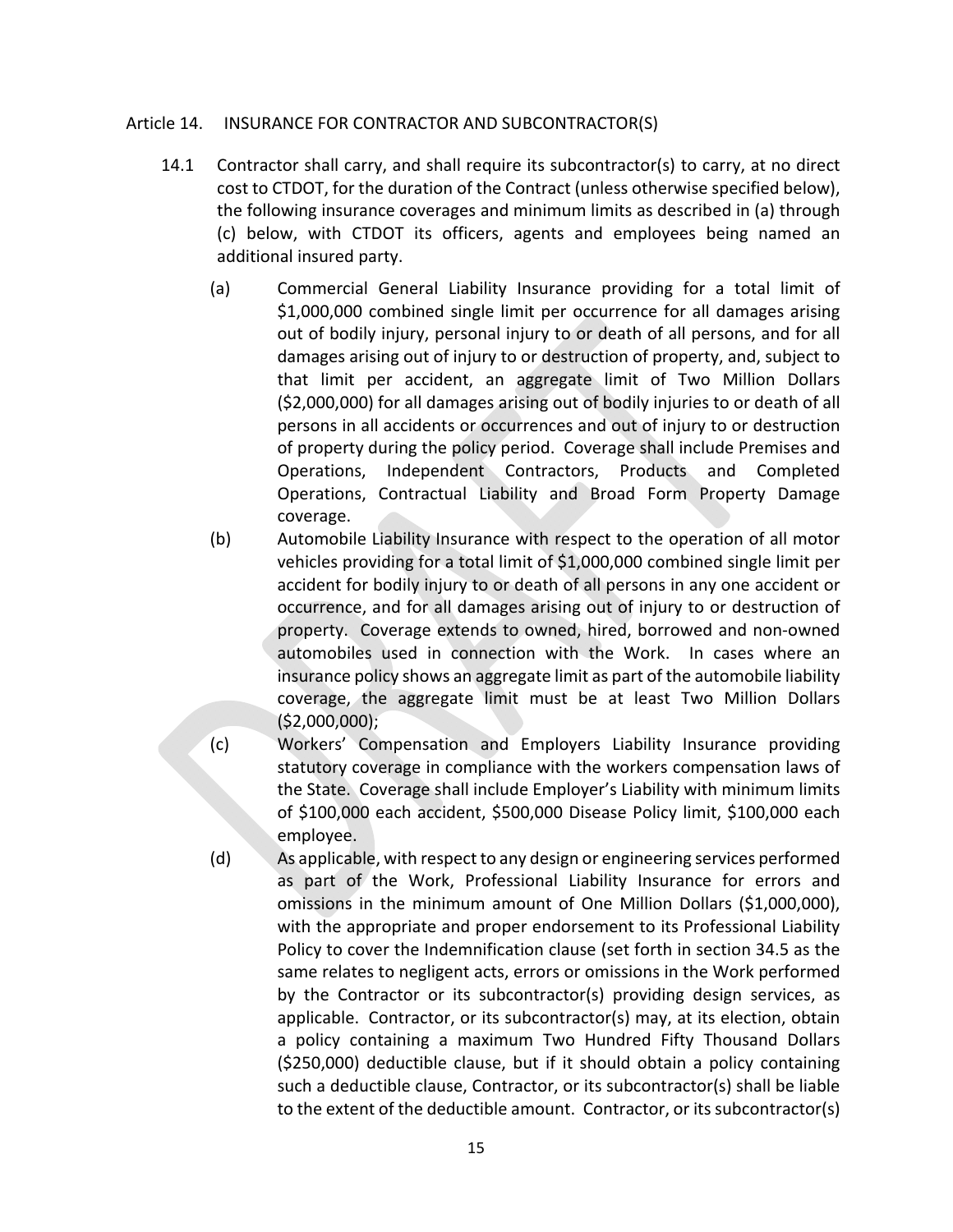#### Article 14. INSURANCE FOR CONTRACTOR AND SUBCONTRACTOR(S)

- 14.1 Contractor shall carry, and shall require its subcontractor(s) to carry, at no direct cost to CTDOT, for the duration of the Contract (unless otherwise specified below), the following insurance coverages and minimum limits as described in (a) through (c) below, with CTDOT its officers, agents and employees being named an additional insured party.
	- (a) Commercial General Liability Insurance providing for a total limit of \$1,000,000 combined single limit per occurrence for all damages arising out of bodily injury, personal injury to or death of all persons, and for all damages arising out of injury to or destruction of property, and, subject to that limit per accident, an aggregate limit of Two Million Dollars (\$2,000,000) for all damages arising out of bodily injuries to or death of all persons in all accidents or occurrences and out of injury to or destruction of property during the policy period. Coverage shall include Premises and Operations, Independent Contractors, Products and Completed Operations, Contractual Liability and Broad Form Property Damage coverage.
	- (b) Automobile Liability Insurance with respect to the operation of all motor vehicles providing for a total limit of \$1,000,000 combined single limit per accident for bodily injury to or death of all persons in any one accident or occurrence, and for all damages arising out of injury to or destruction of property. Coverage extends to owned, hired, borrowed and non‐owned automobiles used in connection with the Work. In cases where an insurance policy shows an aggregate limit as part of the automobile liability coverage, the aggregate limit must be at least Two Million Dollars  $($ \$2,000,000);
	- (c) Workers' Compensation and Employers Liability Insurance providing statutory coverage in compliance with the workers compensation laws of the State. Coverage shall include Employer's Liability with minimum limits of \$100,000 each accident, \$500,000 Disease Policy limit, \$100,000 each employee.
	- (d) As applicable, with respect to any design or engineering services performed as part of the Work, Professional Liability Insurance for errors and omissions in the minimum amount of One Million Dollars (\$1,000,000), with the appropriate and proper endorsement to its Professional Liability Policy to cover the Indemnification clause (set forth in section 34.5 as the same relates to negligent acts, errors or omissions in the Work performed by the Contractor or its subcontractor(s) providing design services, as applicable. Contractor, or its subcontractor(s) may, at its election, obtain a policy containing a maximum Two Hundred Fifty Thousand Dollars (\$250,000) deductible clause, but if it should obtain a policy containing such a deductible clause, Contractor, or its subcontractor(s) shall be liable to the extent of the deductible amount. Contractor, or its subcontractor(s)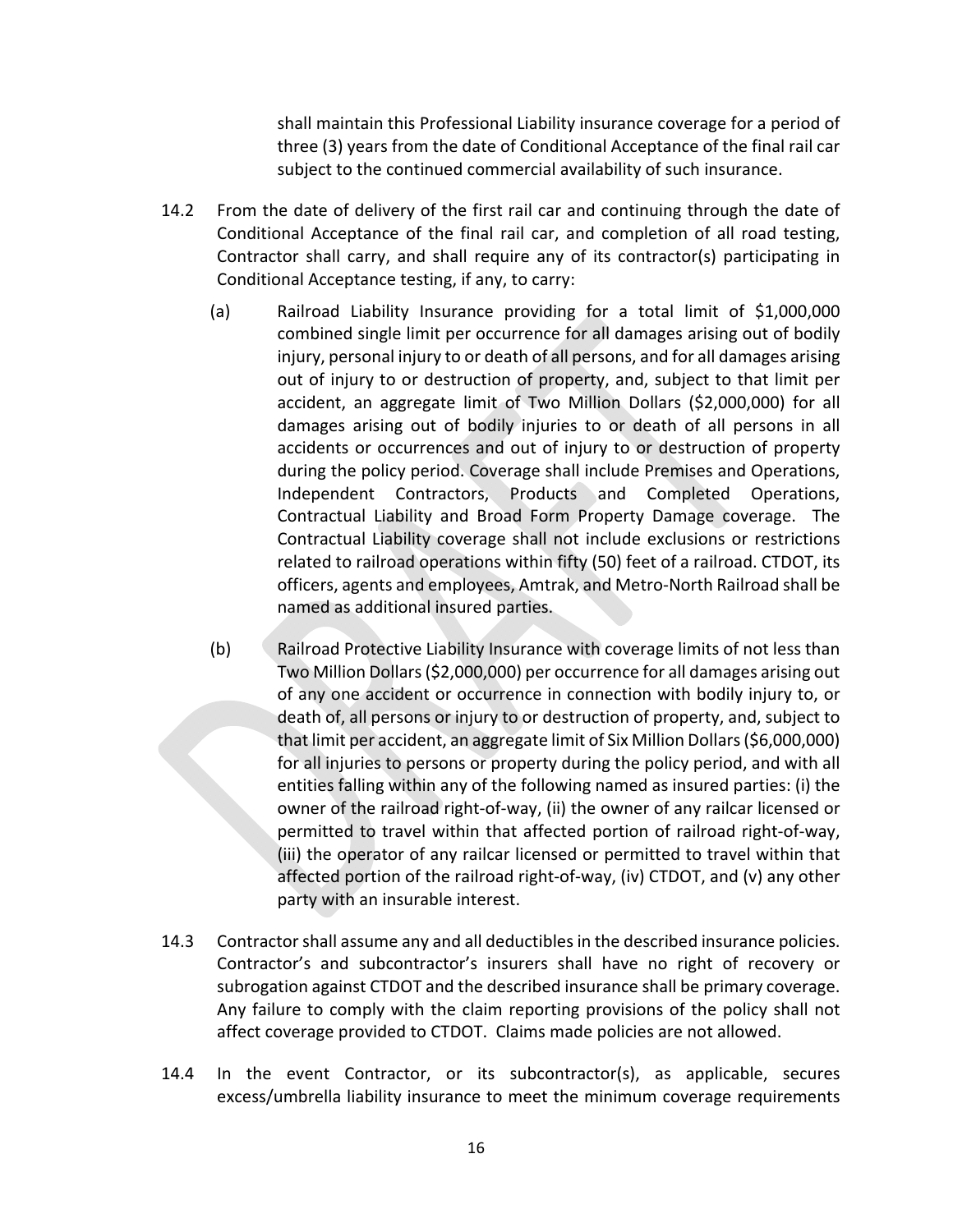shall maintain this Professional Liability insurance coverage for a period of three (3) years from the date of Conditional Acceptance of the final rail car subject to the continued commercial availability of such insurance.

- 14.2 From the date of delivery of the first rail car and continuing through the date of Conditional Acceptance of the final rail car, and completion of all road testing, Contractor shall carry, and shall require any of its contractor(s) participating in Conditional Acceptance testing, if any, to carry:
	- (a) Railroad Liability Insurance providing for a total limit of \$1,000,000 combined single limit per occurrence for all damages arising out of bodily injury, personal injury to or death of all persons, and for all damages arising out of injury to or destruction of property, and, subject to that limit per accident, an aggregate limit of Two Million Dollars (\$2,000,000) for all damages arising out of bodily injuries to or death of all persons in all accidents or occurrences and out of injury to or destruction of property during the policy period. Coverage shall include Premises and Operations, Independent Contractors, Products and Completed Operations, Contractual Liability and Broad Form Property Damage coverage. The Contractual Liability coverage shall not include exclusions or restrictions related to railroad operations within fifty (50) feet of a railroad. CTDOT, its officers, agents and employees, Amtrak, and Metro‐North Railroad shall be named as additional insured parties.
	- (b) Railroad Protective Liability Insurance with coverage limits of not less than Two Million Dollars (\$2,000,000) per occurrence for all damages arising out of any one accident or occurrence in connection with bodily injury to, or death of, all persons or injury to or destruction of property, and, subject to that limit per accident, an aggregate limit of Six Million Dollars (\$6,000,000) for all injuries to persons or property during the policy period, and with all entities falling within any of the following named as insured parties: (i) the owner of the railroad right‐of‐way, (ii) the owner of any railcar licensed or permitted to travel within that affected portion of railroad right-of-way, (iii) the operator of any railcar licensed or permitted to travel within that affected portion of the railroad right‐of‐way, (iv) CTDOT, and (v) any other party with an insurable interest.
- 14.3 Contractor shall assume any and all deductibles in the described insurance policies. Contractor's and subcontractor's insurers shall have no right of recovery or subrogation against CTDOT and the described insurance shall be primary coverage. Any failure to comply with the claim reporting provisions of the policy shall not affect coverage provided to CTDOT. Claims made policies are not allowed.
- 14.4 In the event Contractor, or its subcontractor(s), as applicable, secures excess/umbrella liability insurance to meet the minimum coverage requirements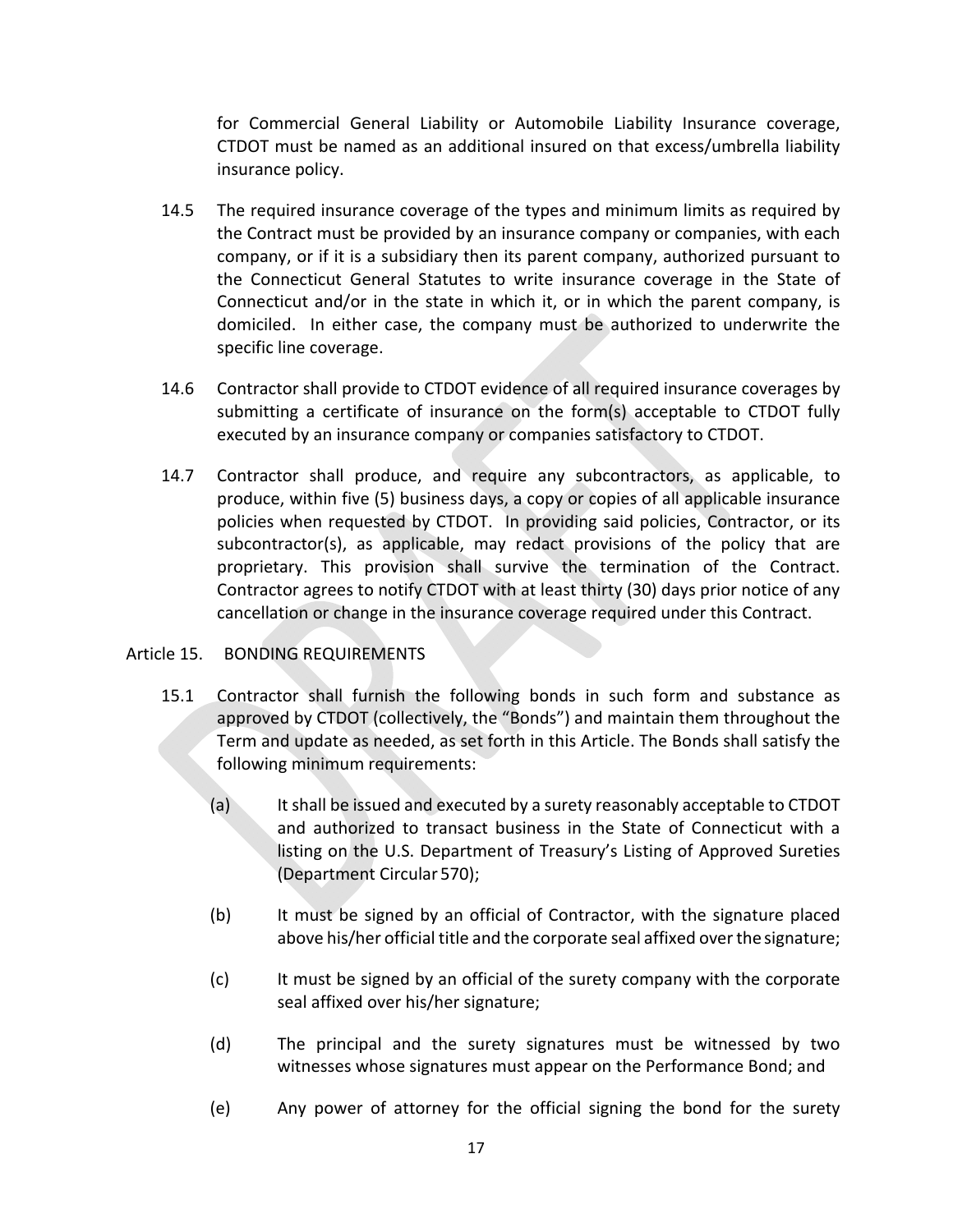for Commercial General Liability or Automobile Liability Insurance coverage, CTDOT must be named as an additional insured on that excess/umbrella liability insurance policy.

- 14.5 The required insurance coverage of the types and minimum limits as required by the Contract must be provided by an insurance company or companies, with each company, or if it is a subsidiary then its parent company, authorized pursuant to the Connecticut General Statutes to write insurance coverage in the State of Connecticut and/or in the state in which it, or in which the parent company, is domiciled. In either case, the company must be authorized to underwrite the specific line coverage.
- 14.6 Contractor shall provide to CTDOT evidence of all required insurance coverages by submitting a certificate of insurance on the form(s) acceptable to CTDOT fully executed by an insurance company or companies satisfactory to CTDOT.
- 14.7 Contractor shall produce, and require any subcontractors, as applicable, to produce, within five (5) business days, a copy or copies of all applicable insurance policies when requested by CTDOT. In providing said policies, Contractor, or its subcontractor(s), as applicable, may redact provisions of the policy that are proprietary. This provision shall survive the termination of the Contract. Contractor agrees to notify CTDOT with at least thirty (30) days prior notice of any cancellation or change in the insurance coverage required under this Contract.

## Article 15. BONDING REQUIREMENTS

- 15.1 Contractor shall furnish the following bonds in such form and substance as approved by CTDOT (collectively, the "Bonds") and maintain them throughout the Term and update as needed, as set forth in this Article. The Bonds shall satisfy the following minimum requirements:
	- (a) It shall be issued and executed by a surety reasonably acceptable to CTDOT and authorized to transact business in the State of Connecticut with a listing on the U.S. Department of Treasury's Listing of Approved Sureties (Department Circular 570);
	- (b) It must be signed by an official of Contractor, with the signature placed above his/her official title and the corporate seal affixed over the signature;
	- (c) It must be signed by an official of the surety company with the corporate seal affixed over his/her signature;
	- (d) The principal and the surety signatures must be witnessed by two witnesses whose signatures must appear on the Performance Bond; and
	- (e) Any power of attorney for the official signing the bond for the surety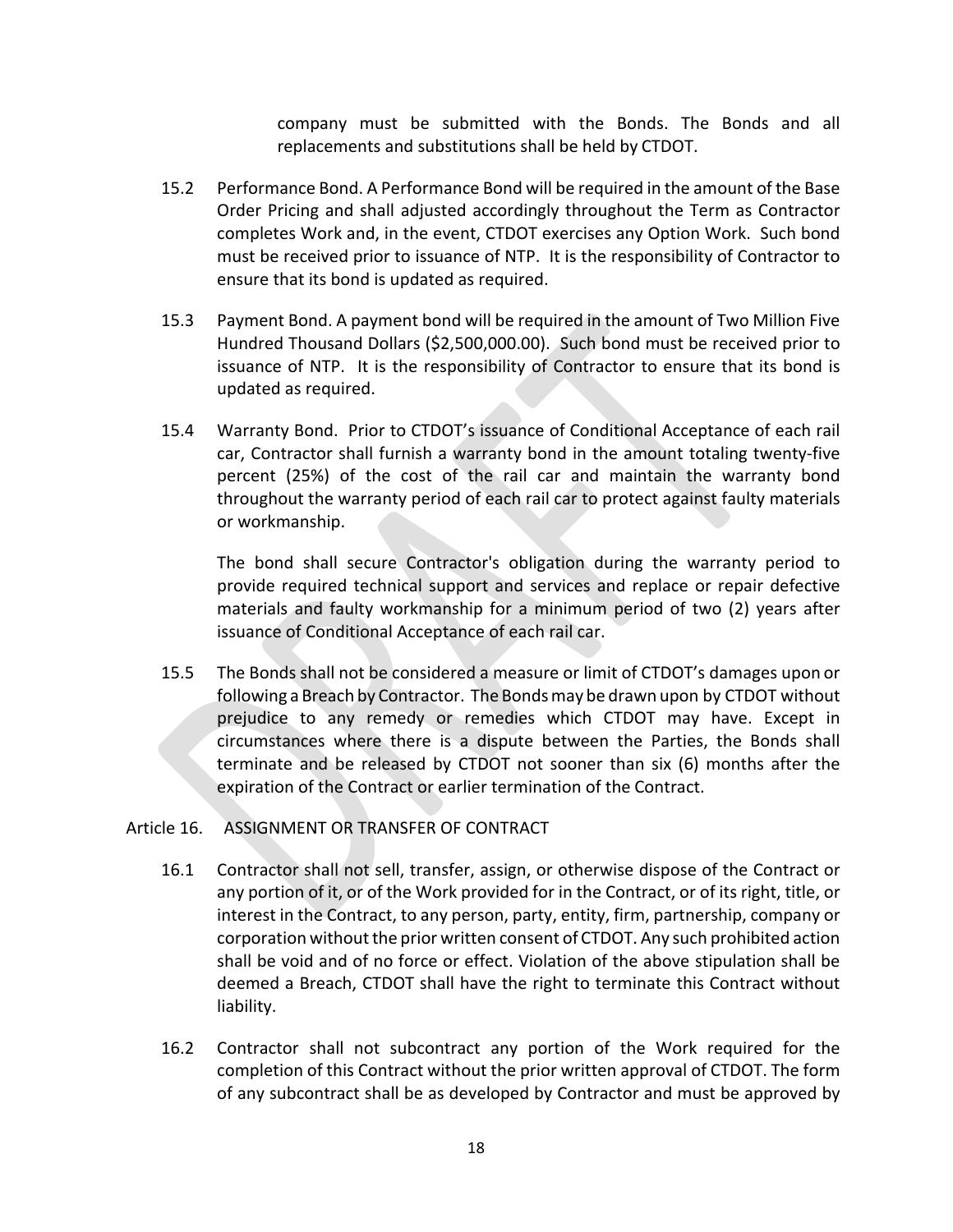company must be submitted with the Bonds. The Bonds and all replacements and substitutions shall be held by CTDOT.

- 15.2 Performance Bond. A Performance Bond will be required in the amount of the Base Order Pricing and shall adjusted accordingly throughout the Term as Contractor completes Work and, in the event, CTDOT exercises any Option Work. Such bond must be received prior to issuance of NTP. It is the responsibility of Contractor to ensure that its bond is updated as required.
- 15.3 Payment Bond. A payment bond will be required in the amount of Two Million Five Hundred Thousand Dollars (\$2,500,000.00). Such bond must be received prior to issuance of NTP. It is the responsibility of Contractor to ensure that its bond is updated as required.
- 15.4 Warranty Bond. Prior to CTDOT's issuance of Conditional Acceptance of each rail car, Contractor shall furnish a warranty bond in the amount totaling twenty‐five percent (25%) of the cost of the rail car and maintain the warranty bond throughout the warranty period of each rail car to protect against faulty materials or workmanship.

The bond shall secure Contractor's obligation during the warranty period to provide required technical support and services and replace or repair defective materials and faulty workmanship for a minimum period of two (2) years after issuance of Conditional Acceptance of each rail car.

15.5 The Bonds shall not be considered a measure or limit of CTDOT's damages upon or following a Breach by Contractor. The Bonds may be drawn upon by CTDOT without prejudice to any remedy or remedies which CTDOT may have. Except in circumstances where there is a dispute between the Parties, the Bonds shall terminate and be released by CTDOT not sooner than six (6) months after the expiration of the Contract or earlier termination of the Contract.

## Article 16. ASSIGNMENT OR TRANSFER OF CONTRACT

- 16.1 Contractor shall not sell, transfer, assign, or otherwise dispose of the Contract or any portion of it, or of the Work provided for in the Contract, or of its right, title, or interest in the Contract, to any person, party, entity, firm, partnership, company or corporation without the prior written consent of CTDOT. Any such prohibited action shall be void and of no force or effect. Violation of the above stipulation shall be deemed a Breach, CTDOT shall have the right to terminate this Contract without liability.
- 16.2 Contractor shall not subcontract any portion of the Work required for the completion of this Contract without the prior written approval of CTDOT. The form of any subcontract shall be as developed by Contractor and must be approved by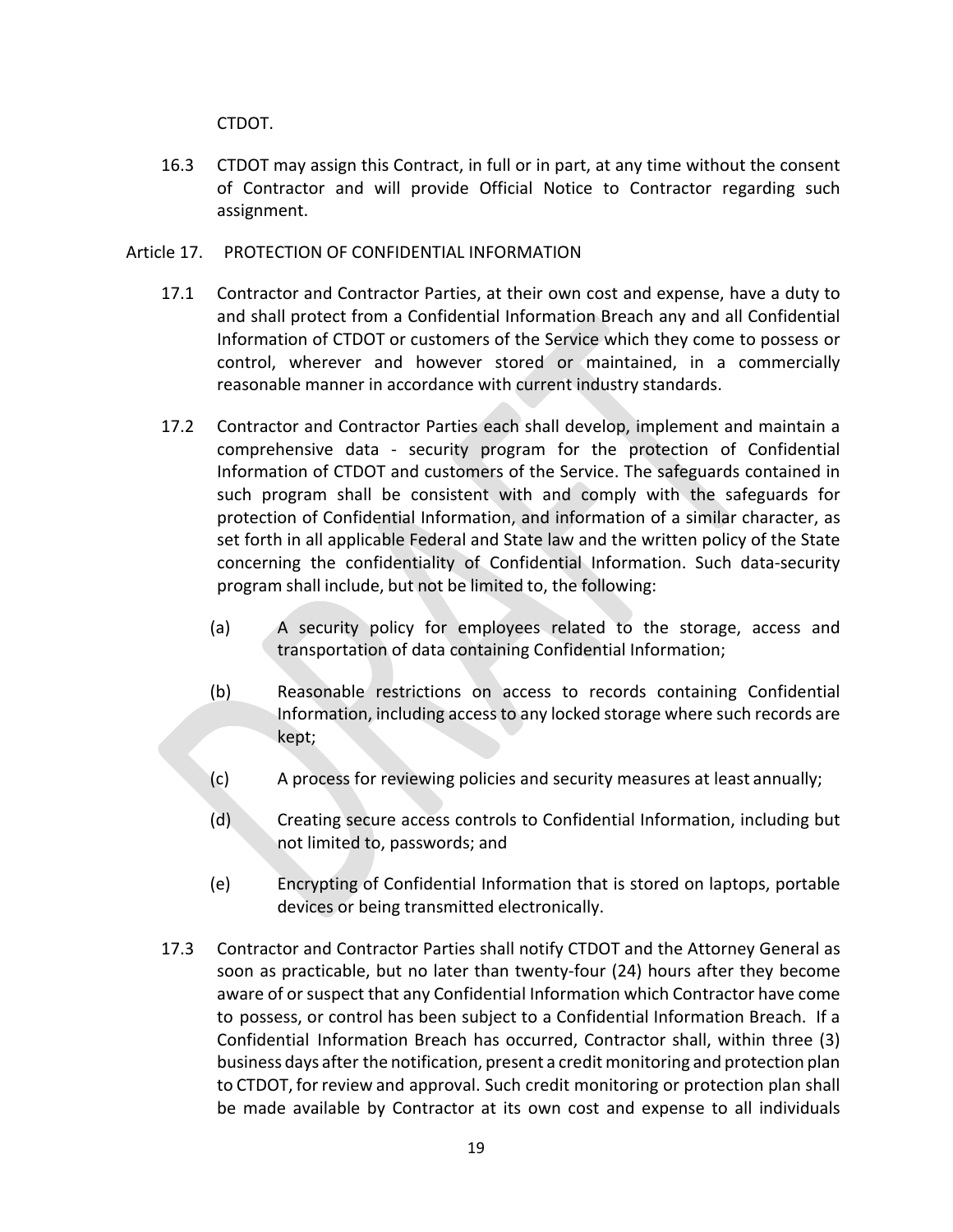CTDOT.

- 16.3 CTDOT may assign this Contract, in full or in part, at any time without the consent of Contractor and will provide Official Notice to Contractor regarding such assignment.
- Article 17. PROTECTION OF CONFIDENTIAL INFORMATION
	- 17.1 Contractor and Contractor Parties, at their own cost and expense, have a duty to and shall protect from a Confidential Information Breach any and all Confidential Information of CTDOT or customers of the Service which they come to possess or control, wherever and however stored or maintained, in a commercially reasonable manner in accordance with current industry standards.
	- 17.2 Contractor and Contractor Parties each shall develop, implement and maintain a comprehensive data ‐ security program for the protection of Confidential Information of CTDOT and customers of the Service. The safeguards contained in such program shall be consistent with and comply with the safeguards for protection of Confidential Information, and information of a similar character, as set forth in all applicable Federal and State law and the written policy of the State concerning the confidentiality of Confidential Information. Such data‐security program shall include, but not be limited to, the following:
		- (a) A security policy for employees related to the storage, access and transportation of data containing Confidential Information;
		- (b) Reasonable restrictions on access to records containing Confidential Information, including access to any locked storage where such records are kept;
		- (c) A process for reviewing policies and security measures at least annually;
		- (d) Creating secure access controls to Confidential Information, including but not limited to, passwords; and
		- (e) Encrypting of Confidential Information that is stored on laptops, portable devices or being transmitted electronically.
	- 17.3 Contractor and Contractor Parties shall notify CTDOT and the Attorney General as soon as practicable, but no later than twenty-four (24) hours after they become aware of or suspect that any Confidential Information which Contractor have come to possess, or control has been subject to a Confidential Information Breach. If a Confidential Information Breach has occurred, Contractor shall, within three (3) business days after the notification, present a credit monitoring and protection plan to CTDOT, for review and approval. Such credit monitoring or protection plan shall be made available by Contractor at its own cost and expense to all individuals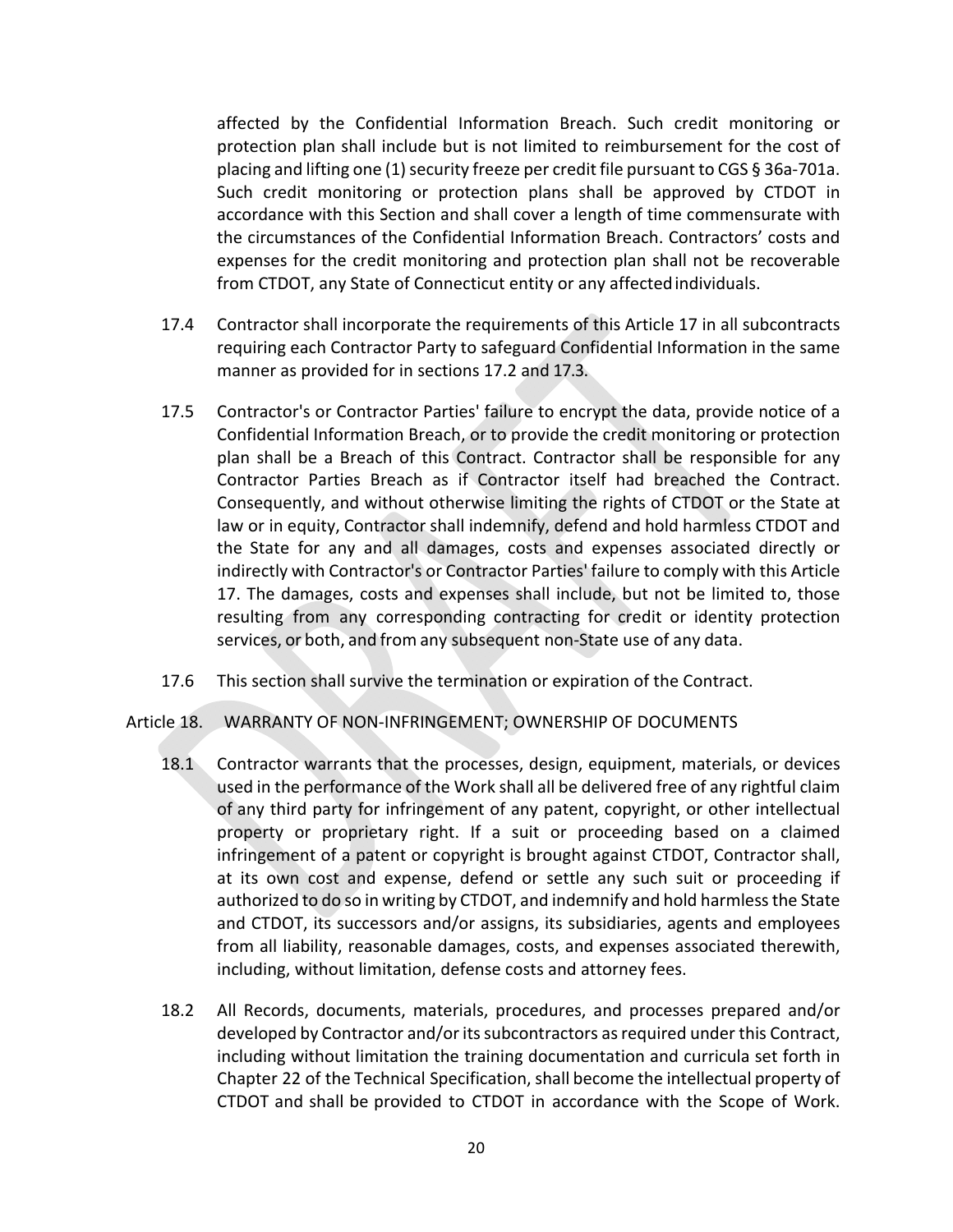affected by the Confidential Information Breach. Such credit monitoring or protection plan shall include but is not limited to reimbursement for the cost of placing and lifting one (1) security freeze per credit file pursuant to CGS § 36a‐701a. Such credit monitoring or protection plans shall be approved by CTDOT in accordance with this Section and shall cover a length of time commensurate with the circumstances of the Confidential Information Breach. Contractors' costs and expenses for the credit monitoring and protection plan shall not be recoverable from CTDOT, any State of Connecticut entity or any affected individuals.

- 17.4 Contractor shall incorporate the requirements of this Article 17 in all subcontracts requiring each Contractor Party to safeguard Confidential Information in the same manner as provided for in sections 17.2 and 17.3.
- 17.5 Contractor's or Contractor Parties' failure to encrypt the data, provide notice of a Confidential Information Breach, or to provide the credit monitoring or protection plan shall be a Breach of this Contract. Contractor shall be responsible for any Contractor Parties Breach as if Contractor itself had breached the Contract. Consequently, and without otherwise limiting the rights of CTDOT or the State at law or in equity, Contractor shall indemnify, defend and hold harmless CTDOT and the State for any and all damages, costs and expenses associated directly or indirectly with Contractor's or Contractor Parties' failure to comply with this Article 17. The damages, costs and expenses shall include, but not be limited to, those resulting from any corresponding contracting for credit or identity protection services, or both, and from any subsequent non‐State use of any data.
- 17.6 This section shall survive the termination or expiration of the Contract.
- Article 18. WARRANTY OF NON‐INFRINGEMENT; OWNERSHIP OF DOCUMENTS
	- 18.1 Contractor warrants that the processes, design, equipment, materials, or devices used in the performance of the Work shall all be delivered free of any rightful claim of any third party for infringement of any patent, copyright, or other intellectual property or proprietary right. If a suit or proceeding based on a claimed infringement of a patent or copyright is brought against CTDOT, Contractor shall, at its own cost and expense, defend or settle any such suit or proceeding if authorized to do so in writing by CTDOT, and indemnify and hold harmless the State and CTDOT, its successors and/or assigns, its subsidiaries, agents and employees from all liability, reasonable damages, costs, and expenses associated therewith, including, without limitation, defense costs and attorney fees.
	- 18.2 All Records, documents, materials, procedures, and processes prepared and/or developed by Contractor and/or its subcontractors as required under this Contract, including without limitation the training documentation and curricula set forth in Chapter 22 of the Technical Specification, shall become the intellectual property of CTDOT and shall be provided to CTDOT in accordance with the Scope of Work.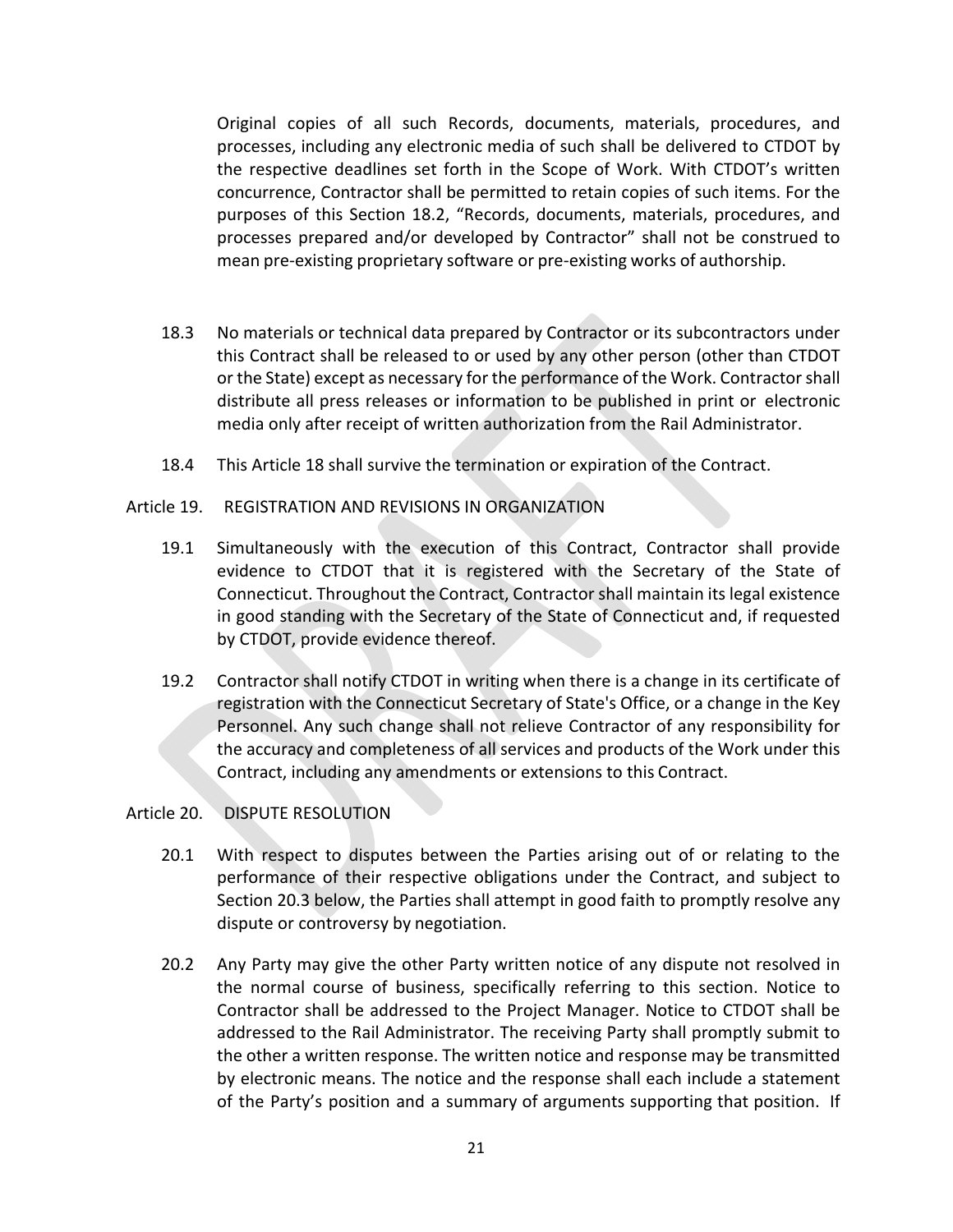Original copies of all such Records, documents, materials, procedures, and processes, including any electronic media of such shall be delivered to CTDOT by the respective deadlines set forth in the Scope of Work. With CTDOT's written concurrence, Contractor shall be permitted to retain copies of such items. For the purposes of this Section 18.2, "Records, documents, materials, procedures, and processes prepared and/or developed by Contractor" shall not be construed to mean pre‐existing proprietary software or pre‐existing works of authorship.

- 18.3 No materials or technical data prepared by Contractor or its subcontractors under this Contract shall be released to or used by any other person (other than CTDOT or the State) except as necessary for the performance of the Work. Contractor shall distribute all press releases or information to be published in print or electronic media only after receipt of written authorization from the Rail Administrator.
- 18.4 This Article 18 shall survive the termination or expiration of the Contract.
- Article 19. REGISTRATION AND REVISIONS IN ORGANIZATION
	- 19.1 Simultaneously with the execution of this Contract, Contractor shall provide evidence to CTDOT that it is registered with the Secretary of the State of Connecticut. Throughout the Contract, Contractor shall maintain its legal existence in good standing with the Secretary of the State of Connecticut and, if requested by CTDOT, provide evidence thereof.
	- 19.2 Contractor shall notify CTDOT in writing when there is a change in its certificate of registration with the Connecticut Secretary of State's Office, or a change in the Key Personnel. Any such change shall not relieve Contractor of any responsibility for the accuracy and completeness of all services and products of the Work under this Contract, including any amendments or extensions to this Contract.

## Article 20. DISPUTE RESOLUTION

- 20.1 With respect to disputes between the Parties arising out of or relating to the performance of their respective obligations under the Contract, and subject to Section 20.3 below, the Parties shall attempt in good faith to promptly resolve any dispute or controversy by negotiation.
- 20.2 Any Party may give the other Party written notice of any dispute not resolved in the normal course of business, specifically referring to this section. Notice to Contractor shall be addressed to the Project Manager. Notice to CTDOT shall be addressed to the Rail Administrator. The receiving Party shall promptly submit to the other a written response. The written notice and response may be transmitted by electronic means. The notice and the response shall each include a statement of the Party's position and a summary of arguments supporting that position. If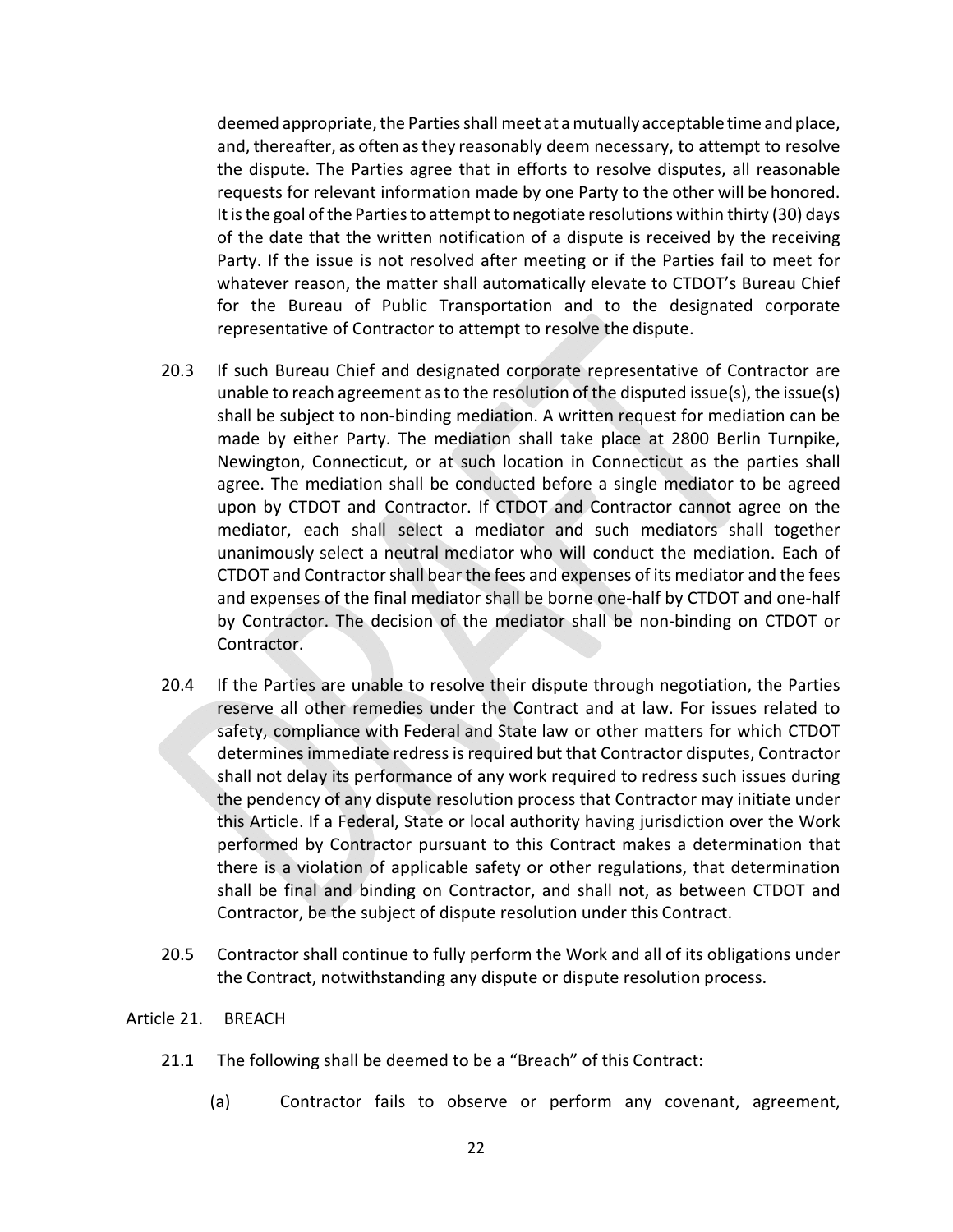deemed appropriate, the Parties shall meet at a mutually acceptable time and place, and, thereafter, as often as they reasonably deem necessary, to attempt to resolve the dispute. The Parties agree that in efforts to resolve disputes, all reasonable requests for relevant information made by one Party to the other will be honored. It is the goal of the Parties to attempt to negotiate resolutions within thirty (30) days of the date that the written notification of a dispute is received by the receiving Party. If the issue is not resolved after meeting or if the Parties fail to meet for whatever reason, the matter shall automatically elevate to CTDOT's Bureau Chief for the Bureau of Public Transportation and to the designated corporate representative of Contractor to attempt to resolve the dispute.

- 20.3 If such Bureau Chief and designated corporate representative of Contractor are unable to reach agreement as to the resolution of the disputed issue(s), the issue(s) shall be subject to non‐binding mediation. A written request for mediation can be made by either Party. The mediation shall take place at 2800 Berlin Turnpike, Newington, Connecticut, or at such location in Connecticut as the parties shall agree. The mediation shall be conducted before a single mediator to be agreed upon by CTDOT and Contractor. If CTDOT and Contractor cannot agree on the mediator, each shall select a mediator and such mediators shall together unanimously select a neutral mediator who will conduct the mediation. Each of CTDOT and Contractor shall bear the fees and expenses of its mediator and the fees and expenses of the final mediator shall be borne one‐half by CTDOT and one‐half by Contractor. The decision of the mediator shall be non-binding on CTDOT or Contractor.
- 20.4 If the Parties are unable to resolve their dispute through negotiation, the Parties reserve all other remedies under the Contract and at law. For issues related to safety, compliance with Federal and State law or other matters for which CTDOT determines immediate redress is required but that Contractor disputes, Contractor shall not delay its performance of any work required to redress such issues during the pendency of any dispute resolution process that Contractor may initiate under this Article. If a Federal, State or local authority having jurisdiction over the Work performed by Contractor pursuant to this Contract makes a determination that there is a violation of applicable safety or other regulations, that determination shall be final and binding on Contractor, and shall not, as between CTDOT and Contractor, be the subject of dispute resolution under this Contract.
- 20.5 Contractor shall continue to fully perform the Work and all of its obligations under the Contract, notwithstanding any dispute or dispute resolution process.

#### Article 21. BREACH

- 21.1 The following shall be deemed to be a "Breach" of this Contract:
	- (a) Contractor fails to observe or perform any covenant, agreement,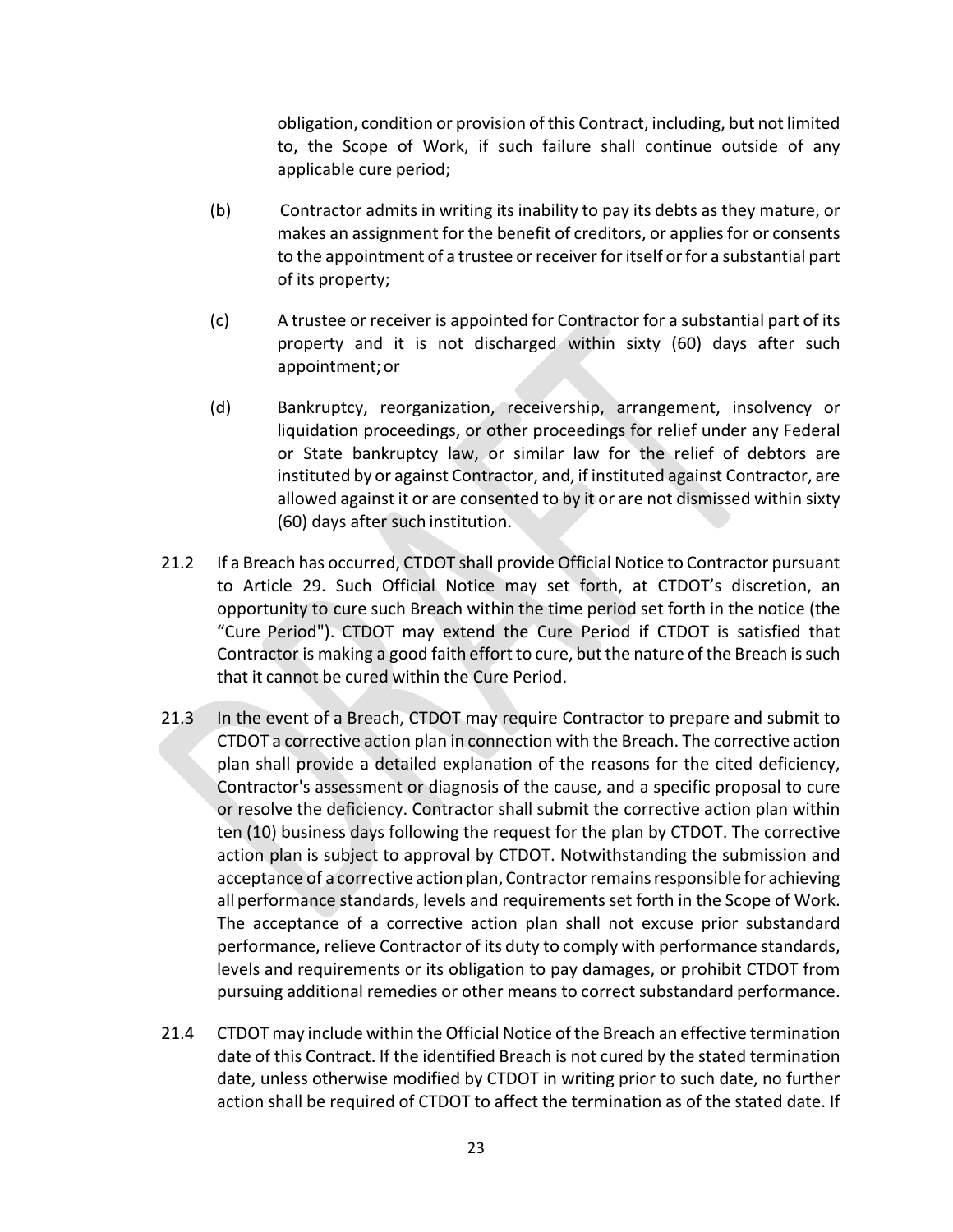obligation, condition or provision of this Contract, including, but not limited to, the Scope of Work, if such failure shall continue outside of any applicable cure period;

- (b) Contractor admits in writing its inability to pay its debts as they mature, or makes an assignment for the benefit of creditors, or applies for or consents to the appointment of a trustee or receiver for itself or for a substantial part of its property;
- (c) A trustee or receiver is appointed for Contractor for a substantial part of its property and it is not discharged within sixty (60) days after such appointment; or
- (d) Bankruptcy, reorganization, receivership, arrangement, insolvency or liquidation proceedings, or other proceedings for relief under any Federal or State bankruptcy law, or similar law for the relief of debtors are instituted by or against Contractor, and, if instituted against Contractor, are allowed against it or are consented to by it or are not dismissed within sixty (60) days after such institution.
- 21.2 If a Breach has occurred, CTDOT shall provide Official Notice to Contractor pursuant to Article 29. Such Official Notice may set forth, at CTDOT's discretion, an opportunity to cure such Breach within the time period set forth in the notice (the "Cure Period"). CTDOT may extend the Cure Period if CTDOT is satisfied that Contractor is making a good faith effort to cure, but the nature of the Breach is such that it cannot be cured within the Cure Period.
- 21.3 In the event of a Breach, CTDOT may require Contractor to prepare and submit to CTDOT a corrective action plan in connection with the Breach. The corrective action plan shall provide a detailed explanation of the reasons for the cited deficiency, Contractor's assessment or diagnosis of the cause, and a specific proposal to cure or resolve the deficiency. Contractor shall submit the corrective action plan within ten (10) business days following the request for the plan by CTDOT. The corrective action plan is subject to approval by CTDOT. Notwithstanding the submission and acceptance of a corrective action plan, Contractor remains responsible for achieving all performance standards, levels and requirements set forth in the Scope of Work. The acceptance of a corrective action plan shall not excuse prior substandard performance, relieve Contractor of its duty to comply with performance standards, levels and requirements or its obligation to pay damages, or prohibit CTDOT from pursuing additional remedies or other means to correct substandard performance.
- 21.4 CTDOT may include within the Official Notice of the Breach an effective termination date of this Contract. If the identified Breach is not cured by the stated termination date, unless otherwise modified by CTDOT in writing prior to such date, no further action shall be required of CTDOT to affect the termination as of the stated date. If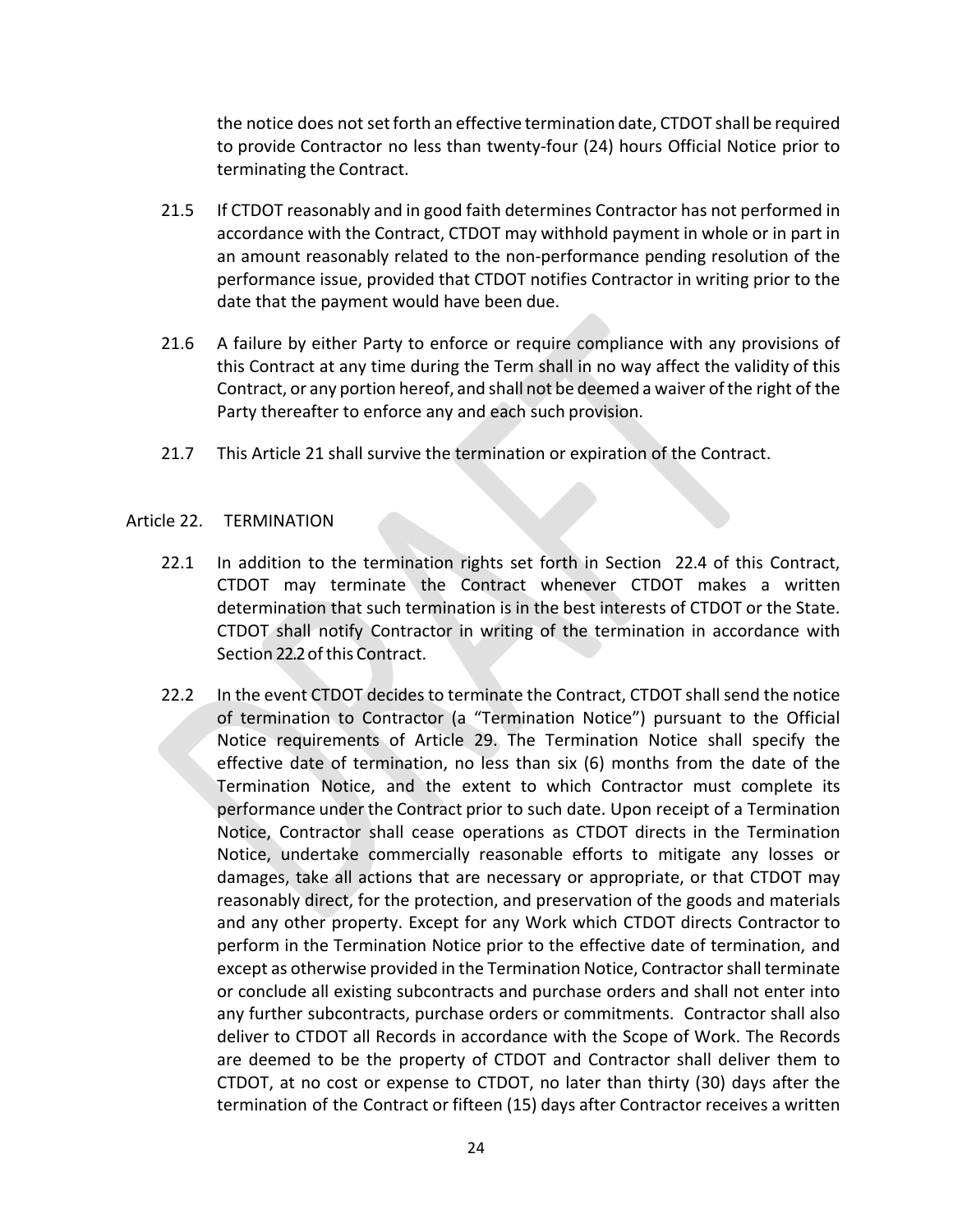the notice does not set forth an effective termination date, CTDOT shall be required to provide Contractor no less than twenty‐four (24) hours Official Notice prior to terminating the Contract.

- 21.5 If CTDOT reasonably and in good faith determines Contractor has not performed in accordance with the Contract, CTDOT may withhold payment in whole or in part in an amount reasonably related to the non‐performance pending resolution of the performance issue, provided that CTDOT notifies Contractor in writing prior to the date that the payment would have been due.
- 21.6 A failure by either Party to enforce or require compliance with any provisions of this Contract at any time during the Term shall in no way affect the validity of this Contract, or any portion hereof, and shall not be deemed a waiver of the right of the Party thereafter to enforce any and each such provision.
- 21.7 This Article 21 shall survive the termination or expiration of the Contract.

## Article 22. TERMINATION

- 22.1 In addition to the termination rights set forth in Section 22.4 of this Contract, CTDOT may terminate the Contract whenever CTDOT makes a written determination that such termination is in the best interests of CTDOT or the State. CTDOT shall notify Contractor in writing of the termination in accordance with Section 22.2 of this Contract.
- 22.2 In the event CTDOT decides to terminate the Contract, CTDOT shall send the notice of termination to Contractor (a "Termination Notice") pursuant to the Official Notice requirements of Article 29. The Termination Notice shall specify the effective date of termination, no less than six (6) months from the date of the Termination Notice, and the extent to which Contractor must complete its performance under the Contract prior to such date. Upon receipt of a Termination Notice, Contractor shall cease operations as CTDOT directs in the Termination Notice, undertake commercially reasonable efforts to mitigate any losses or damages, take all actions that are necessary or appropriate, or that CTDOT may reasonably direct, for the protection, and preservation of the goods and materials and any other property. Except for any Work which CTDOT directs Contractor to perform in the Termination Notice prior to the effective date of termination, and except as otherwise provided in the Termination Notice, Contractor shall terminate or conclude all existing subcontracts and purchase orders and shall not enter into any further subcontracts, purchase orders or commitments. Contractor shall also deliver to CTDOT all Records in accordance with the Scope of Work. The Records are deemed to be the property of CTDOT and Contractor shall deliver them to CTDOT, at no cost or expense to CTDOT, no later than thirty (30) days after the termination of the Contract or fifteen (15) days after Contractor receives a written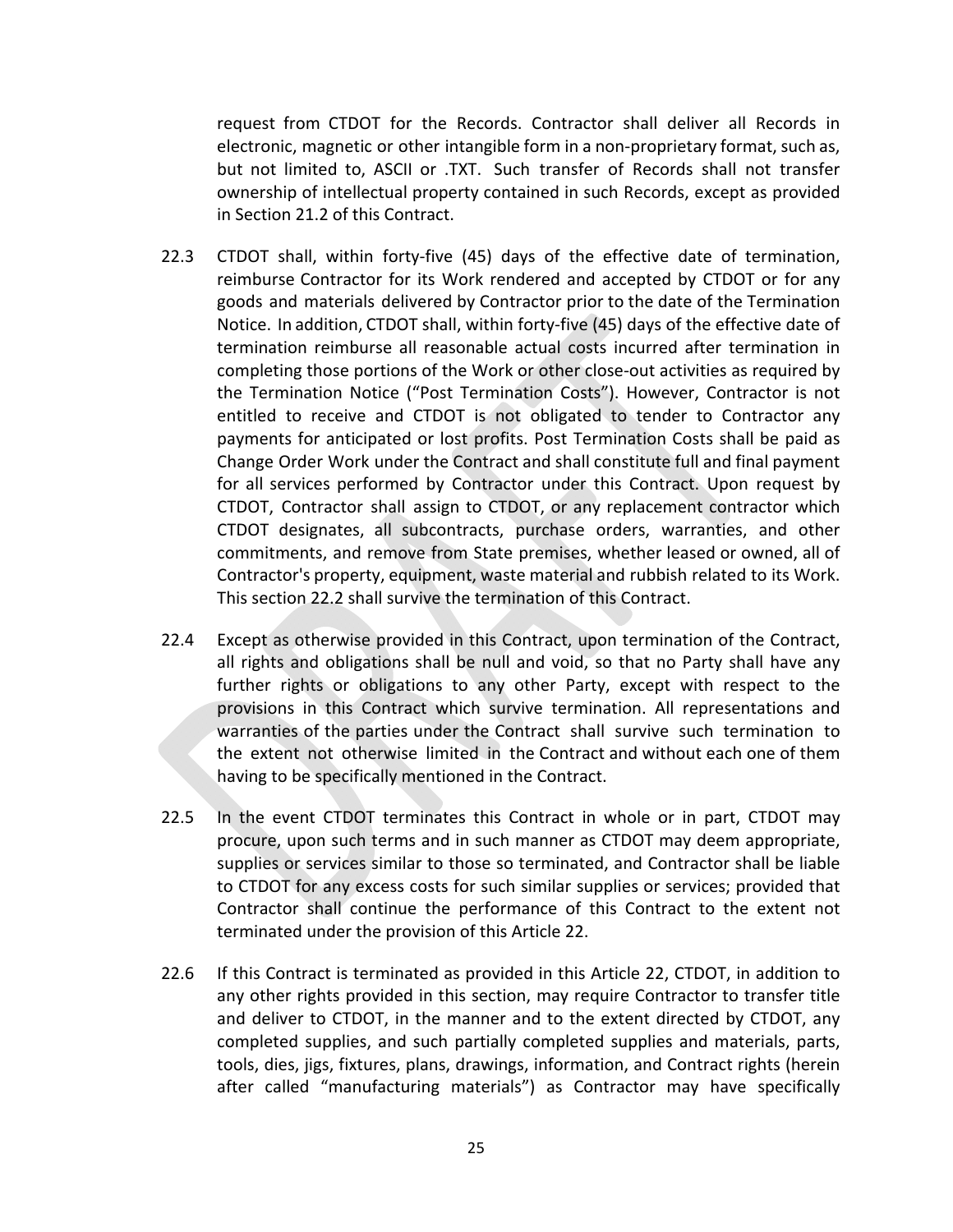request from CTDOT for the Records. Contractor shall deliver all Records in electronic, magnetic or other intangible form in a non‐proprietary format, such as, but not limited to, ASCII or .TXT. Such transfer of Records shall not transfer ownership of intellectual property contained in such Records, except as provided in Section 21.2 of this Contract.

- 22.3 CTDOT shall, within forty-five (45) days of the effective date of termination, reimburse Contractor for its Work rendered and accepted by CTDOT or for any goods and materials delivered by Contractor prior to the date of the Termination Notice. In addition, CTDOT shall, within forty-five (45) days of the effective date of termination reimburse all reasonable actual costs incurred after termination in completing those portions of the Work or other close‐out activities as required by the Termination Notice ("Post Termination Costs"). However, Contractor is not entitled to receive and CTDOT is not obligated to tender to Contractor any payments for anticipated or lost profits. Post Termination Costs shall be paid as Change Order Work under the Contract and shall constitute full and final payment for all services performed by Contractor under this Contract. Upon request by CTDOT, Contractor shall assign to CTDOT, or any replacement contractor which CTDOT designates, all subcontracts, purchase orders, warranties, and other commitments, and remove from State premises, whether leased or owned, all of Contractor's property, equipment, waste material and rubbish related to its Work. This section 22.2 shall survive the termination of this Contract.
- 22.4 Except as otherwise provided in this Contract, upon termination of the Contract, all rights and obligations shall be null and void, so that no Party shall have any further rights or obligations to any other Party, except with respect to the provisions in this Contract which survive termination. All representations and warranties of the parties under the Contract shall survive such termination to the extent not otherwise limited in the Contract and without each one of them having to be specifically mentioned in the Contract.
- 22.5 In the event CTDOT terminates this Contract in whole or in part, CTDOT may procure, upon such terms and in such manner as CTDOT may deem appropriate, supplies or services similar to those so terminated, and Contractor shall be liable to CTDOT for any excess costs for such similar supplies or services; provided that Contractor shall continue the performance of this Contract to the extent not terminated under the provision of this Article 22.
- 22.6 If this Contract is terminated as provided in this Article 22, CTDOT, in addition to any other rights provided in this section, may require Contractor to transfer title and deliver to CTDOT, in the manner and to the extent directed by CTDOT, any completed supplies, and such partially completed supplies and materials, parts, tools, dies, jigs, fixtures, plans, drawings, information, and Contract rights (herein after called "manufacturing materials") as Contractor may have specifically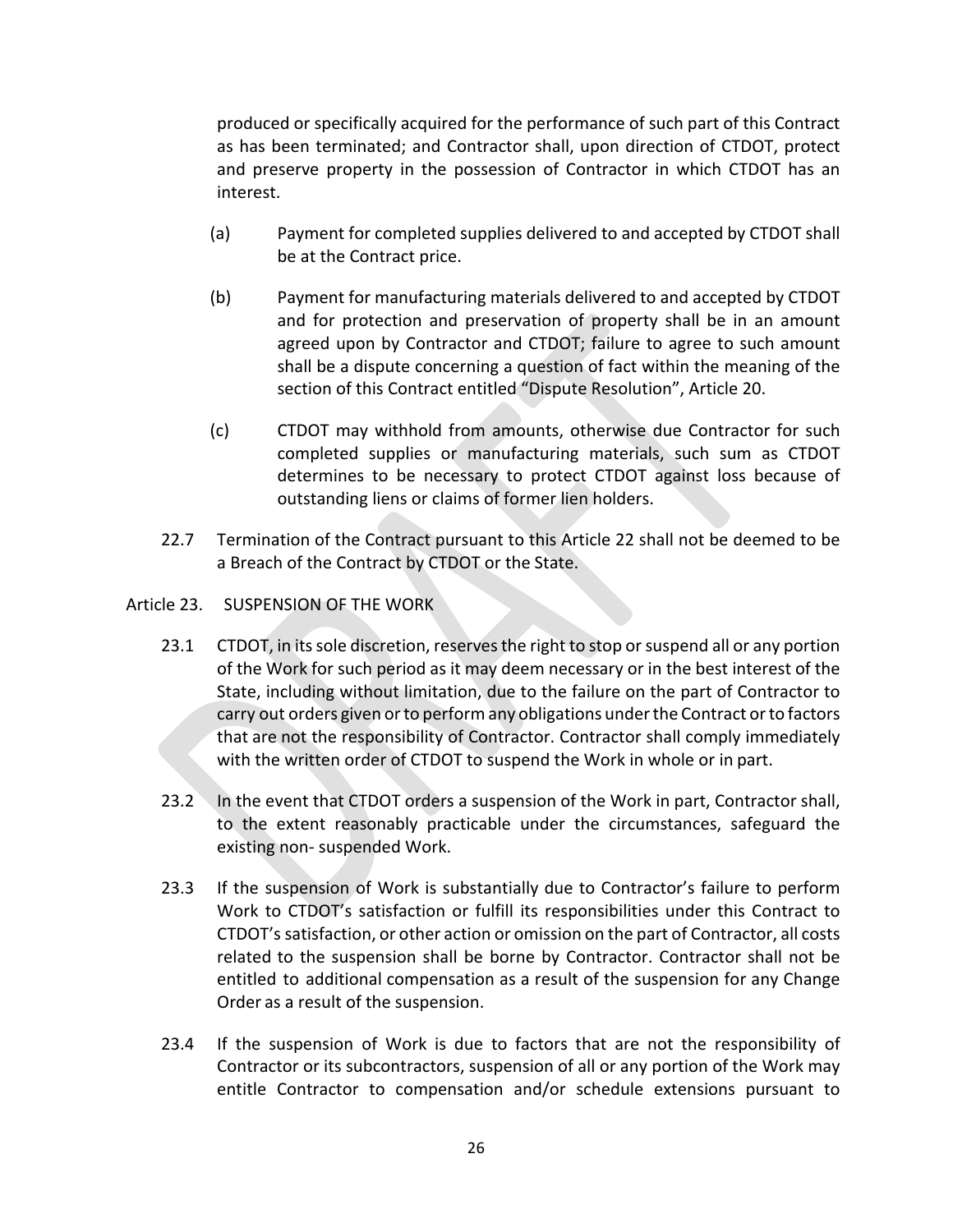produced or specifically acquired for the performance of such part of this Contract as has been terminated; and Contractor shall, upon direction of CTDOT, protect and preserve property in the possession of Contractor in which CTDOT has an interest.

- (a) Payment for completed supplies delivered to and accepted by CTDOT shall be at the Contract price.
- (b) Payment for manufacturing materials delivered to and accepted by CTDOT and for protection and preservation of property shall be in an amount agreed upon by Contractor and CTDOT; failure to agree to such amount shall be a dispute concerning a question of fact within the meaning of the section of this Contract entitled "Dispute Resolution", Article 20.
- (c) CTDOT may withhold from amounts, otherwise due Contractor for such completed supplies or manufacturing materials, such sum as CTDOT determines to be necessary to protect CTDOT against loss because of outstanding liens or claims of former lien holders.
- 22.7 Termination of the Contract pursuant to this Article 22 shall not be deemed to be a Breach of the Contract by CTDOT or the State.
- Article 23. SUSPENSION OF THE WORK
	- 23.1 CTDOT, in its sole discretion, reserves the right to stop or suspend all or any portion of the Work for such period as it may deem necessary or in the best interest of the State, including without limitation, due to the failure on the part of Contractor to carry out orders given or to perform any obligations under the Contract or to factors that are not the responsibility of Contractor. Contractor shall comply immediately with the written order of CTDOT to suspend the Work in whole or in part.
	- 23.2 In the event that CTDOT orders a suspension of the Work in part, Contractor shall, to the extent reasonably practicable under the circumstances, safeguard the existing non‐ suspended Work.
	- 23.3 If the suspension of Work is substantially due to Contractor's failure to perform Work to CTDOT's satisfaction or fulfill its responsibilities under this Contract to CTDOT's satisfaction, or other action or omission on the part of Contractor, all costs related to the suspension shall be borne by Contractor. Contractor shall not be entitled to additional compensation as a result of the suspension for any Change Order as a result of the suspension.
	- 23.4 If the suspension of Work is due to factors that are not the responsibility of Contractor or its subcontractors, suspension of all or any portion of the Work may entitle Contractor to compensation and/or schedule extensions pursuant to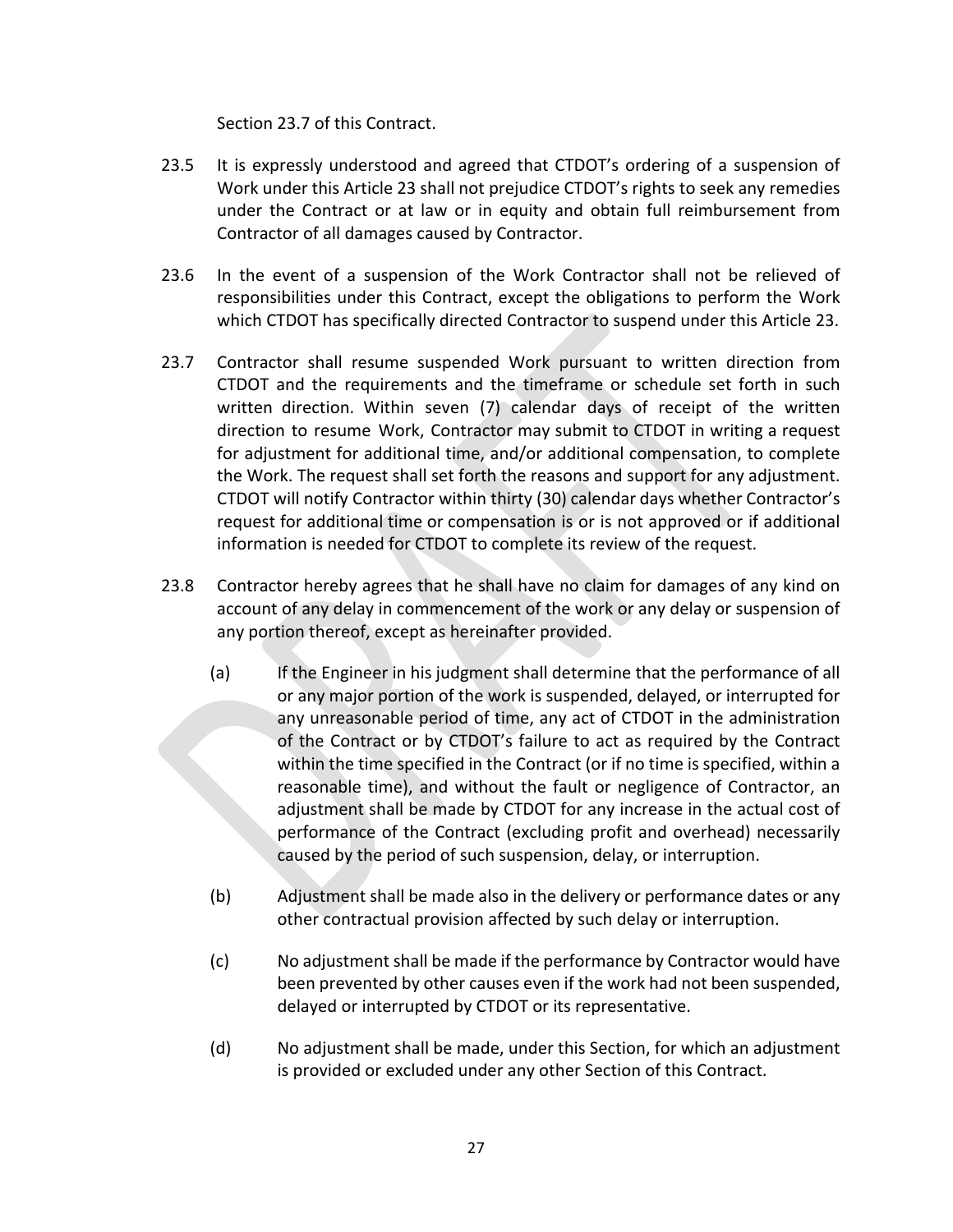Section 23.7 of this Contract.

- 23.5 It is expressly understood and agreed that CTDOT's ordering of a suspension of Work under this Article 23 shall not prejudice CTDOT's rights to seek any remedies under the Contract or at law or in equity and obtain full reimbursement from Contractor of all damages caused by Contractor.
- 23.6 In the event of a suspension of the Work Contractor shall not be relieved of responsibilities under this Contract, except the obligations to perform the Work which CTDOT has specifically directed Contractor to suspend under this Article 23.
- 23.7 Contractor shall resume suspended Work pursuant to written direction from CTDOT and the requirements and the timeframe or schedule set forth in such written direction. Within seven (7) calendar days of receipt of the written direction to resume Work, Contractor may submit to CTDOT in writing a request for adjustment for additional time, and/or additional compensation, to complete the Work. The request shall set forth the reasons and support for any adjustment. CTDOT will notify Contractor within thirty (30) calendar days whether Contractor's request for additional time or compensation is or is not approved or if additional information is needed for CTDOT to complete its review of the request.
- 23.8 Contractor hereby agrees that he shall have no claim for damages of any kind on account of any delay in commencement of the work or any delay or suspension of any portion thereof, except as hereinafter provided.
	- (a) If the Engineer in his judgment shall determine that the performance of all or any major portion of the work is suspended, delayed, or interrupted for any unreasonable period of time, any act of CTDOT in the administration of the Contract or by CTDOT's failure to act as required by the Contract within the time specified in the Contract (or if no time is specified, within a reasonable time), and without the fault or negligence of Contractor, an adjustment shall be made by CTDOT for any increase in the actual cost of performance of the Contract (excluding profit and overhead) necessarily caused by the period of such suspension, delay, or interruption.
	- (b) Adjustment shall be made also in the delivery or performance dates or any other contractual provision affected by such delay or interruption.
	- (c) No adjustment shall be made if the performance by Contractor would have been prevented by other causes even if the work had not been suspended, delayed or interrupted by CTDOT or its representative.
	- (d) No adjustment shall be made, under this Section, for which an adjustment is provided or excluded under any other Section of this Contract.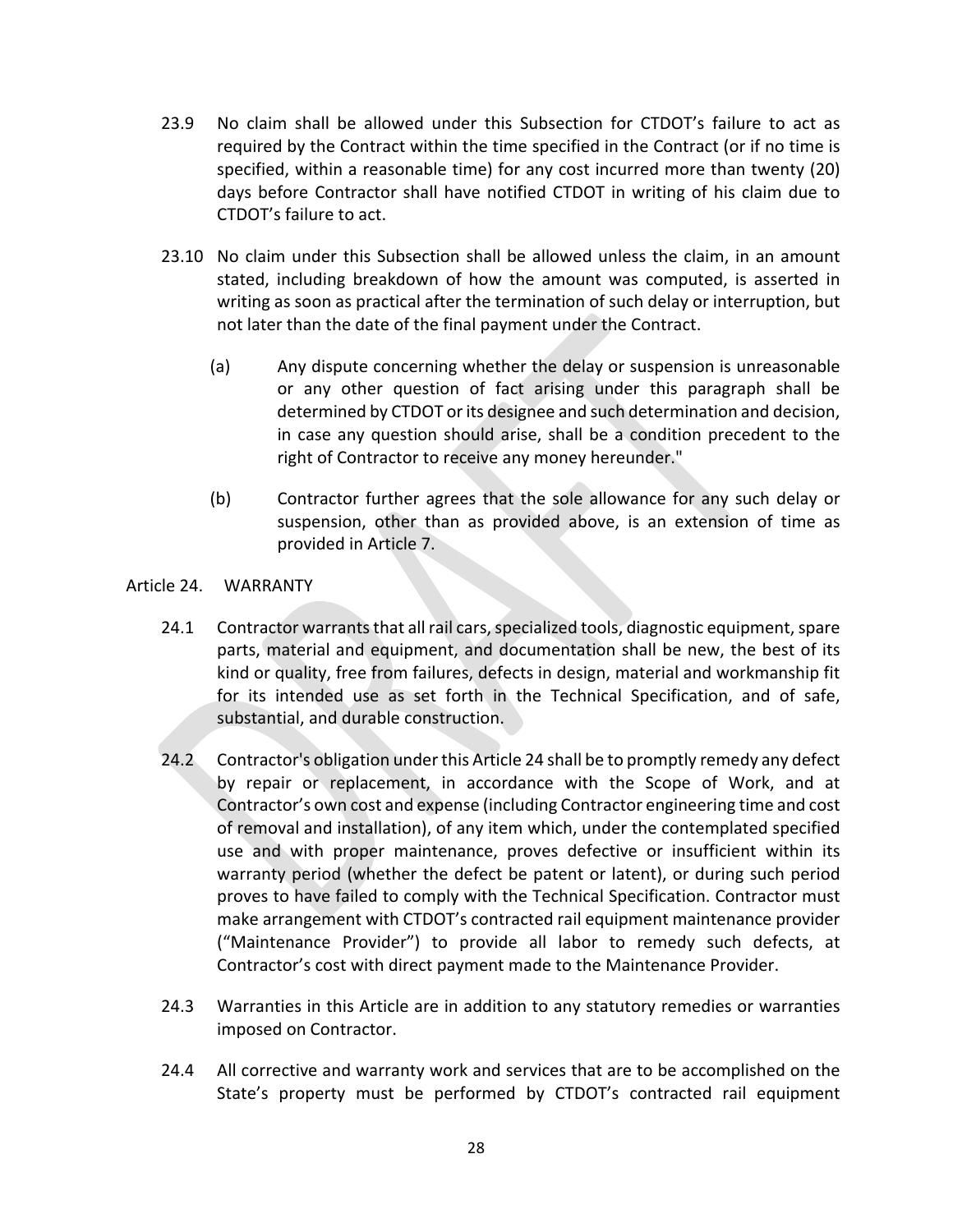- 23.9 No claim shall be allowed under this Subsection for CTDOT's failure to act as required by the Contract within the time specified in the Contract (or if no time is specified, within a reasonable time) for any cost incurred more than twenty (20) days before Contractor shall have notified CTDOT in writing of his claim due to CTDOT's failure to act.
- 23.10 No claim under this Subsection shall be allowed unless the claim, in an amount stated, including breakdown of how the amount was computed, is asserted in writing as soon as practical after the termination of such delay or interruption, but not later than the date of the final payment under the Contract.
	- (a) Any dispute concerning whether the delay or suspension is unreasonable or any other question of fact arising under this paragraph shall be determined by CTDOT or its designee and such determination and decision, in case any question should arise, shall be a condition precedent to the right of Contractor to receive any money hereunder."
	- (b) Contractor further agrees that the sole allowance for any such delay or suspension, other than as provided above, is an extension of time as provided in Article 7.

## Article 24. WARRANTY

- 24.1 Contractor warrants that all rail cars, specialized tools, diagnostic equipment, spare parts, material and equipment, and documentation shall be new, the best of its kind or quality, free from failures, defects in design, material and workmanship fit for its intended use as set forth in the Technical Specification, and of safe, substantial, and durable construction.
- 24.2 Contractor's obligation under this Article 24 shall be to promptly remedy any defect by repair or replacement, in accordance with the Scope of Work, and at Contractor's own cost and expense (including Contractor engineering time and cost of removal and installation), of any item which, under the contemplated specified use and with proper maintenance, proves defective or insufficient within its warranty period (whether the defect be patent or latent), or during such period proves to have failed to comply with the Technical Specification. Contractor must make arrangement with CTDOT's contracted rail equipment maintenance provider ("Maintenance Provider") to provide all labor to remedy such defects, at Contractor's cost with direct payment made to the Maintenance Provider.
- 24.3 Warranties in this Article are in addition to any statutory remedies or warranties imposed on Contractor.
- 24.4 All corrective and warranty work and services that are to be accomplished on the State's property must be performed by CTDOT's contracted rail equipment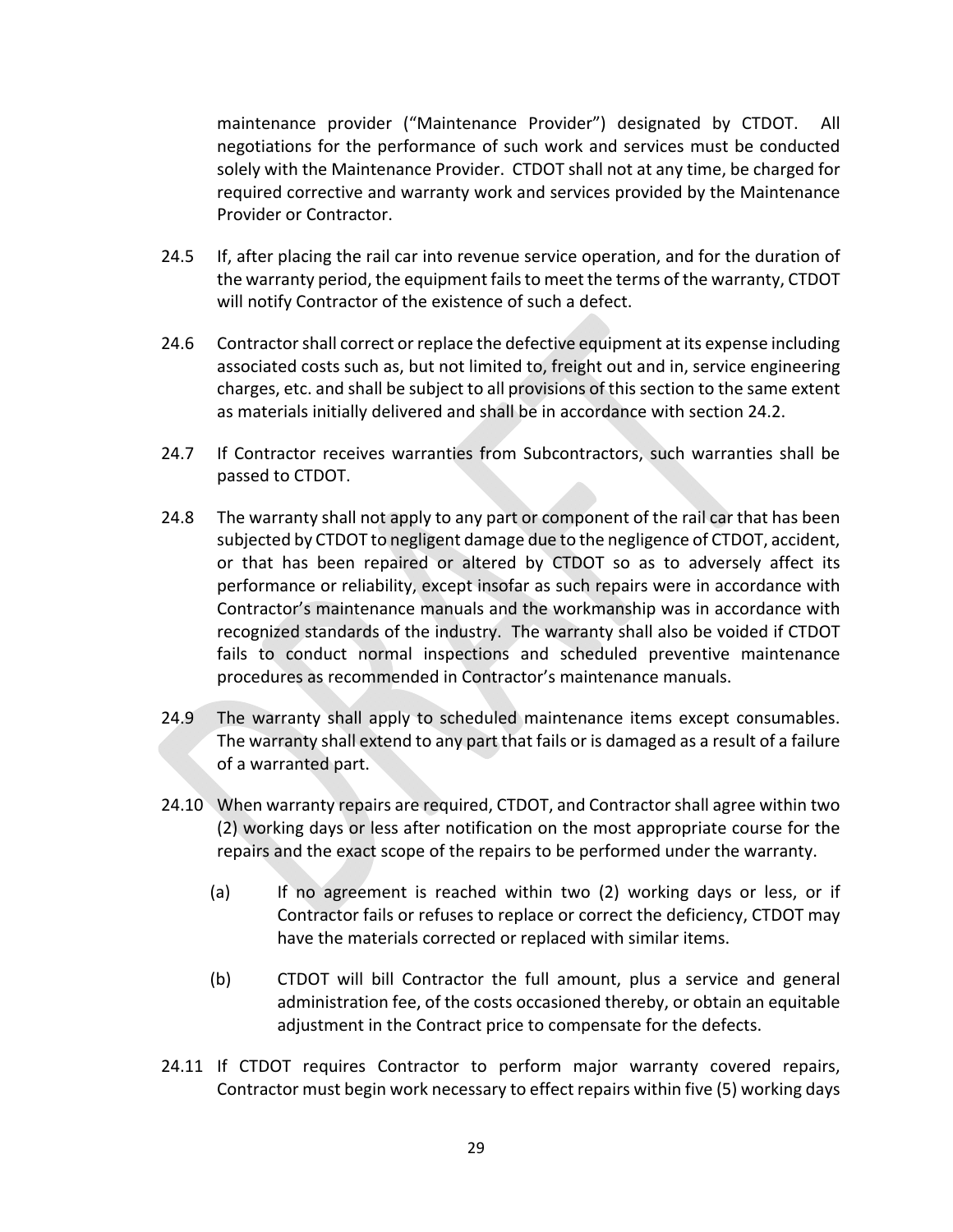maintenance provider ("Maintenance Provider") designated by CTDOT. All negotiations for the performance of such work and services must be conducted solely with the Maintenance Provider. CTDOT shall not at any time, be charged for required corrective and warranty work and services provided by the Maintenance Provider or Contractor.

- 24.5 If, after placing the rail car into revenue service operation, and for the duration of the warranty period, the equipment fails to meet the terms of the warranty, CTDOT will notify Contractor of the existence of such a defect.
- 24.6 Contractor shall correct or replace the defective equipment at its expense including associated costs such as, but not limited to, freight out and in, service engineering charges, etc. and shall be subject to all provisions of this section to the same extent as materials initially delivered and shall be in accordance with section 24.2.
- 24.7 If Contractor receives warranties from Subcontractors, such warranties shall be passed to CTDOT.
- 24.8 The warranty shall not apply to any part or component of the rail car that has been subjected by CTDOT to negligent damage due to the negligence of CTDOT, accident, or that has been repaired or altered by CTDOT so as to adversely affect its performance or reliability, except insofar as such repairs were in accordance with Contractor's maintenance manuals and the workmanship was in accordance with recognized standards of the industry. The warranty shall also be voided if CTDOT fails to conduct normal inspections and scheduled preventive maintenance procedures as recommended in Contractor's maintenance manuals.
- 24.9 The warranty shall apply to scheduled maintenance items except consumables. The warranty shall extend to any part that fails or is damaged as a result of a failure of a warranted part.
- 24.10 When warranty repairs are required, CTDOT, and Contractor shall agree within two (2) working days or less after notification on the most appropriate course for the repairs and the exact scope of the repairs to be performed under the warranty.
	- (a) If no agreement is reached within two (2) working days or less, or if Contractor fails or refuses to replace or correct the deficiency, CTDOT may have the materials corrected or replaced with similar items.
	- (b) CTDOT will bill Contractor the full amount, plus a service and general administration fee, of the costs occasioned thereby, or obtain an equitable adjustment in the Contract price to compensate for the defects.
- 24.11 If CTDOT requires Contractor to perform major warranty covered repairs, Contractor must begin work necessary to effect repairs within five (5) working days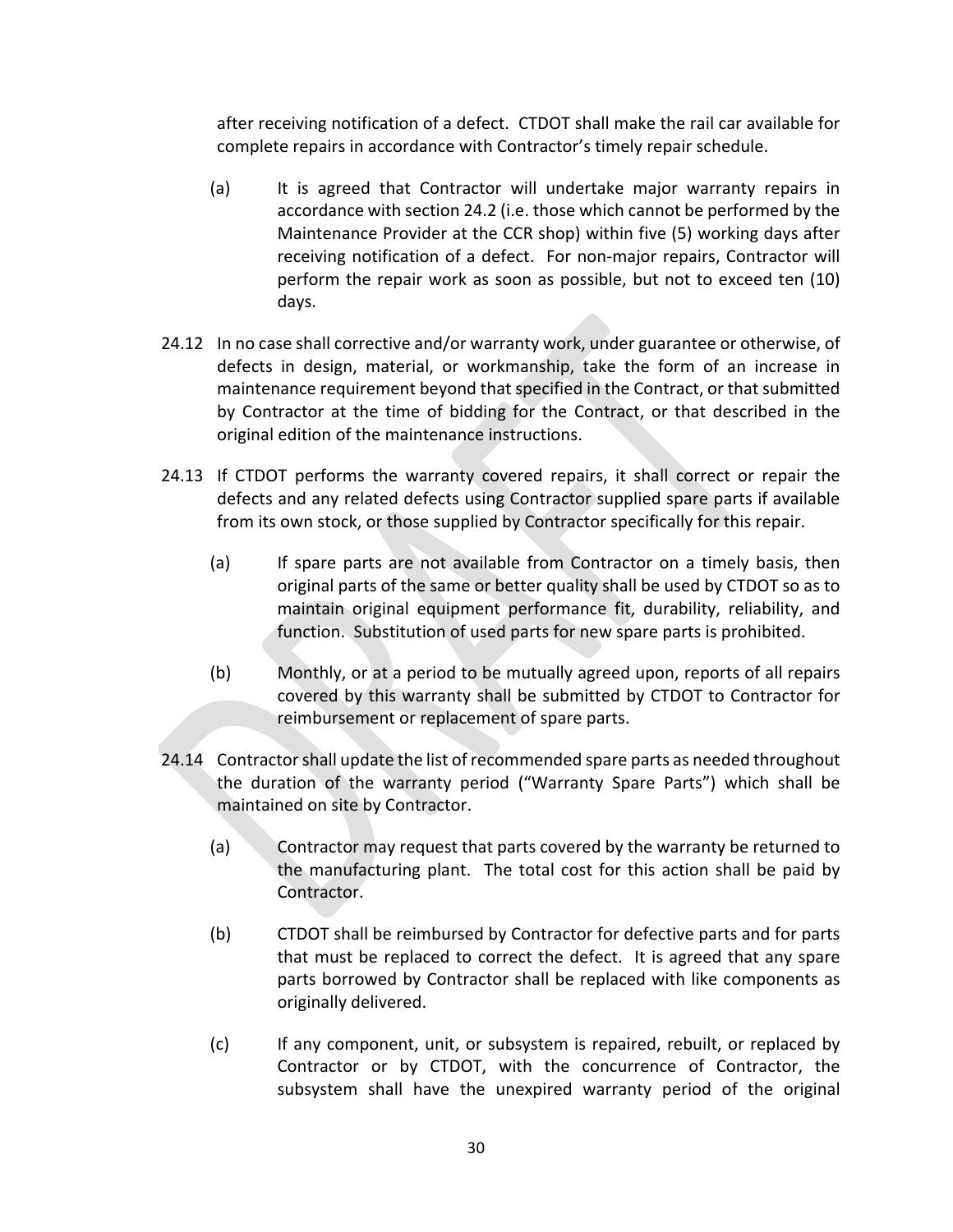after receiving notification of a defect. CTDOT shall make the rail car available for complete repairs in accordance with Contractor's timely repair schedule.

- (a) It is agreed that Contractor will undertake major warranty repairs in accordance with section 24.2 (i.e. those which cannot be performed by the Maintenance Provider at the CCR shop) within five (5) working days after receiving notification of a defect. For non‐major repairs, Contractor will perform the repair work as soon as possible, but not to exceed ten (10) days.
- 24.12 In no case shall corrective and/or warranty work, under guarantee or otherwise, of defects in design, material, or workmanship, take the form of an increase in maintenance requirement beyond that specified in the Contract, or that submitted by Contractor at the time of bidding for the Contract, or that described in the original edition of the maintenance instructions.
- 24.13 If CTDOT performs the warranty covered repairs, it shall correct or repair the defects and any related defects using Contractor supplied spare parts if available from its own stock, or those supplied by Contractor specifically for this repair.
	- (a) If spare parts are not available from Contractor on a timely basis, then original parts of the same or better quality shall be used by CTDOT so as to maintain original equipment performance fit, durability, reliability, and function. Substitution of used parts for new spare parts is prohibited.
	- (b) Monthly, or at a period to be mutually agreed upon, reports of all repairs covered by this warranty shall be submitted by CTDOT to Contractor for reimbursement or replacement of spare parts.
- 24.14 Contractor shall update the list of recommended spare parts as needed throughout the duration of the warranty period ("Warranty Spare Parts") which shall be maintained on site by Contractor.
	- (a) Contractor may request that parts covered by the warranty be returned to the manufacturing plant. The total cost for this action shall be paid by Contractor.
	- (b) CTDOT shall be reimbursed by Contractor for defective parts and for parts that must be replaced to correct the defect. It is agreed that any spare parts borrowed by Contractor shall be replaced with like components as originally delivered.
	- (c) If any component, unit, or subsystem is repaired, rebuilt, or replaced by Contractor or by CTDOT, with the concurrence of Contractor, the subsystem shall have the unexpired warranty period of the original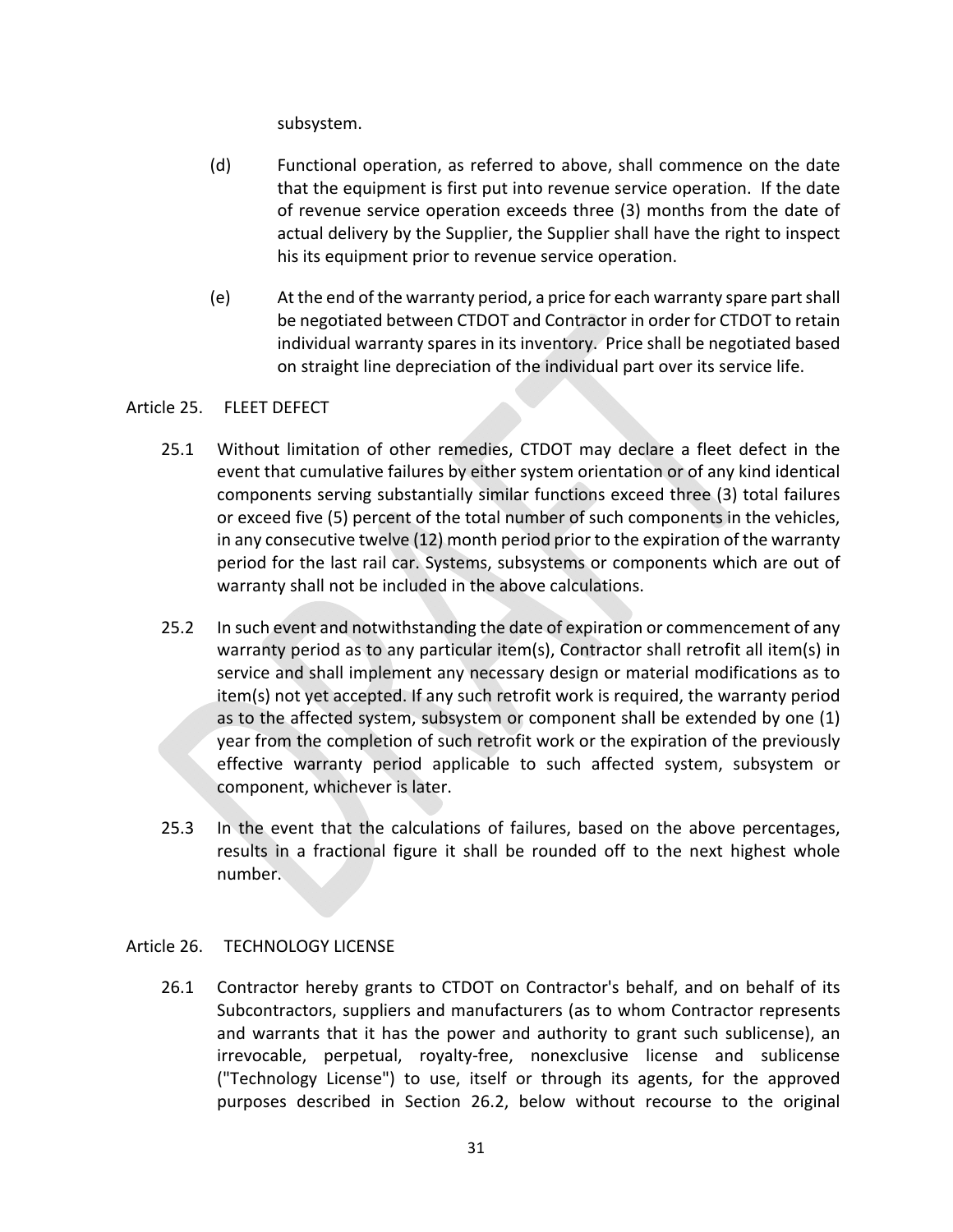subsystem.

- (d) Functional operation, as referred to above, shall commence on the date that the equipment is first put into revenue service operation. If the date of revenue service operation exceeds three (3) months from the date of actual delivery by the Supplier, the Supplier shall have the right to inspect his its equipment prior to revenue service operation.
- (e) At the end of the warranty period, a price for each warranty spare part shall be negotiated between CTDOT and Contractor in order for CTDOT to retain individual warranty spares in its inventory. Price shall be negotiated based on straight line depreciation of the individual part over its service life.

## Article 25. FLEET DEFECT

- 25.1 Without limitation of other remedies, CTDOT may declare a fleet defect in the event that cumulative failures by either system orientation or of any kind identical components serving substantially similar functions exceed three (3) total failures or exceed five (5) percent of the total number of such components in the vehicles, in any consecutive twelve (12) month period prior to the expiration of the warranty period for the last rail car. Systems, subsystems or components which are out of warranty shall not be included in the above calculations.
- 25.2 In such event and notwithstanding the date of expiration or commencement of any warranty period as to any particular item(s), Contractor shall retrofit all item(s) in service and shall implement any necessary design or material modifications as to item(s) not yet accepted. If any such retrofit work is required, the warranty period as to the affected system, subsystem or component shall be extended by one (1) year from the completion of such retrofit work or the expiration of the previously effective warranty period applicable to such affected system, subsystem or component, whichever is later.
- 25.3 In the event that the calculations of failures, based on the above percentages, results in a fractional figure it shall be rounded off to the next highest whole number.

## Article 26. TECHNOLOGY LICENSE

26.1 Contractor hereby grants to CTDOT on Contractor's behalf, and on behalf of its Subcontractors, suppliers and manufacturers (as to whom Contractor represents and warrants that it has the power and authority to grant such sublicense), an irrevocable, perpetual, royalty‐free, nonexclusive license and sublicense ("Technology License") to use, itself or through its agents, for the approved purposes described in Section 26.2, below without recourse to the original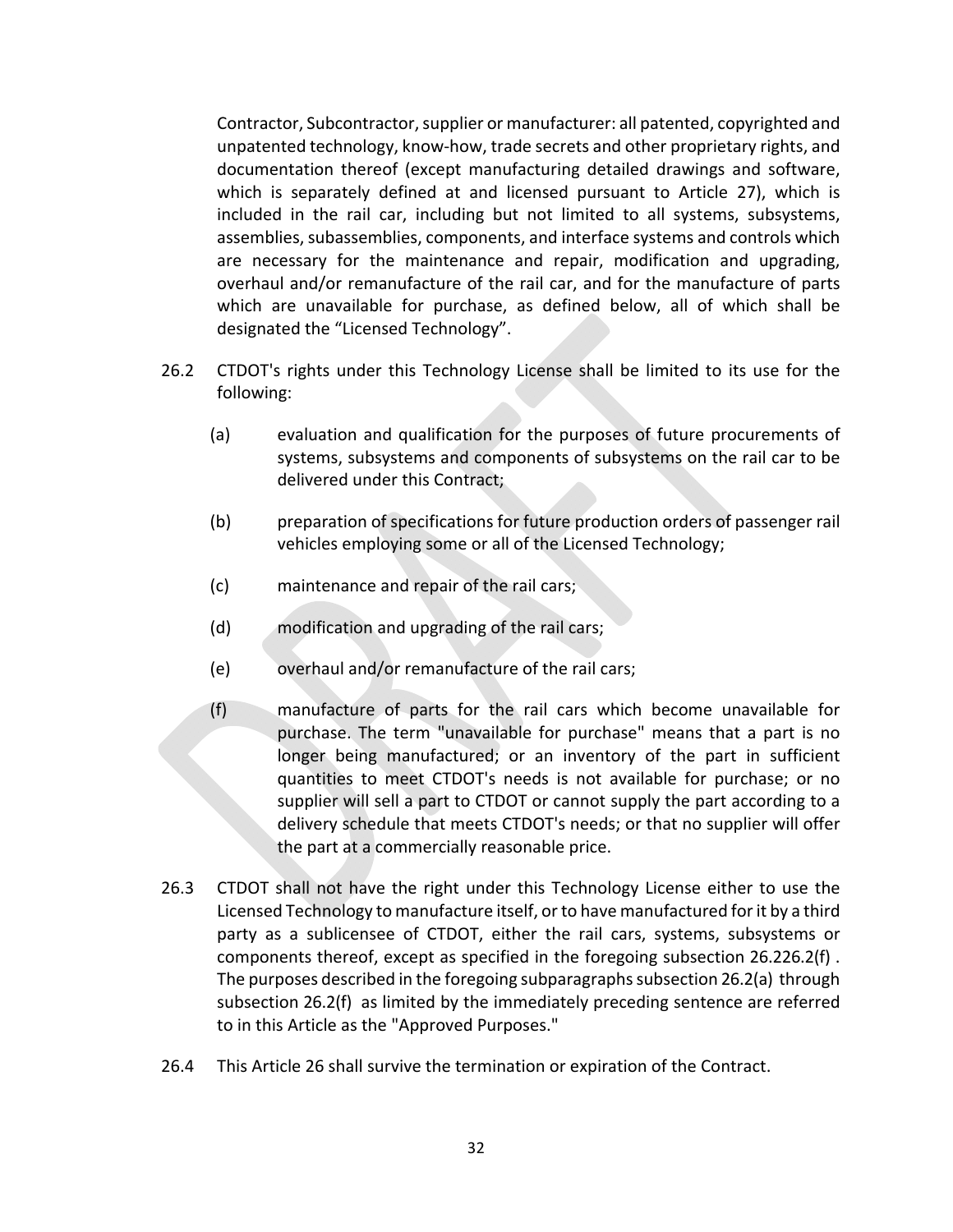Contractor, Subcontractor, supplier or manufacturer: all patented, copyrighted and unpatented technology, know‐how, trade secrets and other proprietary rights, and documentation thereof (except manufacturing detailed drawings and software, which is separately defined at and licensed pursuant to Article 27), which is included in the rail car, including but not limited to all systems, subsystems, assemblies, subassemblies, components, and interface systems and controls which are necessary for the maintenance and repair, modification and upgrading, overhaul and/or remanufacture of the rail car, and for the manufacture of parts which are unavailable for purchase, as defined below, all of which shall be designated the "Licensed Technology".

- 26.2 CTDOT's rights under this Technology License shall be limited to its use for the following:
	- (a) evaluation and qualification for the purposes of future procurements of systems, subsystems and components of subsystems on the rail car to be delivered under this Contract;
	- (b) preparation of specifications for future production orders of passenger rail vehicles employing some or all of the Licensed Technology;
	- (c) maintenance and repair of the rail cars;
	- (d) modification and upgrading of the rail cars;
	- (e) overhaul and/or remanufacture of the rail cars;
	- (f) manufacture of parts for the rail cars which become unavailable for purchase. The term "unavailable for purchase" means that a part is no longer being manufactured; or an inventory of the part in sufficient quantities to meet CTDOT's needs is not available for purchase; or no supplier will sell a part to CTDOT or cannot supply the part according to a delivery schedule that meets CTDOT's needs; or that no supplier will offer the part at a commercially reasonable price.
- 26.3 CTDOT shall not have the right under this Technology License either to use the Licensed Technology to manufacture itself, or to have manufactured for it by a third party as a sublicensee of CTDOT, either the rail cars, systems, subsystems or components thereof, except as specified in the foregoing subsection 26.226.2(f) . The purposes described in the foregoing subparagraphs subsection 26.2(a) through subsection 26.2(f) as limited by the immediately preceding sentence are referred to in this Article as the "Approved Purposes."
- 26.4 This Article 26 shall survive the termination or expiration of the Contract.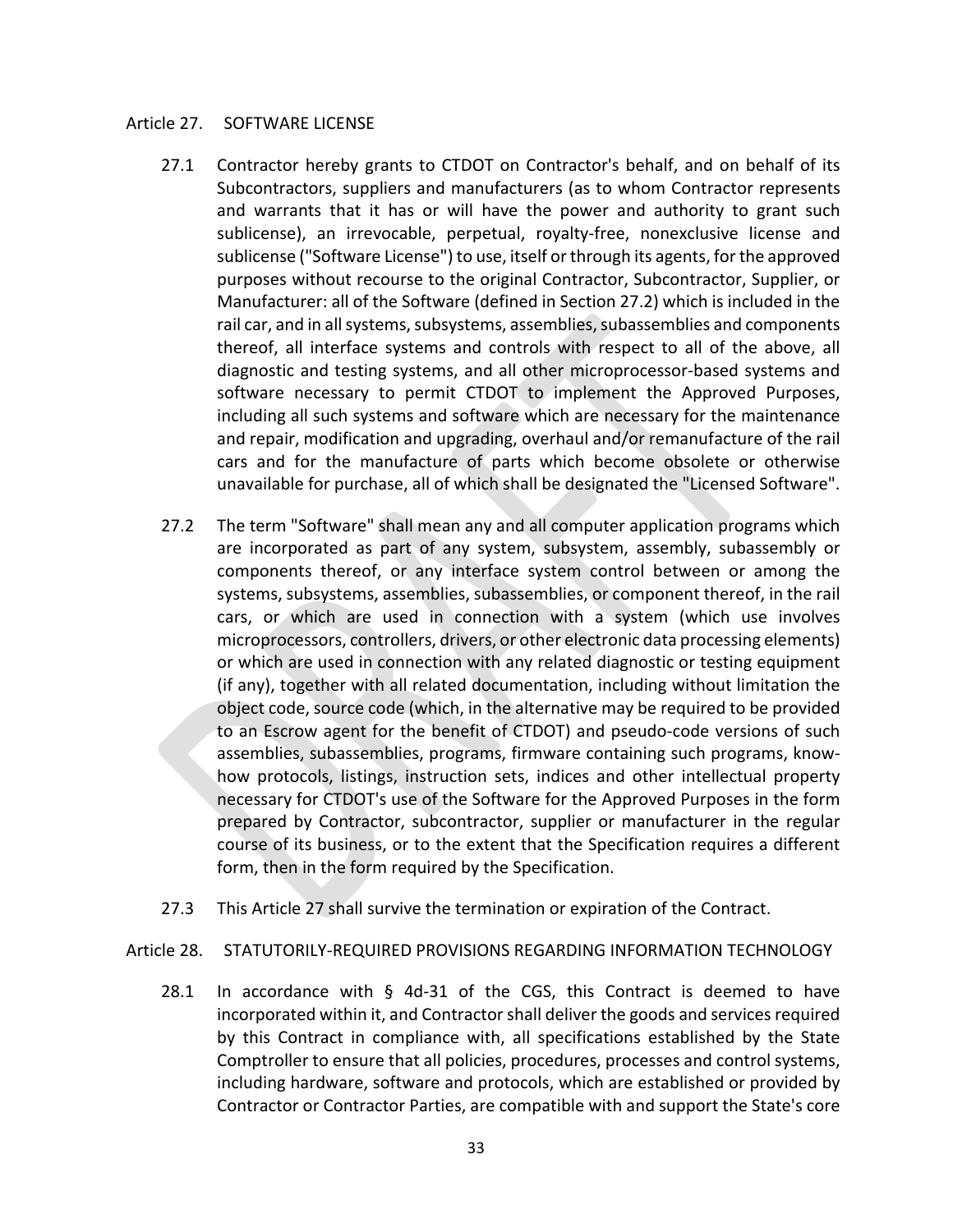#### Article 27. SOFTWARE LICENSE

- 27.1 Contractor hereby grants to CTDOT on Contractor's behalf, and on behalf of its Subcontractors, suppliers and manufacturers (as to whom Contractor represents and warrants that it has or will have the power and authority to grant such sublicense), an irrevocable, perpetual, royalty-free, nonexclusive license and sublicense ("Software License") to use, itself or through its agents, for the approved purposes without recourse to the original Contractor, Subcontractor, Supplier, or Manufacturer: all of the Software (defined in Section 27.2) which is included in the rail car, and in all systems, subsystems, assemblies, subassemblies and components thereof, all interface systems and controls with respect to all of the above, all diagnostic and testing systems, and all other microprocessor‐based systems and software necessary to permit CTDOT to implement the Approved Purposes, including all such systems and software which are necessary for the maintenance and repair, modification and upgrading, overhaul and/or remanufacture of the rail cars and for the manufacture of parts which become obsolete or otherwise unavailable for purchase, all of which shall be designated the "Licensed Software".
- 27.2 The term "Software" shall mean any and all computer application programs which are incorporated as part of any system, subsystem, assembly, subassembly or components thereof, or any interface system control between or among the systems, subsystems, assemblies, subassemblies, or component thereof, in the rail cars, or which are used in connection with a system (which use involves microprocessors, controllers, drivers, or other electronic data processing elements) or which are used in connection with any related diagnostic or testing equipment (if any), together with all related documentation, including without limitation the object code, source code (which, in the alternative may be required to be provided to an Escrow agent for the benefit of CTDOT) and pseudo-code versions of such assemblies, subassemblies, programs, firmware containing such programs, know‐ how protocols, listings, instruction sets, indices and other intellectual property necessary for CTDOT's use of the Software for the Approved Purposes in the form prepared by Contractor, subcontractor, supplier or manufacturer in the regular course of its business, or to the extent that the Specification requires a different form, then in the form required by the Specification.
- 27.3 This Article 27 shall survive the termination or expiration of the Contract.

Article 28. STATUTORILY‐REQUIRED PROVISIONS REGARDING INFORMATION TECHNOLOGY

28.1 In accordance with  $\S$  4d-31 of the CGS, this Contract is deemed to have incorporated within it, and Contractor shall deliver the goods and services required by this Contract in compliance with, all specifications established by the State Comptroller to ensure that all policies, procedures, processes and control systems, including hardware, software and protocols, which are established or provided by Contractor or Contractor Parties, are compatible with and support the State's core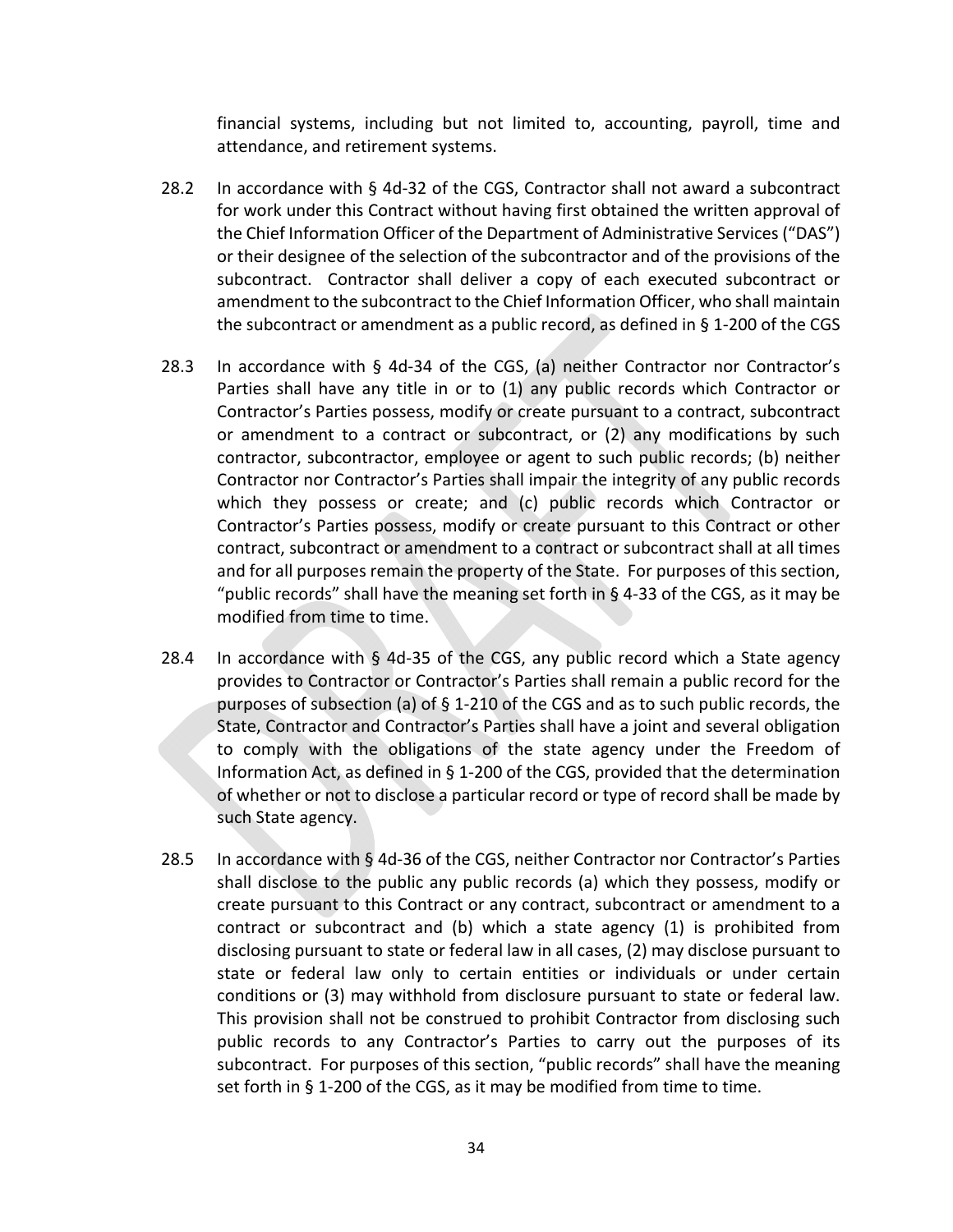financial systems, including but not limited to, accounting, payroll, time and attendance, and retirement systems.

- 28.2 In accordance with § 4d‐32 of the CGS, Contractor shall not award a subcontract for work under this Contract without having first obtained the written approval of the Chief Information Officer of the Department of Administrative Services ("DAS") or their designee of the selection of the subcontractor and of the provisions of the subcontract. Contractor shall deliver a copy of each executed subcontract or amendment to the subcontract to the Chief Information Officer, who shall maintain the subcontract or amendment as a public record, as defined in § 1‐200 of the CGS
- 28.3 In accordance with  $\S$  4d-34 of the CGS, (a) neither Contractor nor Contractor's Parties shall have any title in or to (1) any public records which Contractor or Contractor's Parties possess, modify or create pursuant to a contract, subcontract or amendment to a contract or subcontract, or (2) any modifications by such contractor, subcontractor, employee or agent to such public records; (b) neither Contractor nor Contractor's Parties shall impair the integrity of any public records which they possess or create; and (c) public records which Contractor or Contractor's Parties possess, modify or create pursuant to this Contract or other contract, subcontract or amendment to a contract or subcontract shall at all times and for all purposes remain the property of the State. For purposes of this section, "public records" shall have the meaning set forth in § 4‐33 of the CGS, as it may be modified from time to time.
- 28.4 In accordance with  $\frac{1}{9}$  4d-35 of the CGS, any public record which a State agency provides to Contractor or Contractor's Parties shall remain a public record for the purposes of subsection (a) of § 1‐210 of the CGS and as to such public records, the State, Contractor and Contractor's Parties shall have a joint and several obligation to comply with the obligations of the state agency under the Freedom of Information Act, as defined in § 1‐200 of the CGS, provided that the determination of whether or not to disclose a particular record or type of record shall be made by such State agency.
- 28.5 In accordance with § 4d-36 of the CGS, neither Contractor nor Contractor's Parties shall disclose to the public any public records (a) which they possess, modify or create pursuant to this Contract or any contract, subcontract or amendment to a contract or subcontract and  $(b)$  which a state agency  $(1)$  is prohibited from disclosing pursuant to state or federal law in all cases, (2) may disclose pursuant to state or federal law only to certain entities or individuals or under certain conditions or (3) may withhold from disclosure pursuant to state or federal law. This provision shall not be construed to prohibit Contractor from disclosing such public records to any Contractor's Parties to carry out the purposes of its subcontract. For purposes of this section, "public records" shall have the meaning set forth in § 1-200 of the CGS, as it may be modified from time to time.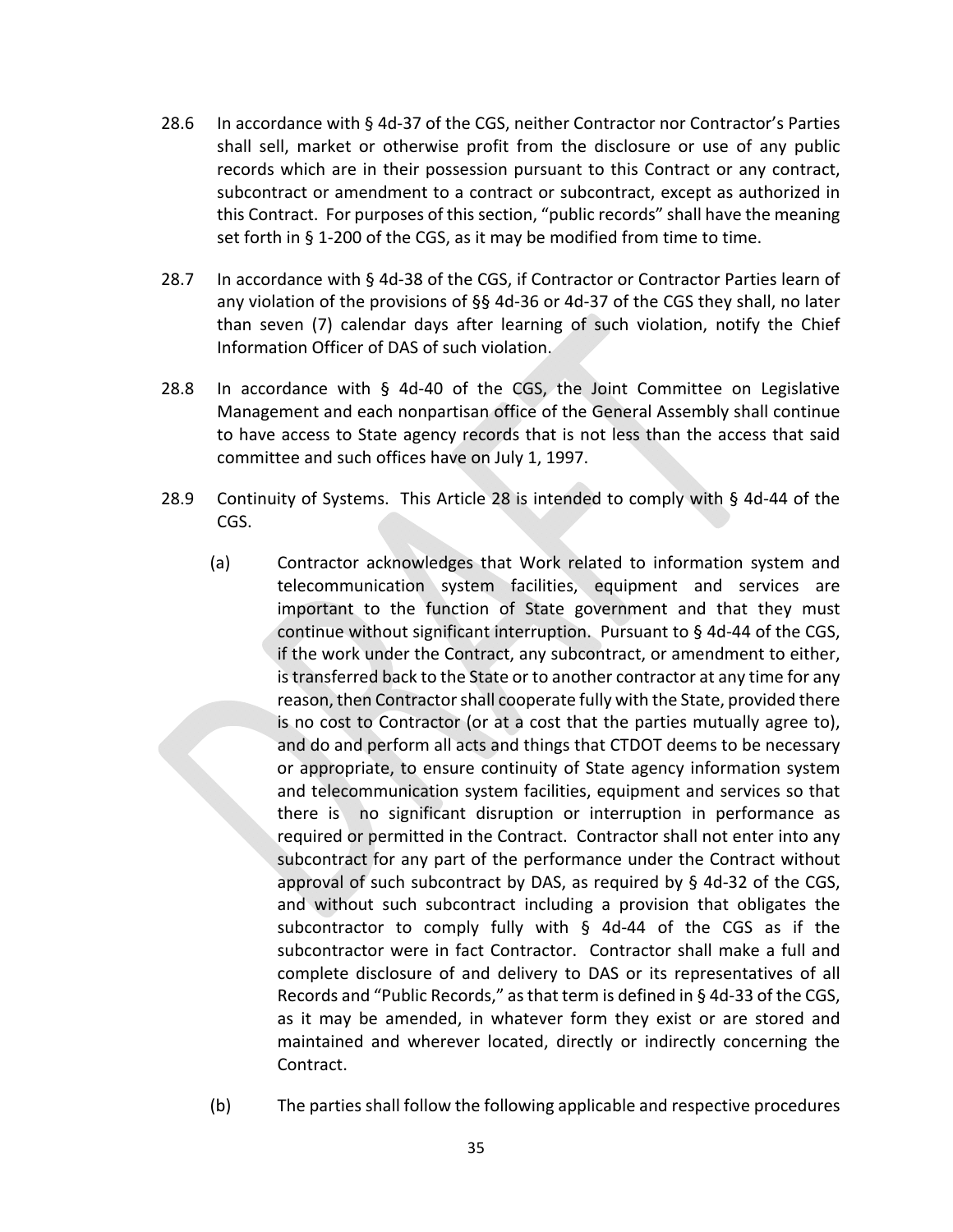- 28.6 In accordance with § 4d‐37 of the CGS, neither Contractor nor Contractor's Parties shall sell, market or otherwise profit from the disclosure or use of any public records which are in their possession pursuant to this Contract or any contract, subcontract or amendment to a contract or subcontract, except as authorized in this Contract. For purposes of this section, "public records" shall have the meaning set forth in § 1-200 of the CGS, as it may be modified from time to time.
- 28.7 In accordance with § 4d‐38 of the CGS, if Contractor or Contractor Parties learn of any violation of the provisions of §§ 4d‐36 or 4d‐37 of the CGS they shall, no later than seven (7) calendar days after learning of such violation, notify the Chief Information Officer of DAS of such violation.
- 28.8 In accordance with  $\frac{6}{5}$  4d-40 of the CGS, the Joint Committee on Legislative Management and each nonpartisan office of the General Assembly shall continue to have access to State agency records that is not less than the access that said committee and such offices have on July 1, 1997.
- 28.9 Continuity of Systems. This Article 28 is intended to comply with § 4d‐44 of the CGS.
	- (a) Contractor acknowledges that Work related to information system and telecommunication system facilities, equipment and services are important to the function of State government and that they must continue without significant interruption. Pursuant to § 4d‐44 of the CGS, if the work under the Contract, any subcontract, or amendment to either, is transferred back to the State or to another contractor at any time for any reason, then Contractor shall cooperate fully with the State, provided there is no cost to Contractor (or at a cost that the parties mutually agree to), and do and perform all acts and things that CTDOT deems to be necessary or appropriate, to ensure continuity of State agency information system and telecommunication system facilities, equipment and services so that there is no significant disruption or interruption in performance as required or permitted in the Contract. Contractor shall not enter into any subcontract for any part of the performance under the Contract without approval of such subcontract by DAS, as required by  $\S$  4d-32 of the CGS, and without such subcontract including a provision that obligates the subcontractor to comply fully with § 4d-44 of the CGS as if the subcontractor were in fact Contractor. Contractor shall make a full and complete disclosure of and delivery to DAS or its representatives of all Records and "Public Records," as that term is defined in § 4d‐33 of the CGS, as it may be amended, in whatever form they exist or are stored and maintained and wherever located, directly or indirectly concerning the Contract.
	- (b) The parties shall follow the following applicable and respective procedures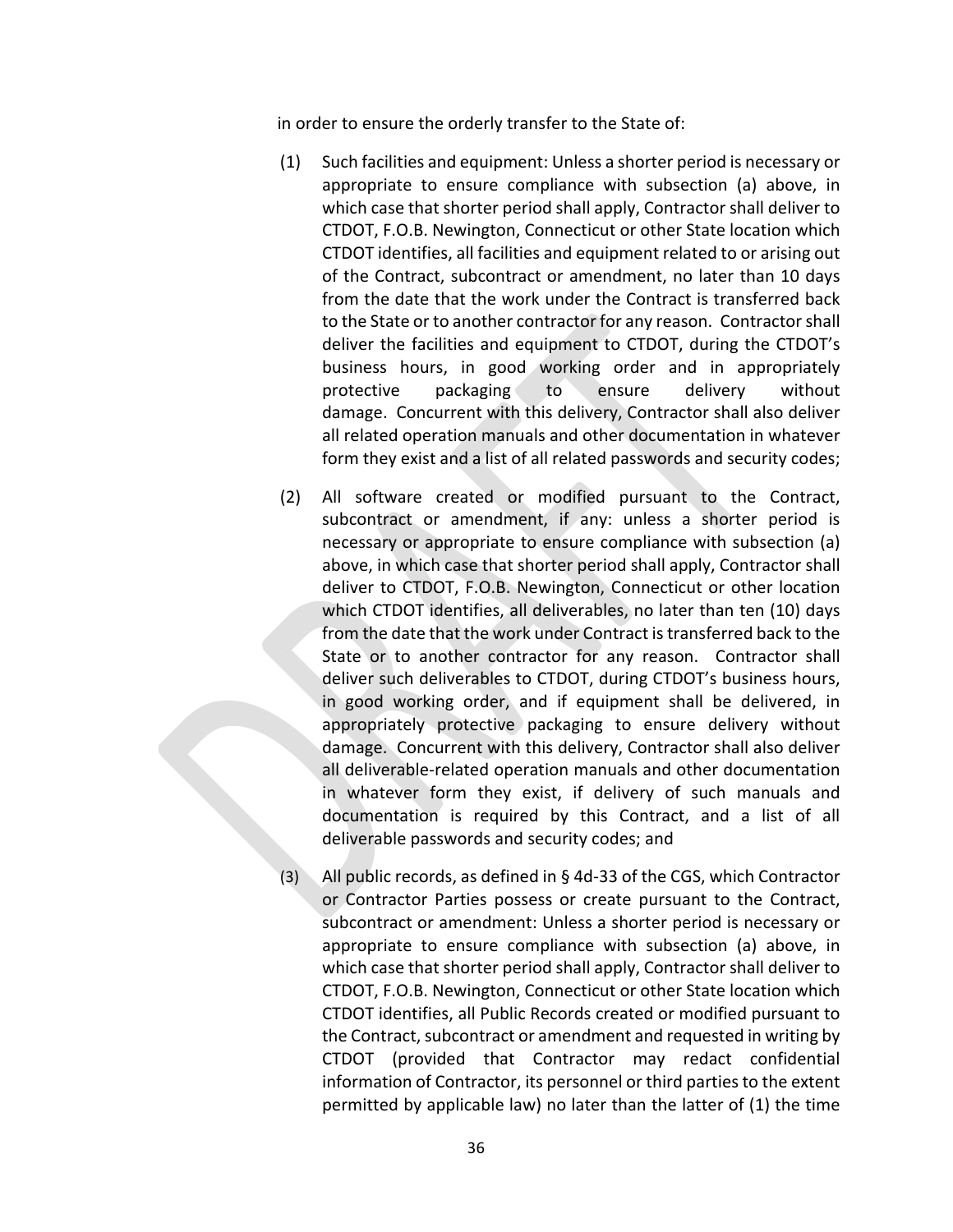in order to ensure the orderly transfer to the State of:

- (1) Such facilities and equipment: Unless a shorter period is necessary or appropriate to ensure compliance with subsection (a) above, in which case that shorter period shall apply, Contractor shall deliver to CTDOT, F.O.B. Newington, Connecticut or other State location which CTDOT identifies, all facilities and equipment related to or arising out of the Contract, subcontract or amendment, no later than 10 days from the date that the work under the Contract is transferred back to the State or to another contractor for any reason. Contractor shall deliver the facilities and equipment to CTDOT, during the CTDOT's business hours, in good working order and in appropriately protective packaging to ensure delivery without damage. Concurrent with this delivery, Contractor shall also deliver all related operation manuals and other documentation in whatever form they exist and a list of all related passwords and security codes;
- (2) All software created or modified pursuant to the Contract, subcontract or amendment, if any: unless a shorter period is necessary or appropriate to ensure compliance with subsection (a) above, in which case that shorter period shall apply, Contractor shall deliver to CTDOT, F.O.B. Newington, Connecticut or other location which CTDOT identifies, all deliverables, no later than ten (10) days from the date that the work under Contract is transferred back to the State or to another contractor for any reason. Contractor shall deliver such deliverables to CTDOT, during CTDOT's business hours, in good working order, and if equipment shall be delivered, in appropriately protective packaging to ensure delivery without damage. Concurrent with this delivery, Contractor shall also deliver all deliverable‐related operation manuals and other documentation in whatever form they exist, if delivery of such manuals and documentation is required by this Contract, and a list of all deliverable passwords and security codes; and
- (3) All public records, as defined in § 4d‐33 of the CGS, which Contractor or Contractor Parties possess or create pursuant to the Contract, subcontract or amendment: Unless a shorter period is necessary or appropriate to ensure compliance with subsection (a) above, in which case that shorter period shall apply, Contractor shall deliver to CTDOT, F.O.B. Newington, Connecticut or other State location which CTDOT identifies, all Public Records created or modified pursuant to the Contract, subcontract or amendment and requested in writing by CTDOT (provided that Contractor may redact confidential information of Contractor, its personnel or third parties to the extent permitted by applicable law) no later than the latter of (1) the time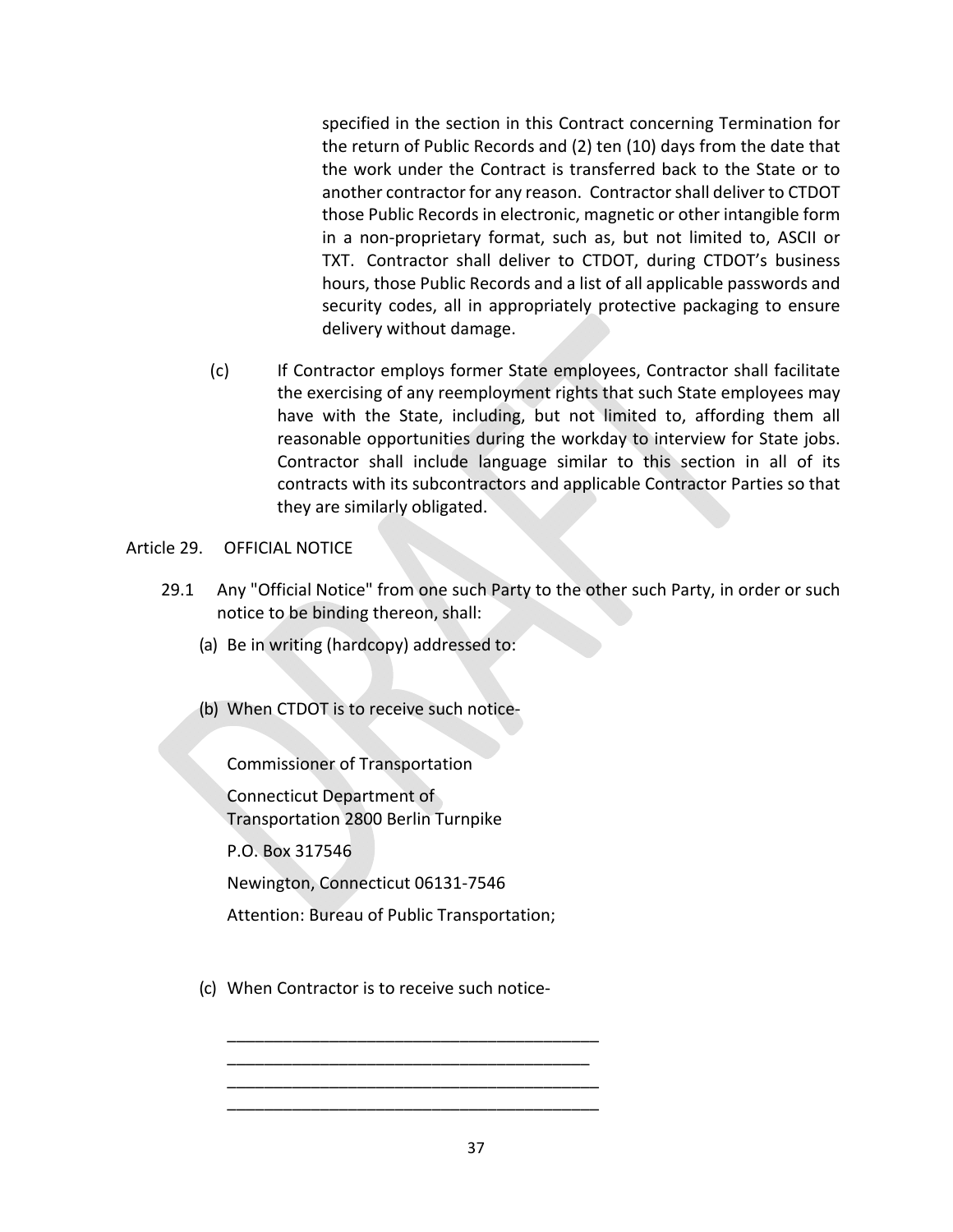specified in the section in this Contract concerning Termination for the return of Public Records and (2) ten (10) days from the date that the work under the Contract is transferred back to the State or to another contractor for any reason. Contractor shall deliver to CTDOT those Public Records in electronic, magnetic or other intangible form in a non‐proprietary format, such as, but not limited to, ASCII or TXT. Contractor shall deliver to CTDOT, during CTDOT's business hours, those Public Records and a list of all applicable passwords and security codes, all in appropriately protective packaging to ensure delivery without damage.

(c) If Contractor employs former State employees, Contractor shall facilitate the exercising of any reemployment rights that such State employees may have with the State, including, but not limited to, affording them all reasonable opportunities during the workday to interview for State jobs. Contractor shall include language similar to this section in all of its contracts with its subcontractors and applicable Contractor Parties so that they are similarly obligated.

## Article 29. OFFICIAL NOTICE

- 29.1 Any "Official Notice" from one such Party to the other such Party, in order or such notice to be binding thereon, shall:
	- (a) Be in writing (hardcopy) addressed to:
	- (b) When CTDOT is to receive such notice‐

Commissioner of Transportation

Connecticut Department of Transportation 2800 Berlin Turnpike

P.O. Box 317546

Newington, Connecticut 06131‐7546

Attention: Bureau of Public Transportation;

\_\_\_\_\_\_\_\_\_\_\_\_\_\_\_\_\_\_\_\_\_\_\_\_\_\_\_\_\_\_\_\_\_\_\_\_\_\_\_\_ \_\_\_\_\_\_\_\_\_\_\_\_\_\_\_\_\_\_\_\_\_\_\_\_\_\_\_\_\_\_\_\_\_\_\_\_\_\_\_ \_\_\_\_\_\_\_\_\_\_\_\_\_\_\_\_\_\_\_\_\_\_\_\_\_\_\_\_\_\_\_\_\_\_\_\_\_\_\_\_ \_\_\_\_\_\_\_\_\_\_\_\_\_\_\_\_\_\_\_\_\_\_\_\_\_\_\_\_\_\_\_\_\_\_\_\_\_\_\_\_

(c) When Contractor is to receive such notice‐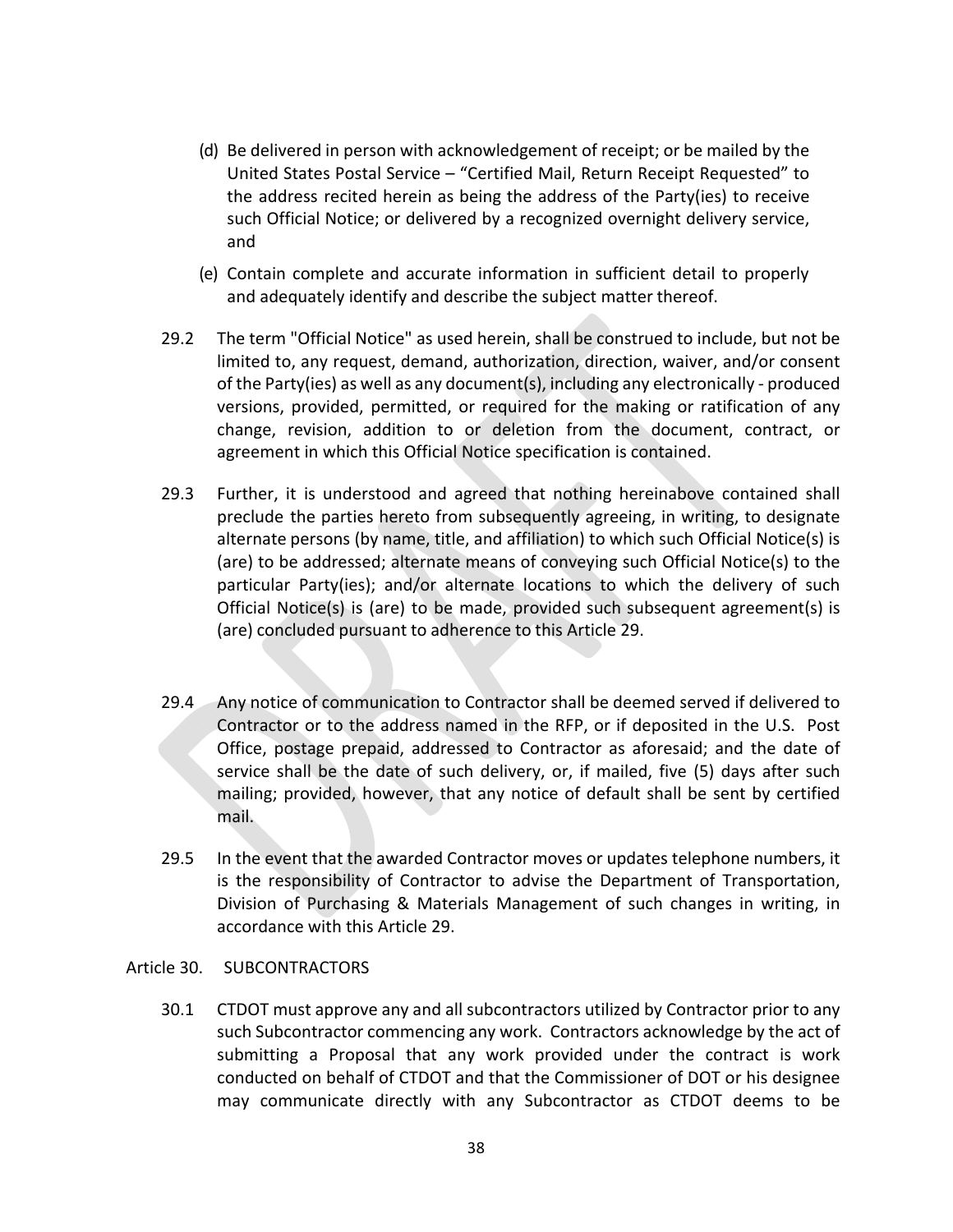- (d) Be delivered in person with acknowledgement of receipt; or be mailed by the United States Postal Service – "Certified Mail, Return Receipt Requested" to the address recited herein as being the address of the Party(ies) to receive such Official Notice; or delivered by a recognized overnight delivery service, and
- (e) Contain complete and accurate information in sufficient detail to properly and adequately identify and describe the subject matter thereof.
- 29.2 The term "Official Notice" as used herein, shall be construed to include, but not be limited to, any request, demand, authorization, direction, waiver, and/or consent of the Party(ies) as well as any document(s), including any electronically ‐ produced versions, provided, permitted, or required for the making or ratification of any change, revision, addition to or deletion from the document, contract, or agreement in which this Official Notice specification is contained.
- 29.3 Further, it is understood and agreed that nothing hereinabove contained shall preclude the parties hereto from subsequently agreeing, in writing, to designate alternate persons (by name, title, and affiliation) to which such Official Notice(s) is (are) to be addressed; alternate means of conveying such Official Notice(s) to the particular Party(ies); and/or alternate locations to which the delivery of such Official Notice(s) is (are) to be made, provided such subsequent agreement(s) is (are) concluded pursuant to adherence to this Article 29.
- 29.4 Any notice of communication to Contractor shall be deemed served if delivered to Contractor or to the address named in the RFP, or if deposited in the U.S. Post Office, postage prepaid, addressed to Contractor as aforesaid; and the date of service shall be the date of such delivery, or, if mailed, five (5) days after such mailing; provided, however, that any notice of default shall be sent by certified mail.
- 29.5 In the event that the awarded Contractor moves or updates telephone numbers, it is the responsibility of Contractor to advise the Department of Transportation, Division of Purchasing & Materials Management of such changes in writing, in accordance with this Article 29.

## Article 30. SUBCONTRACTORS

30.1 CTDOT must approve any and all subcontractors utilized by Contractor prior to any such Subcontractor commencing any work. Contractors acknowledge by the act of submitting a Proposal that any work provided under the contract is work conducted on behalf of CTDOT and that the Commissioner of DOT or his designee may communicate directly with any Subcontractor as CTDOT deems to be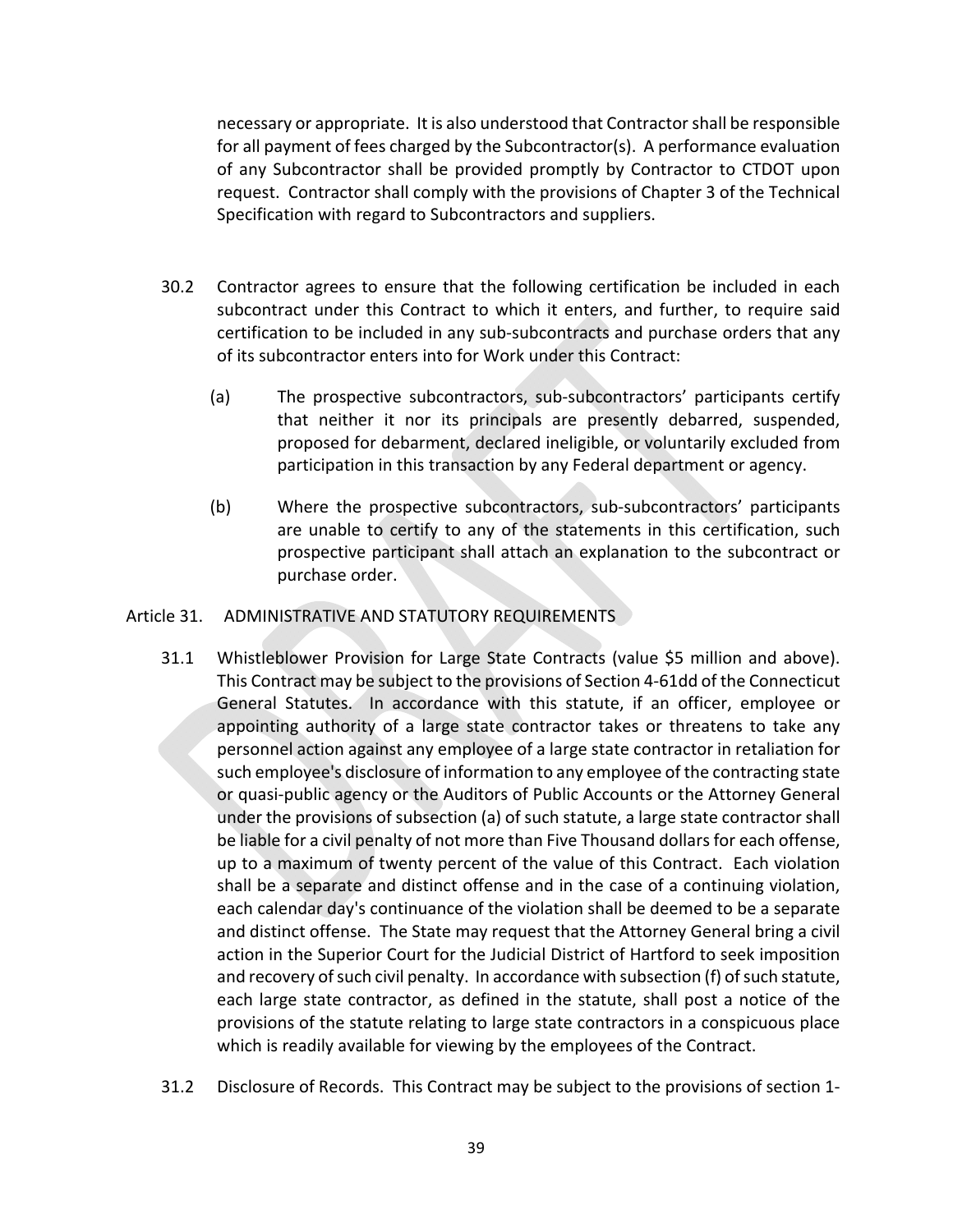necessary or appropriate. It is also understood that Contractor shall be responsible for all payment of fees charged by the Subcontractor(s). A performance evaluation of any Subcontractor shall be provided promptly by Contractor to CTDOT upon request. Contractor shall comply with the provisions of Chapter 3 of the Technical Specification with regard to Subcontractors and suppliers.

- 30.2 Contractor agrees to ensure that the following certification be included in each subcontract under this Contract to which it enters, and further, to require said certification to be included in any sub‐subcontracts and purchase orders that any of its subcontractor enters into for Work under this Contract:
	- (a) The prospective subcontractors, sub‐subcontractors' participants certify that neither it nor its principals are presently debarred, suspended, proposed for debarment, declared ineligible, or voluntarily excluded from participation in this transaction by any Federal department or agency.
	- (b) Where the prospective subcontractors, sub-subcontractors' participants are unable to certify to any of the statements in this certification, such prospective participant shall attach an explanation to the subcontract or purchase order.

## Article 31. ADMINISTRATIVE AND STATUTORY REQUIREMENTS

- 31.1 Whistleblower Provision for Large State Contracts (value \$5 million and above). This Contract may be subject to the provisions of Section 4‐61dd of the Connecticut General Statutes. In accordance with this statute, if an officer, employee or appointing authority of a large state contractor takes or threatens to take any personnel action against any employee of a large state contractor in retaliation for such employee's disclosure of information to any employee of the contracting state or quasi‐public agency or the Auditors of Public Accounts or the Attorney General under the provisions of subsection (a) of such statute, a large state contractor shall be liable for a civil penalty of not more than Five Thousand dollars for each offense, up to a maximum of twenty percent of the value of this Contract. Each violation shall be a separate and distinct offense and in the case of a continuing violation, each calendar day's continuance of the violation shall be deemed to be a separate and distinct offense. The State may request that the Attorney General bring a civil action in the Superior Court for the Judicial District of Hartford to seek imposition and recovery of such civil penalty. In accordance with subsection (f) of such statute, each large state contractor, as defined in the statute, shall post a notice of the provisions of the statute relating to large state contractors in a conspicuous place which is readily available for viewing by the employees of the Contract.
- 31.2 Disclosure of Records. This Contract may be subject to the provisions of section 1‐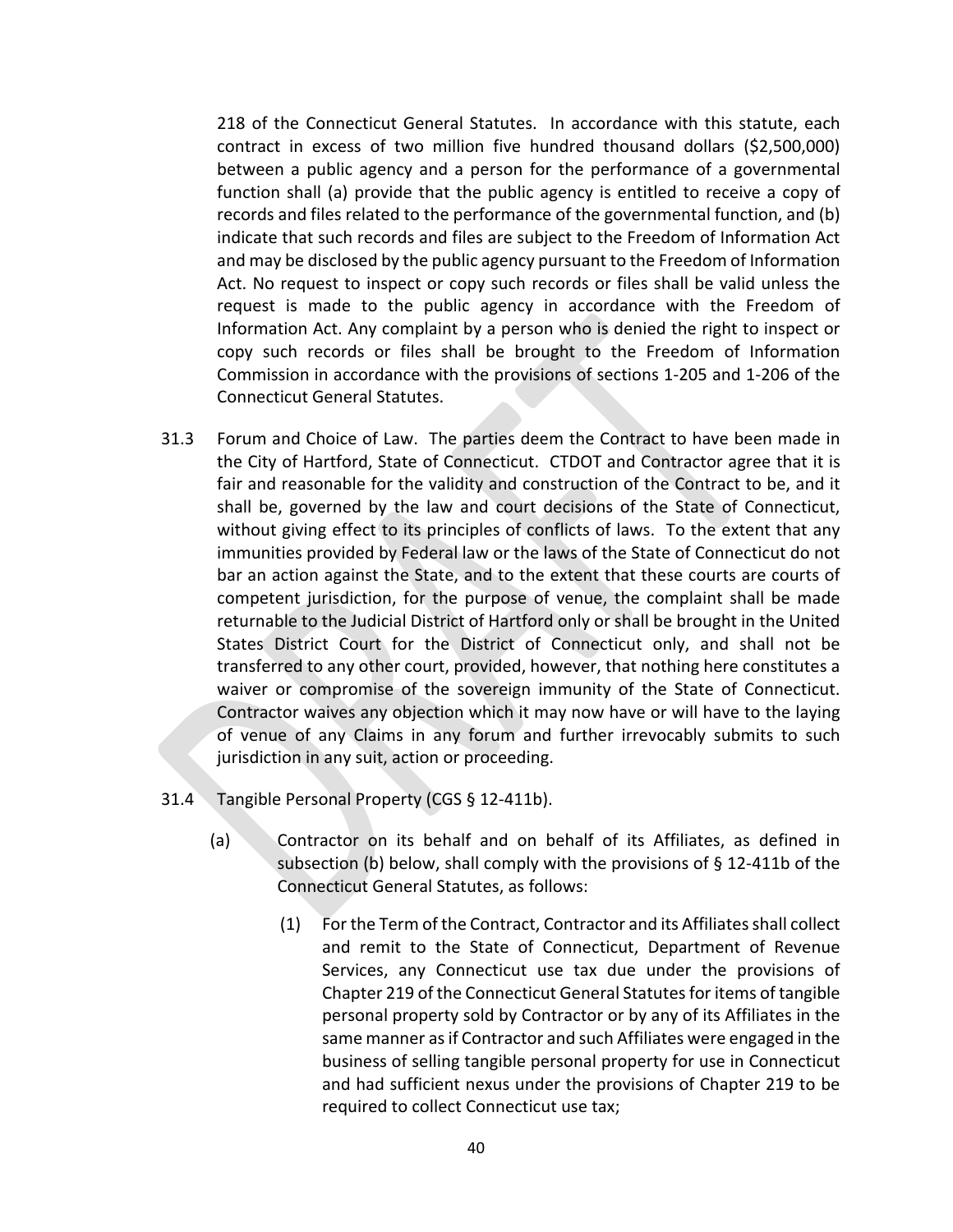218 of the Connecticut General Statutes. In accordance with this statute, each contract in excess of two million five hundred thousand dollars (\$2,500,000) between a public agency and a person for the performance of a governmental function shall (a) provide that the public agency is entitled to receive a copy of records and files related to the performance of the governmental function, and (b) indicate that such records and files are subject to the Freedom of Information Act and may be disclosed by the public agency pursuant to the Freedom of Information Act. No request to inspect or copy such records or files shall be valid unless the request is made to the public agency in accordance with the Freedom of Information Act. Any complaint by a person who is denied the right to inspect or copy such records or files shall be brought to the Freedom of Information Commission in accordance with the provisions of sections 1‐205 and 1‐206 of the Connecticut General Statutes.

- 31.3 Forum and Choice of Law. The parties deem the Contract to have been made in the City of Hartford, State of Connecticut. CTDOT and Contractor agree that it is fair and reasonable for the validity and construction of the Contract to be, and it shall be, governed by the law and court decisions of the State of Connecticut, without giving effect to its principles of conflicts of laws. To the extent that any immunities provided by Federal law or the laws of the State of Connecticut do not bar an action against the State, and to the extent that these courts are courts of competent jurisdiction, for the purpose of venue, the complaint shall be made returnable to the Judicial District of Hartford only or shall be brought in the United States District Court for the District of Connecticut only, and shall not be transferred to any other court, provided, however, that nothing here constitutes a waiver or compromise of the sovereign immunity of the State of Connecticut. Contractor waives any objection which it may now have or will have to the laying of venue of any Claims in any forum and further irrevocably submits to such jurisdiction in any suit, action or proceeding.
- 31.4 Tangible Personal Property (CGS § 12‐411b).
	- (a) Contractor on its behalf and on behalf of its Affiliates, as defined in subsection (b) below, shall comply with the provisions of § 12‐411b of the Connecticut General Statutes, as follows:
		- (1) For the Term of the Contract, Contractor and its Affiliates shall collect and remit to the State of Connecticut, Department of Revenue Services, any Connecticut use tax due under the provisions of Chapter 219 of the Connecticut General Statutes for items of tangible personal property sold by Contractor or by any of its Affiliates in the same manner as if Contractor and such Affiliates were engaged in the business of selling tangible personal property for use in Connecticut and had sufficient nexus under the provisions of Chapter 219 to be required to collect Connecticut use tax;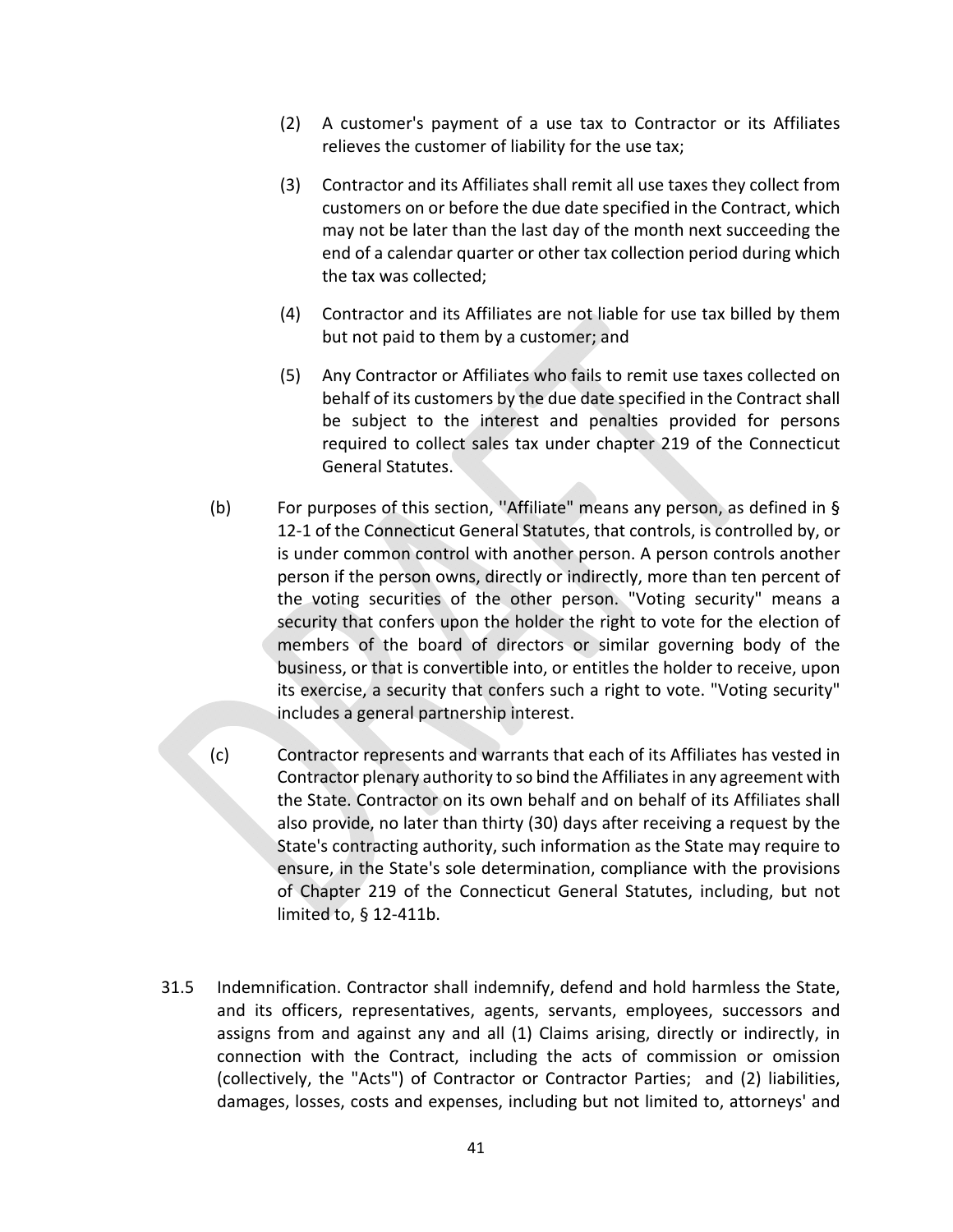- (2) A customer's payment of a use tax to Contractor or its Affiliates relieves the customer of liability for the use tax;
- (3) Contractor and its Affiliates shall remit all use taxes they collect from customers on or before the due date specified in the Contract, which may not be later than the last day of the month next succeeding the end of a calendar quarter or other tax collection period during which the tax was collected;
- (4) Contractor and its Affiliates are not liable for use tax billed by them but not paid to them by a customer; and
- (5) Any Contractor or Affiliates who fails to remit use taxes collected on behalf of its customers by the due date specified in the Contract shall be subject to the interest and penalties provided for persons required to collect sales tax under chapter 219 of the Connecticut General Statutes.
- (b) For purposes of this section, ''Affiliate" means any person, as defined in § 12-1 of the Connecticut General Statutes, that controls, is controlled by, or is under common control with another person. A person controls another person if the person owns, directly or indirectly, more than ten percent of the voting securities of the other person. "Voting security" means a security that confers upon the holder the right to vote for the election of members of the board of directors or similar governing body of the business, or that is convertible into, or entitles the holder to receive, upon its exercise, a security that confers such a right to vote. "Voting security" includes a general partnership interest.
- (c) Contractor represents and warrants that each of its Affiliates has vested in Contractor plenary authority to so bind the Affiliates in any agreement with the State. Contractor on its own behalf and on behalf of its Affiliates shall also provide, no later than thirty (30) days after receiving a request by the State's contracting authority, such information as the State may require to ensure, in the State's sole determination, compliance with the provisions of Chapter 219 of the Connecticut General Statutes, including, but not limited to, § 12‐411b.
- 31.5 Indemnification. Contractor shall indemnify, defend and hold harmless the State, and its officers, representatives, agents, servants, employees, successors and assigns from and against any and all (1) Claims arising, directly or indirectly, in connection with the Contract, including the acts of commission or omission (collectively, the "Acts") of Contractor or Contractor Parties; and (2) liabilities, damages, losses, costs and expenses, including but not limited to, attorneys' and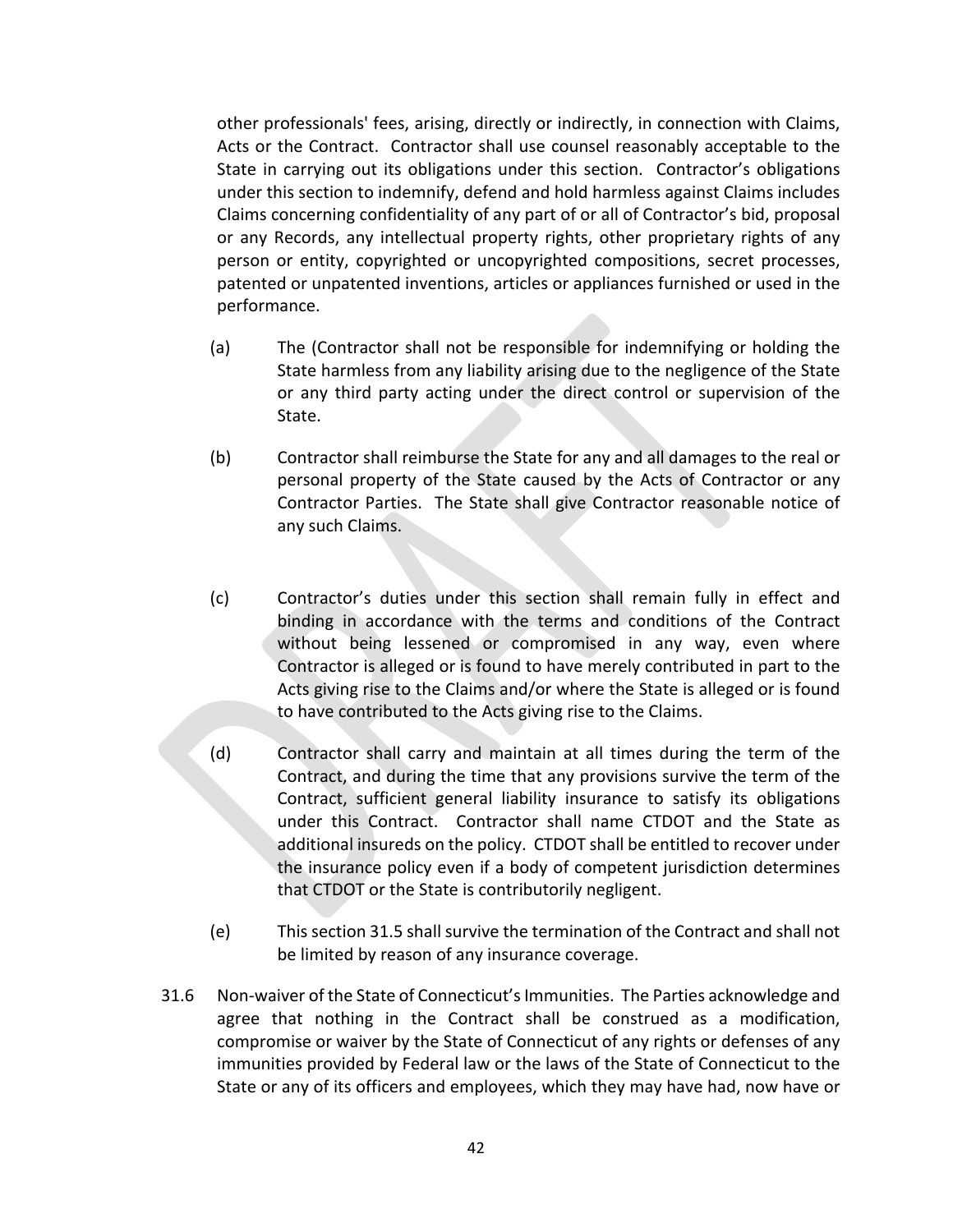other professionals' fees, arising, directly or indirectly, in connection with Claims, Acts or the Contract. Contractor shall use counsel reasonably acceptable to the State in carrying out its obligations under this section. Contractor's obligations under this section to indemnify, defend and hold harmless against Claims includes Claims concerning confidentiality of any part of or all of Contractor's bid, proposal or any Records, any intellectual property rights, other proprietary rights of any person or entity, copyrighted or uncopyrighted compositions, secret processes, patented or unpatented inventions, articles or appliances furnished or used in the performance.

- (a) The (Contractor shall not be responsible for indemnifying or holding the State harmless from any liability arising due to the negligence of the State or any third party acting under the direct control or supervision of the State.
- (b) Contractor shall reimburse the State for any and all damages to the real or personal property of the State caused by the Acts of Contractor or any Contractor Parties. The State shall give Contractor reasonable notice of any such Claims.
- (c) Contractor's duties under this section shall remain fully in effect and binding in accordance with the terms and conditions of the Contract without being lessened or compromised in any way, even where Contractor is alleged or is found to have merely contributed in part to the Acts giving rise to the Claims and/or where the State is alleged or is found to have contributed to the Acts giving rise to the Claims.
- (d) Contractor shall carry and maintain at all times during the term of the Contract, and during the time that any provisions survive the term of the Contract, sufficient general liability insurance to satisfy its obligations under this Contract. Contractor shall name CTDOT and the State as additional insureds on the policy. CTDOT shall be entitled to recover under the insurance policy even if a body of competent jurisdiction determines that CTDOT or the State is contributorily negligent.
- (e) This section 31.5 shall survive the termination of the Contract and shall not be limited by reason of any insurance coverage.
- 31.6 Non‐waiver of the State of Connecticut's Immunities. The Parties acknowledge and agree that nothing in the Contract shall be construed as a modification, compromise or waiver by the State of Connecticut of any rights or defenses of any immunities provided by Federal law or the laws of the State of Connecticut to the State or any of its officers and employees, which they may have had, now have or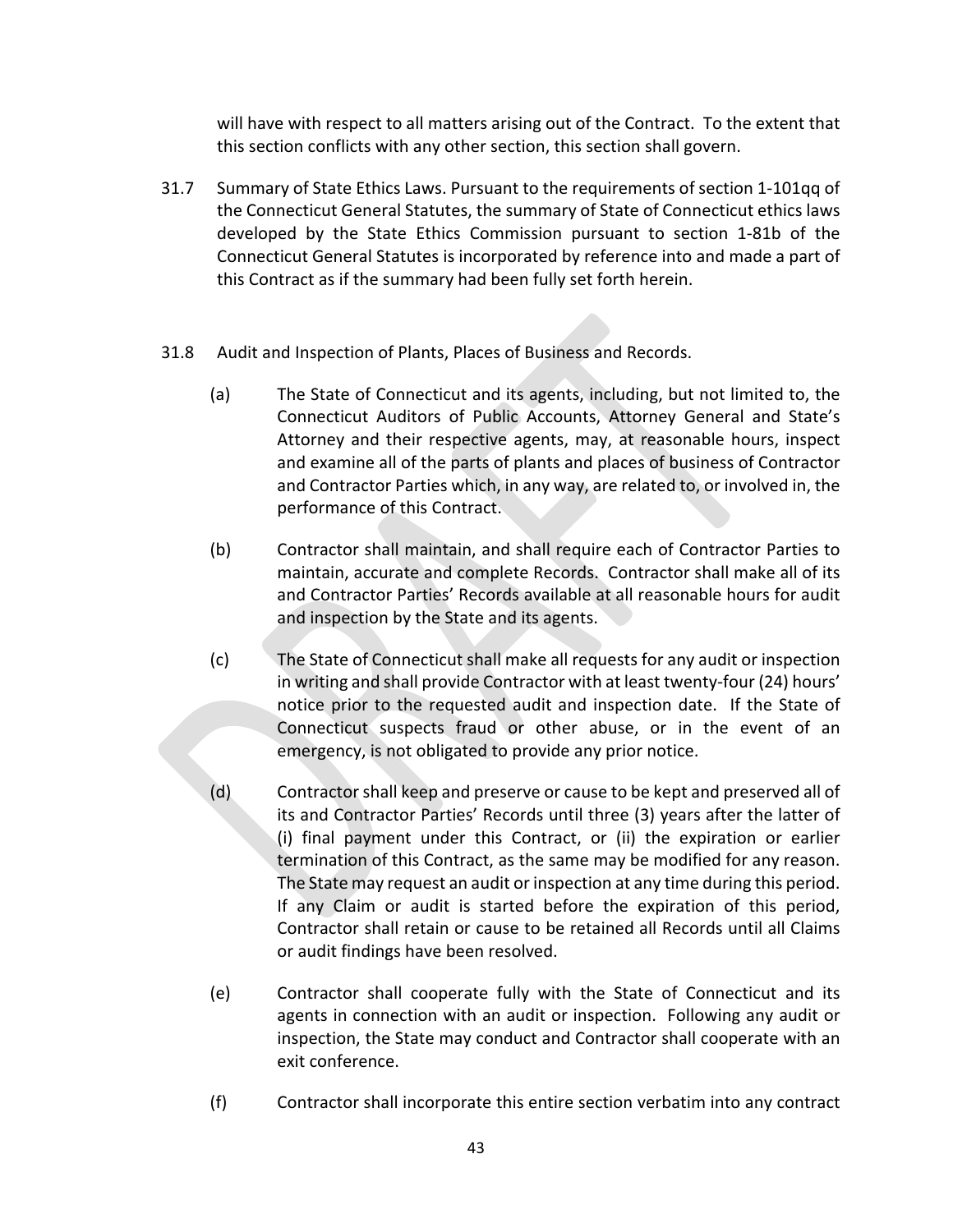will have with respect to all matters arising out of the Contract. To the extent that this section conflicts with any other section, this section shall govern.

- 31.7 Summary of State Ethics Laws. Pursuant to the requirements of section 1‐101qq of the Connecticut General Statutes, the summary of State of Connecticut ethics laws developed by the State Ethics Commission pursuant to section 1-81b of the Connecticut General Statutes is incorporated by reference into and made a part of this Contract as if the summary had been fully set forth herein.
- 31.8 Audit and Inspection of Plants, Places of Business and Records.
	- (a) The State of Connecticut and its agents, including, but not limited to, the Connecticut Auditors of Public Accounts, Attorney General and State's Attorney and their respective agents, may, at reasonable hours, inspect and examine all of the parts of plants and places of business of Contractor and Contractor Parties which, in any way, are related to, or involved in, the performance of this Contract.
	- (b) Contractor shall maintain, and shall require each of Contractor Parties to maintain, accurate and complete Records. Contractor shall make all of its and Contractor Parties' Records available at all reasonable hours for audit and inspection by the State and its agents.
	- (c) The State of Connecticut shall make all requests for any audit or inspection in writing and shall provide Contractor with at least twenty‐four (24) hours' notice prior to the requested audit and inspection date. If the State of Connecticut suspects fraud or other abuse, or in the event of an emergency, is not obligated to provide any prior notice.
	- (d) Contractor shall keep and preserve or cause to be kept and preserved all of its and Contractor Parties' Records until three (3) years after the latter of (i) final payment under this Contract, or (ii) the expiration or earlier termination of this Contract, as the same may be modified for any reason. The State may request an audit or inspection at any time during this period. If any Claim or audit is started before the expiration of this period, Contractor shall retain or cause to be retained all Records until all Claims or audit findings have been resolved.
	- (e) Contractor shall cooperate fully with the State of Connecticut and its agents in connection with an audit or inspection. Following any audit or inspection, the State may conduct and Contractor shall cooperate with an exit conference.
	- (f) Contractor shall incorporate this entire section verbatim into any contract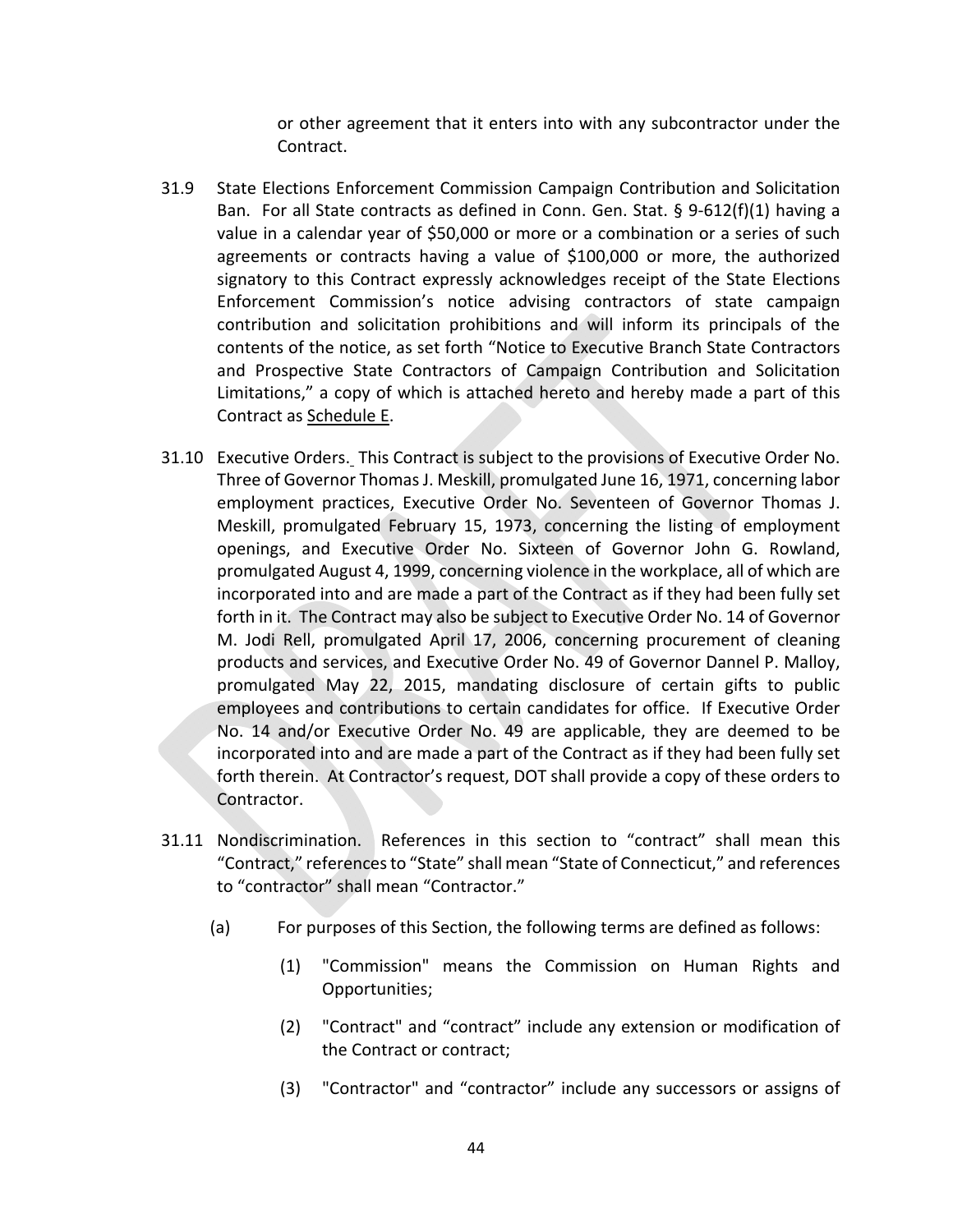or other agreement that it enters into with any subcontractor under the Contract.

- 31.9 State Elections Enforcement Commission Campaign Contribution and Solicitation Ban. For all State contracts as defined in Conn. Gen. Stat. § 9-612(f)(1) having a value in a calendar year of \$50,000 or more or a combination or a series of such agreements or contracts having a value of \$100,000 or more, the authorized signatory to this Contract expressly acknowledges receipt of the State Elections Enforcement Commission's notice advising contractors of state campaign contribution and solicitation prohibitions and will inform its principals of the contents of the notice, as set forth "Notice to Executive Branch State Contractors and Prospective State Contractors of Campaign Contribution and Solicitation Limitations," a copy of which is attached hereto and hereby made a part of this Contract as Schedule E.
- 31.10 Executive Orders. This Contract is subject to the provisions of Executive Order No. Three of Governor Thomas J. Meskill, promulgated June 16, 1971, concerning labor employment practices, Executive Order No. Seventeen of Governor Thomas J. Meskill, promulgated February 15, 1973, concerning the listing of employment openings, and Executive Order No. Sixteen of Governor John G. Rowland, promulgated August 4, 1999, concerning violence in the workplace, all of which are incorporated into and are made a part of the Contract as if they had been fully set forth in it. The Contract may also be subject to Executive Order No. 14 of Governor M. Jodi Rell, promulgated April 17, 2006, concerning procurement of cleaning products and services, and Executive Order No. 49 of Governor Dannel P. Malloy, promulgated May 22, 2015, mandating disclosure of certain gifts to public employees and contributions to certain candidates for office. If Executive Order No. 14 and/or Executive Order No. 49 are applicable, they are deemed to be incorporated into and are made a part of the Contract as if they had been fully set forth therein. At Contractor's request, DOT shall provide a copy of these orders to Contractor.
- 31.11 Nondiscrimination. References in this section to "contract" shall mean this "Contract," references to "State" shall mean "State of Connecticut," and references to "contractor" shall mean "Contractor."
	- (a) For purposes of this Section, the following terms are defined as follows:
		- (1) "Commission" means the Commission on Human Rights and Opportunities;
		- (2) "Contract" and "contract" include any extension or modification of the Contract or contract;
		- (3) "Contractor" and "contractor" include any successors or assigns of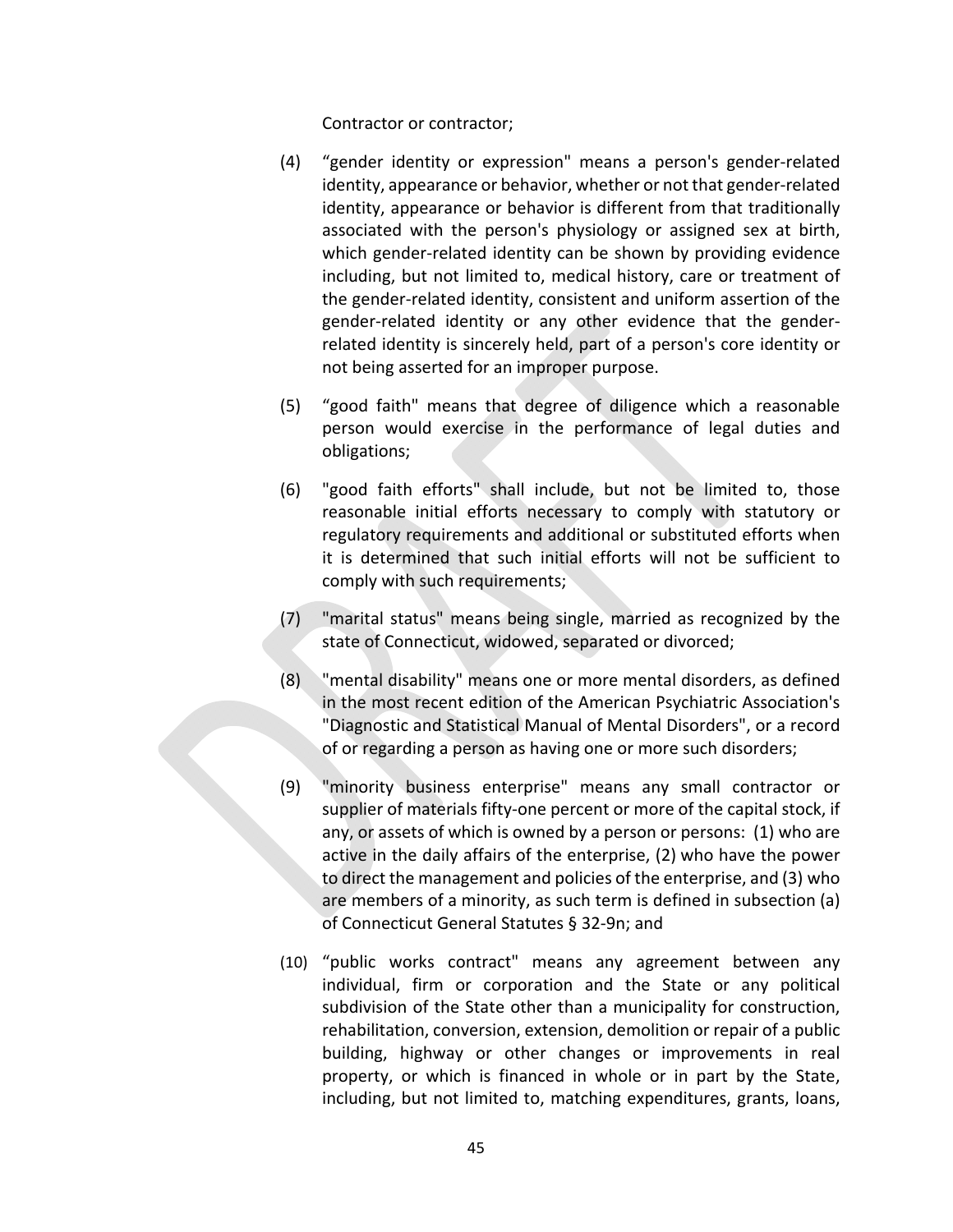Contractor or contractor;

- (4) "gender identity or expression" means a person's gender‐related identity, appearance or behavior, whether or not that gender‐related identity, appearance or behavior is different from that traditionally associated with the person's physiology or assigned sex at birth, which gender-related identity can be shown by providing evidence including, but not limited to, medical history, care or treatment of the gender‐related identity, consistent and uniform assertion of the gender‐related identity or any other evidence that the gender‐ related identity is sincerely held, part of a person's core identity or not being asserted for an improper purpose.
- (5) "good faith" means that degree of diligence which a reasonable person would exercise in the performance of legal duties and obligations;
- (6) "good faith efforts" shall include, but not be limited to, those reasonable initial efforts necessary to comply with statutory or regulatory requirements and additional or substituted efforts when it is determined that such initial efforts will not be sufficient to comply with such requirements;
- (7) "marital status" means being single, married as recognized by the state of Connecticut, widowed, separated or divorced;
- (8) "mental disability" means one or more mental disorders, as defined in the most recent edition of the American Psychiatric Association's "Diagnostic and Statistical Manual of Mental Disorders", or a record of or regarding a person as having one or more such disorders;
- (9) "minority business enterprise" means any small contractor or supplier of materials fifty-one percent or more of the capital stock, if any, or assets of which is owned by a person or persons: (1) who are active in the daily affairs of the enterprise, (2) who have the power to direct the management and policies of the enterprise, and (3) who are members of a minority, as such term is defined in subsection (a) of Connecticut General Statutes § 32‐9n; and
- (10) "public works contract" means any agreement between any individual, firm or corporation and the State or any political subdivision of the State other than a municipality for construction, rehabilitation, conversion, extension, demolition or repair of a public building, highway or other changes or improvements in real property, or which is financed in whole or in part by the State, including, but not limited to, matching expenditures, grants, loans,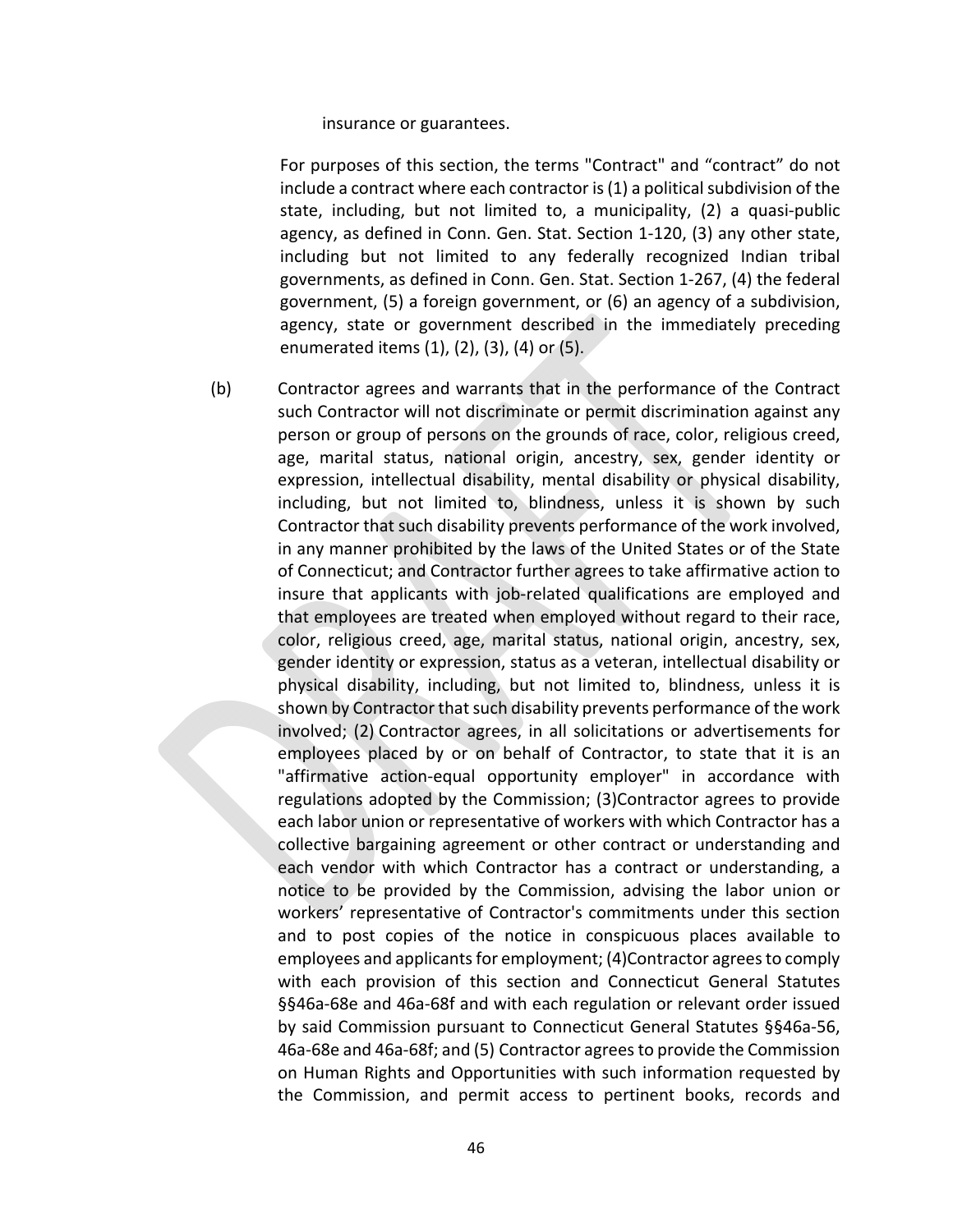insurance or guarantees.

For purposes of this section, the terms "Contract" and "contract" do not include a contract where each contractor is (1) a political subdivision of the state, including, but not limited to, a municipality, (2) a quasi‐public agency, as defined in Conn. Gen. Stat. Section 1‐120, (3) any other state, including but not limited to any federally recognized Indian tribal governments, as defined in Conn. Gen. Stat. Section 1‐267, (4) the federal government, (5) a foreign government, or (6) an agency of a subdivision, agency, state or government described in the immediately preceding enumerated items  $(1)$ ,  $(2)$ ,  $(3)$ ,  $(4)$  or  $(5)$ .

(b) Contractor agrees and warrants that in the performance of the Contract such Contractor will not discriminate or permit discrimination against any person or group of persons on the grounds of race, color, religious creed, age, marital status, national origin, ancestry, sex, gender identity or expression, intellectual disability, mental disability or physical disability, including, but not limited to, blindness, unless it is shown by such Contractor that such disability prevents performance of the work involved, in any manner prohibited by the laws of the United States or of the State of Connecticut; and Contractor further agrees to take affirmative action to insure that applicants with job-related qualifications are employed and that employees are treated when employed without regard to their race, color, religious creed, age, marital status, national origin, ancestry, sex, gender identity or expression, status as a veteran, intellectual disability or physical disability, including, but not limited to, blindness, unless it is shown by Contractor that such disability prevents performance of the work involved; (2) Contractor agrees, in all solicitations or advertisements for employees placed by or on behalf of Contractor, to state that it is an "affirmative action‐equal opportunity employer" in accordance with regulations adopted by the Commission; (3)Contractor agrees to provide each labor union or representative of workers with which Contractor has a collective bargaining agreement or other contract or understanding and each vendor with which Contractor has a contract or understanding, a notice to be provided by the Commission, advising the labor union or workers' representative of Contractor's commitments under this section and to post copies of the notice in conspicuous places available to employees and applicants for employment; (4)Contractor agrees to comply with each provision of this section and Connecticut General Statutes §§46a-68e and 46a-68f and with each regulation or relevant order issued by said Commission pursuant to Connecticut General Statutes §§46a‐56, 46a‐68e and 46a‐68f; and (5) Contractor agrees to provide the Commission on Human Rights and Opportunities with such information requested by the Commission, and permit access to pertinent books, records and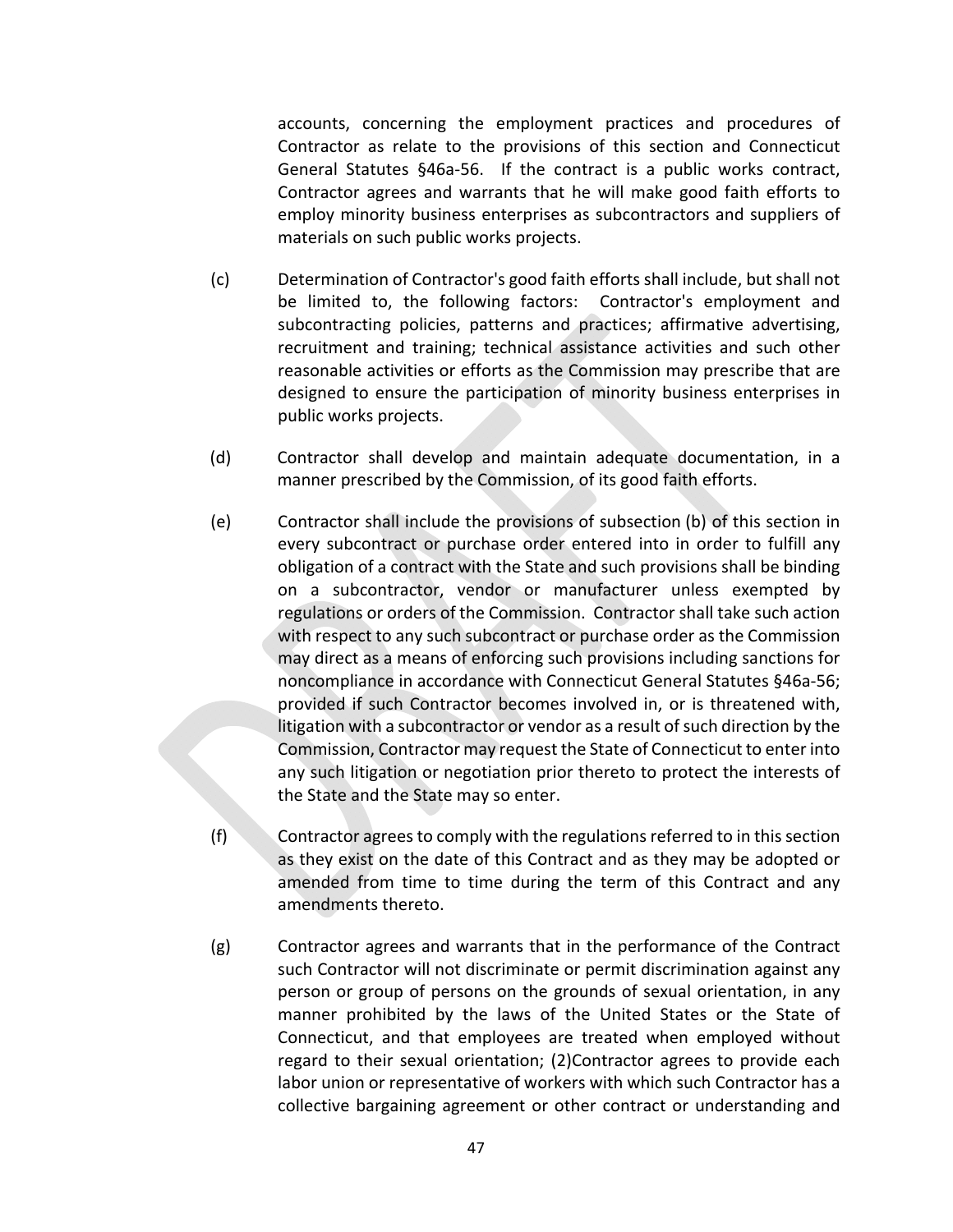accounts, concerning the employment practices and procedures of Contractor as relate to the provisions of this section and Connecticut General Statutes §46a-56. If the contract is a public works contract, Contractor agrees and warrants that he will make good faith efforts to employ minority business enterprises as subcontractors and suppliers of materials on such public works projects.

- (c) Determination of Contractor's good faith efforts shall include, but shall not be limited to, the following factors: Contractor's employment and subcontracting policies, patterns and practices; affirmative advertising, recruitment and training; technical assistance activities and such other reasonable activities or efforts as the Commission may prescribe that are designed to ensure the participation of minority business enterprises in public works projects.
- (d) Contractor shall develop and maintain adequate documentation, in a manner prescribed by the Commission, of its good faith efforts.
- (e) Contractor shall include the provisions of subsection (b) of this section in every subcontract or purchase order entered into in order to fulfill any obligation of a contract with the State and such provisions shall be binding on a subcontractor, vendor or manufacturer unless exempted by regulations or orders of the Commission. Contractor shall take such action with respect to any such subcontract or purchase order as the Commission may direct as a means of enforcing such provisions including sanctions for noncompliance in accordance with Connecticut General Statutes §46a‐56; provided if such Contractor becomes involved in, or is threatened with, litigation with a subcontractor or vendor as a result of such direction by the Commission, Contractor may request the State of Connecticut to enter into any such litigation or negotiation prior thereto to protect the interests of the State and the State may so enter.
- (f) Contractor agrees to comply with the regulations referred to in this section as they exist on the date of this Contract and as they may be adopted or amended from time to time during the term of this Contract and any amendments thereto.
- (g) Contractor agrees and warrants that in the performance of the Contract such Contractor will not discriminate or permit discrimination against any person or group of persons on the grounds of sexual orientation, in any manner prohibited by the laws of the United States or the State of Connecticut, and that employees are treated when employed without regard to their sexual orientation; (2)Contractor agrees to provide each labor union or representative of workers with which such Contractor has a collective bargaining agreement or other contract or understanding and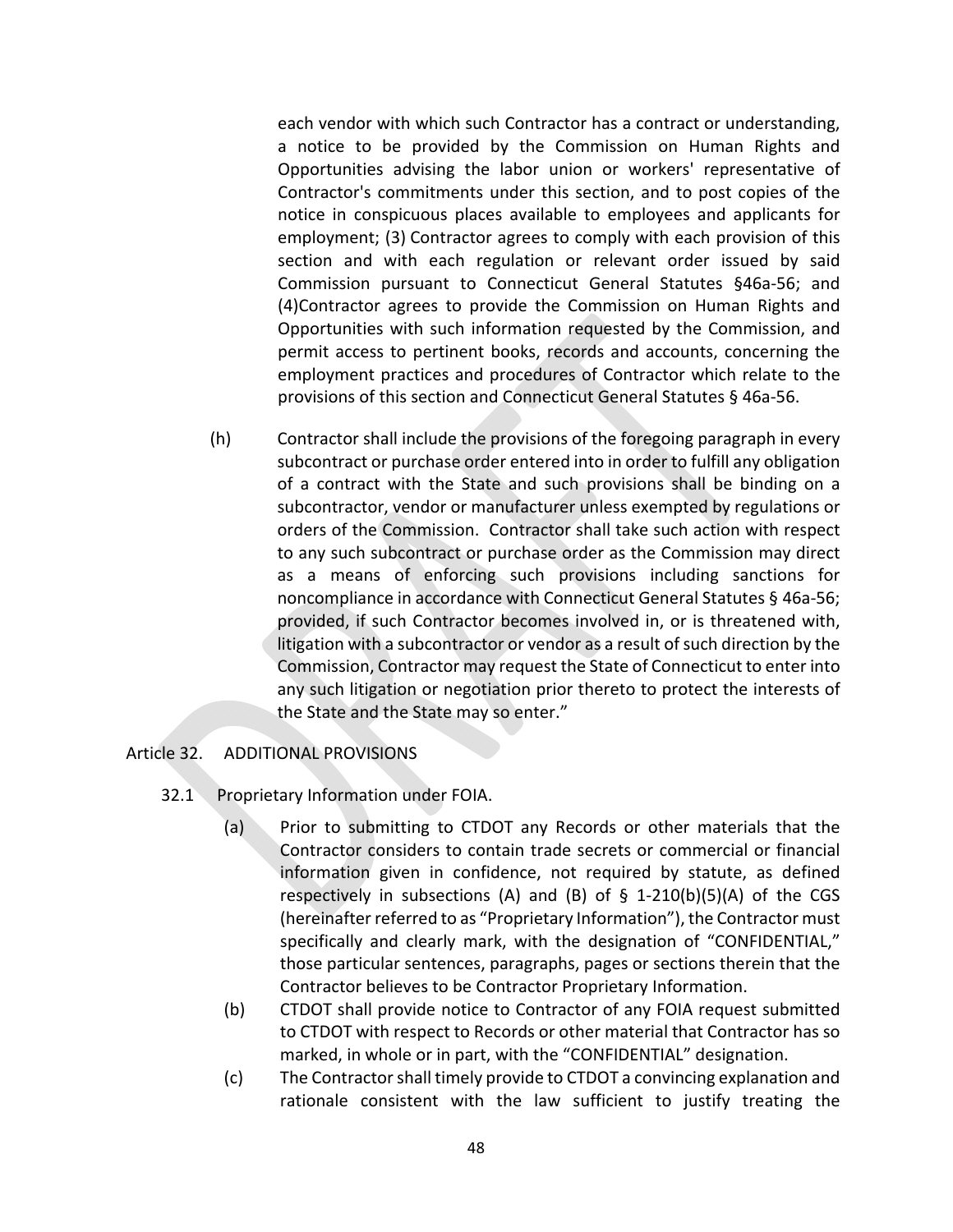each vendor with which such Contractor has a contract or understanding, a notice to be provided by the Commission on Human Rights and Opportunities advising the labor union or workers' representative of Contractor's commitments under this section, and to post copies of the notice in conspicuous places available to employees and applicants for employment; (3) Contractor agrees to comply with each provision of this section and with each regulation or relevant order issued by said Commission pursuant to Connecticut General Statutes §46a‐56; and (4)Contractor agrees to provide the Commission on Human Rights and Opportunities with such information requested by the Commission, and permit access to pertinent books, records and accounts, concerning the employment practices and procedures of Contractor which relate to the provisions of this section and Connecticut General Statutes § 46a‐56.

(h) Contractor shall include the provisions of the foregoing paragraph in every subcontract or purchase order entered into in order to fulfill any obligation of a contract with the State and such provisions shall be binding on a subcontractor, vendor or manufacturer unless exempted by regulations or orders of the Commission. Contractor shall take such action with respect to any such subcontract or purchase order as the Commission may direct as a means of enforcing such provisions including sanctions for noncompliance in accordance with Connecticut General Statutes § 46a‐56; provided, if such Contractor becomes involved in, or is threatened with, litigation with a subcontractor or vendor as a result of such direction by the Commission, Contractor may request the State of Connecticut to enter into any such litigation or negotiation prior thereto to protect the interests of the State and the State may so enter."

## Article 32. ADDITIONAL PROVISIONS

- 32.1 Proprietary Information under FOIA.
	- (a) Prior to submitting to CTDOT any Records or other materials that the Contractor considers to contain trade secrets or commercial or financial information given in confidence, not required by statute, as defined respectively in subsections  $(A)$  and  $(B)$  of  $\frac{1}{2}$  1-210(b)(5)(A) of the CGS (hereinafter referred to as "Proprietary Information"), the Contractor must specifically and clearly mark, with the designation of "CONFIDENTIAL," those particular sentences, paragraphs, pages or sections therein that the Contractor believes to be Contractor Proprietary Information.
	- (b) CTDOT shall provide notice to Contractor of any FOIA request submitted to CTDOT with respect to Records or other material that Contractor has so marked, in whole or in part, with the "CONFIDENTIAL" designation.
	- (c) The Contractor shall timely provide to CTDOT a convincing explanation and rationale consistent with the law sufficient to justify treating the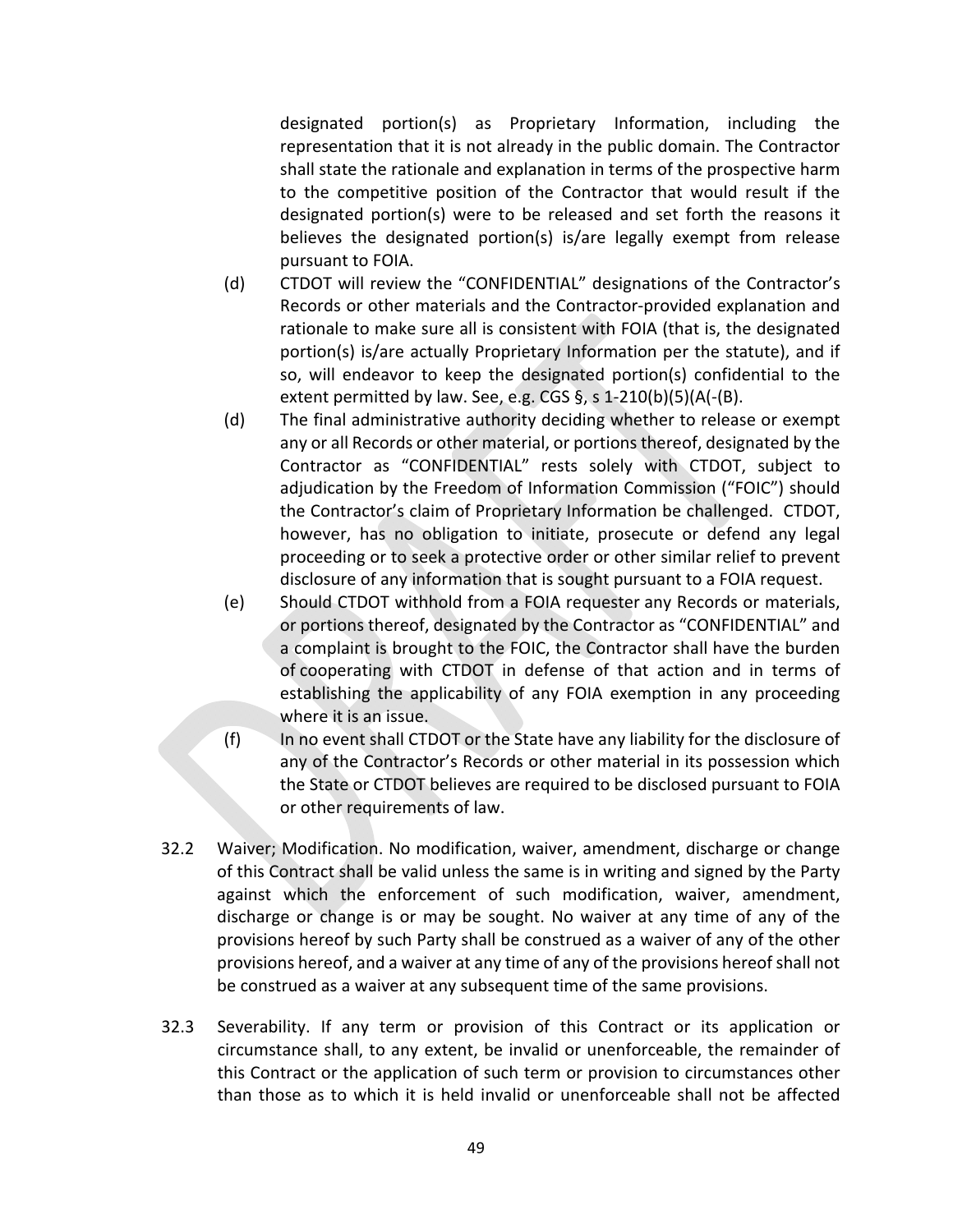designated portion(s) as Proprietary Information, including the representation that it is not already in the public domain. The Contractor shall state the rationale and explanation in terms of the prospective harm to the competitive position of the Contractor that would result if the designated portion(s) were to be released and set forth the reasons it believes the designated portion(s) is/are legally exempt from release pursuant to FOIA.

- (d) CTDOT will review the "CONFIDENTIAL" designations of the Contractor's Records or other materials and the Contractor‐provided explanation and rationale to make sure all is consistent with FOIA (that is, the designated portion(s) is/are actually Proprietary Information per the statute), and if so, will endeavor to keep the designated portion(s) confidential to the extent permitted by law. See, e.g. CGS §, s 1‐210(b)(5)(A(‐(B).
- (d) The final administrative authority deciding whether to release or exempt any or all Records or other material, or portions thereof, designated by the Contractor as "CONFIDENTIAL" rests solely with CTDOT, subject to adjudication by the Freedom of Information Commission ("FOIC") should the Contractor's claim of Proprietary Information be challenged. CTDOT, however, has no obligation to initiate, prosecute or defend any legal proceeding or to seek a protective order or other similar relief to prevent disclosure of any information that is sought pursuant to a FOIA request.
- (e) Should CTDOT withhold from a FOIA requester any Records or materials, or portions thereof, designated by the Contractor as "CONFIDENTIAL" and a complaint is brought to the FOIC, the Contractor shall have the burden of cooperating with CTDOT in defense of that action and in terms of establishing the applicability of any FOIA exemption in any proceeding where it is an issue.
- (f) In no event shall CTDOT or the State have any liability for the disclosure of any of the Contractor's Records or other material in its possession which the State or CTDOT believes are required to be disclosed pursuant to FOIA or other requirements of law.
- 32.2 Waiver; Modification. No modification, waiver, amendment, discharge or change of this Contract shall be valid unless the same is in writing and signed by the Party against which the enforcement of such modification, waiver, amendment, discharge or change is or may be sought. No waiver at any time of any of the provisions hereof by such Party shall be construed as a waiver of any of the other provisions hereof, and a waiver at any time of any of the provisions hereof shall not be construed as a waiver at any subsequent time of the same provisions.
- 32.3 Severability. If any term or provision of this Contract or its application or circumstance shall, to any extent, be invalid or unenforceable, the remainder of this Contract or the application of such term or provision to circumstances other than those as to which it is held invalid or unenforceable shall not be affected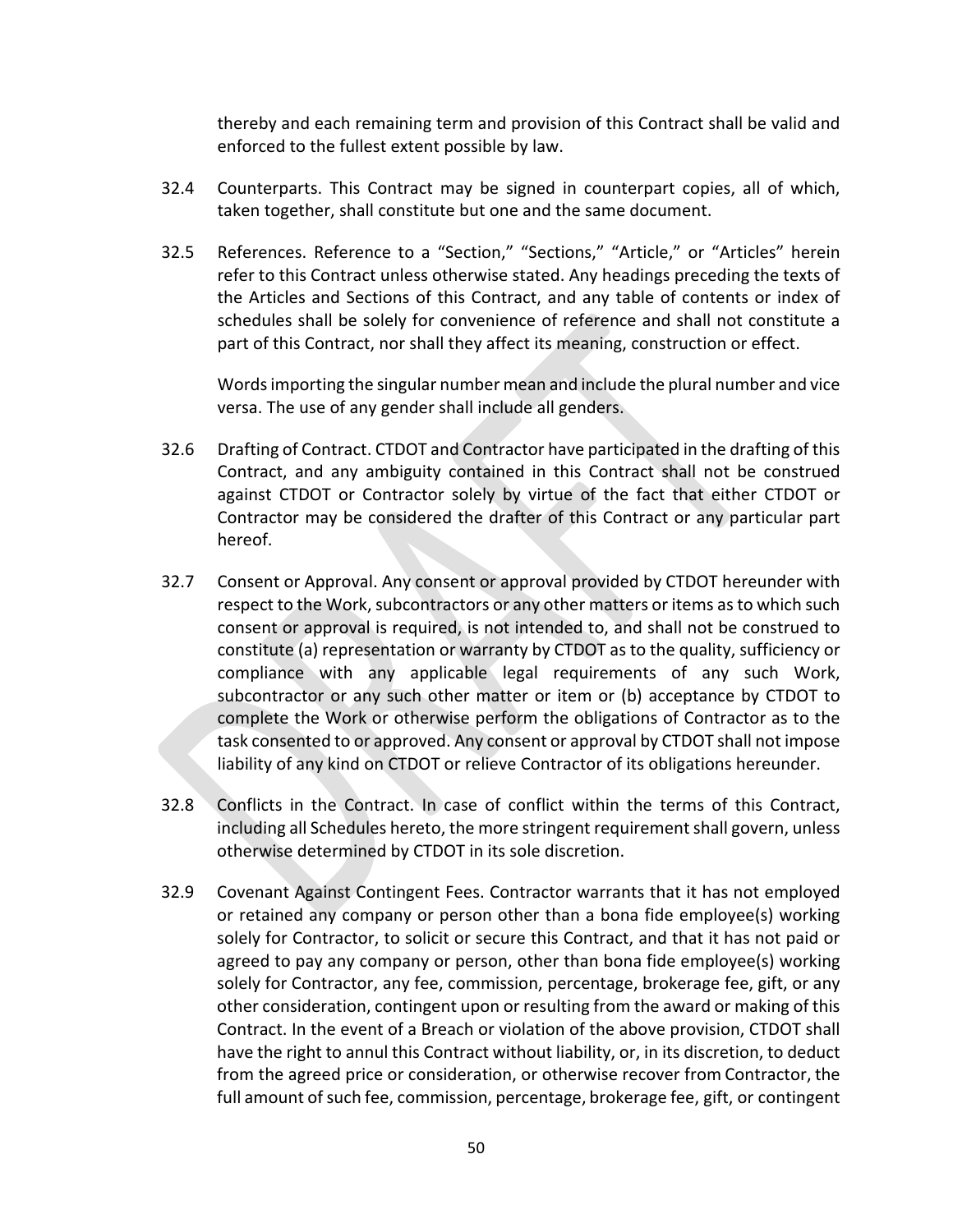thereby and each remaining term and provision of this Contract shall be valid and enforced to the fullest extent possible by law.

- 32.4 Counterparts. This Contract may be signed in counterpart copies, all of which, taken together, shall constitute but one and the same document.
- 32.5 References. Reference to a "Section," "Sections," "Article," or "Articles" herein refer to this Contract unless otherwise stated. Any headings preceding the texts of the Articles and Sections of this Contract, and any table of contents or index of schedules shall be solely for convenience of reference and shall not constitute a part of this Contract, nor shall they affect its meaning, construction or effect.

Words importing the singular number mean and include the plural number and vice versa. The use of any gender shall include all genders.

- 32.6 Drafting of Contract. CTDOT and Contractor have participated in the drafting of this Contract, and any ambiguity contained in this Contract shall not be construed against CTDOT or Contractor solely by virtue of the fact that either CTDOT or Contractor may be considered the drafter of this Contract or any particular part hereof.
- 32.7 Consent or Approval. Any consent or approval provided by CTDOT hereunder with respect to the Work, subcontractors or any other matters or items as to which such consent or approval is required, is not intended to, and shall not be construed to constitute (a) representation or warranty by CTDOT as to the quality, sufficiency or compliance with any applicable legal requirements of any such Work, subcontractor or any such other matter or item or (b) acceptance by CTDOT to complete the Work or otherwise perform the obligations of Contractor as to the task consented to or approved. Any consent or approval by CTDOT shall not impose liability of any kind on CTDOT or relieve Contractor of its obligations hereunder.
- 32.8 Conflicts in the Contract. In case of conflict within the terms of this Contract, including all Schedules hereto, the more stringent requirement shall govern, unless otherwise determined by CTDOT in its sole discretion.
- 32.9 Covenant Against Contingent Fees. Contractor warrants that it has not employed or retained any company or person other than a bona fide employee(s) working solely for Contractor, to solicit or secure this Contract, and that it has not paid or agreed to pay any company or person, other than bona fide employee(s) working solely for Contractor, any fee, commission, percentage, brokerage fee, gift, or any other consideration, contingent upon or resulting from the award or making of this Contract. In the event of a Breach or violation of the above provision, CTDOT shall have the right to annul this Contract without liability, or, in its discretion, to deduct from the agreed price or consideration, or otherwise recover from Contractor, the full amount of such fee, commission, percentage, brokerage fee, gift, or contingent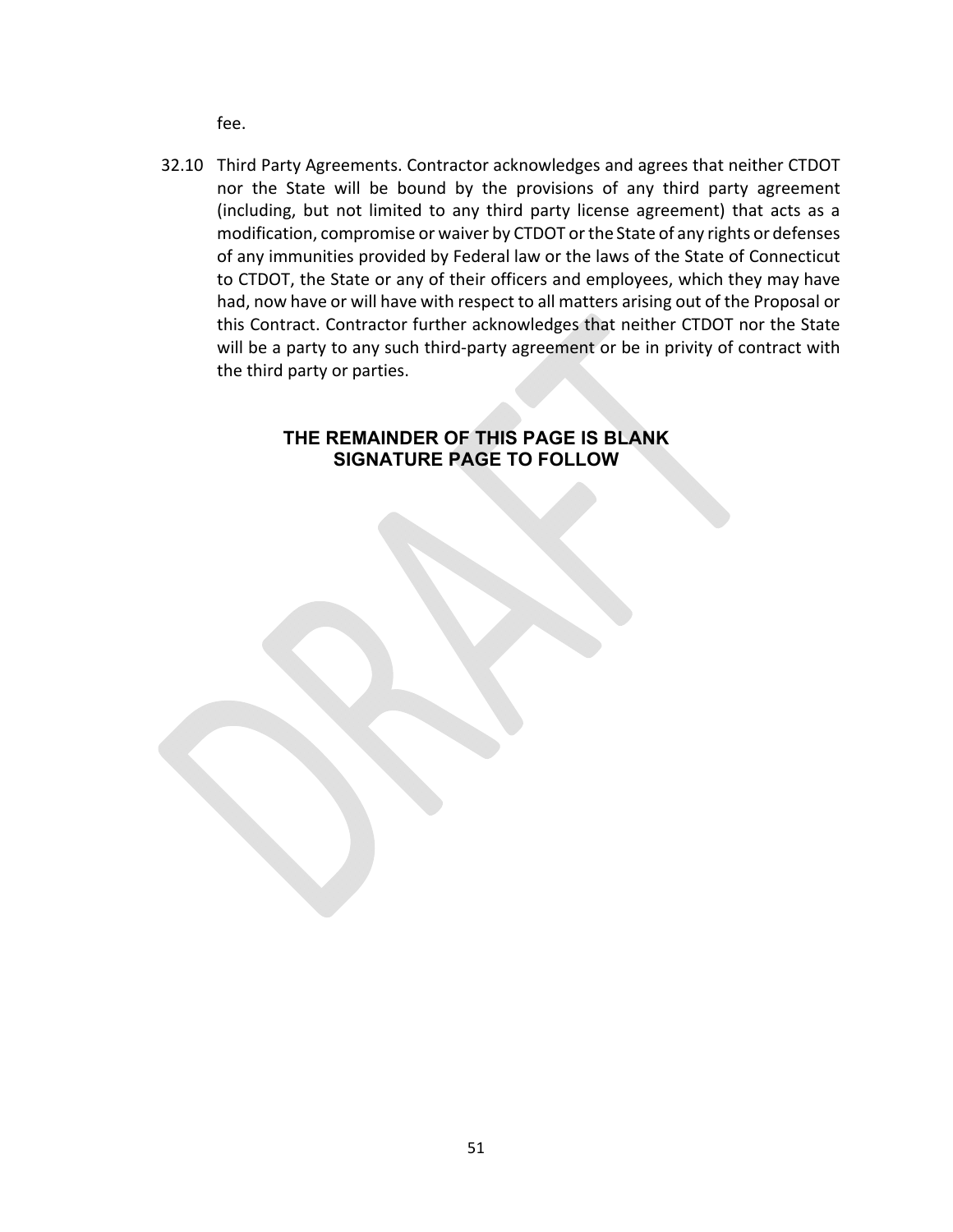fee.

32.10 Third Party Agreements. Contractor acknowledges and agrees that neither CTDOT nor the State will be bound by the provisions of any third party agreement (including, but not limited to any third party license agreement) that acts as a modification, compromise or waiver by CTDOT or the State of any rights or defenses of any immunities provided by Federal law or the laws of the State of Connecticut to CTDOT, the State or any of their officers and employees, which they may have had, now have or will have with respect to all matters arising out of the Proposal or this Contract. Contractor further acknowledges that neither CTDOT nor the State will be a party to any such third-party agreement or be in privity of contract with the third party or parties.

## **THE REMAINDER OF THIS PAGE IS BLANK SIGNATURE PAGE TO FOLLOW**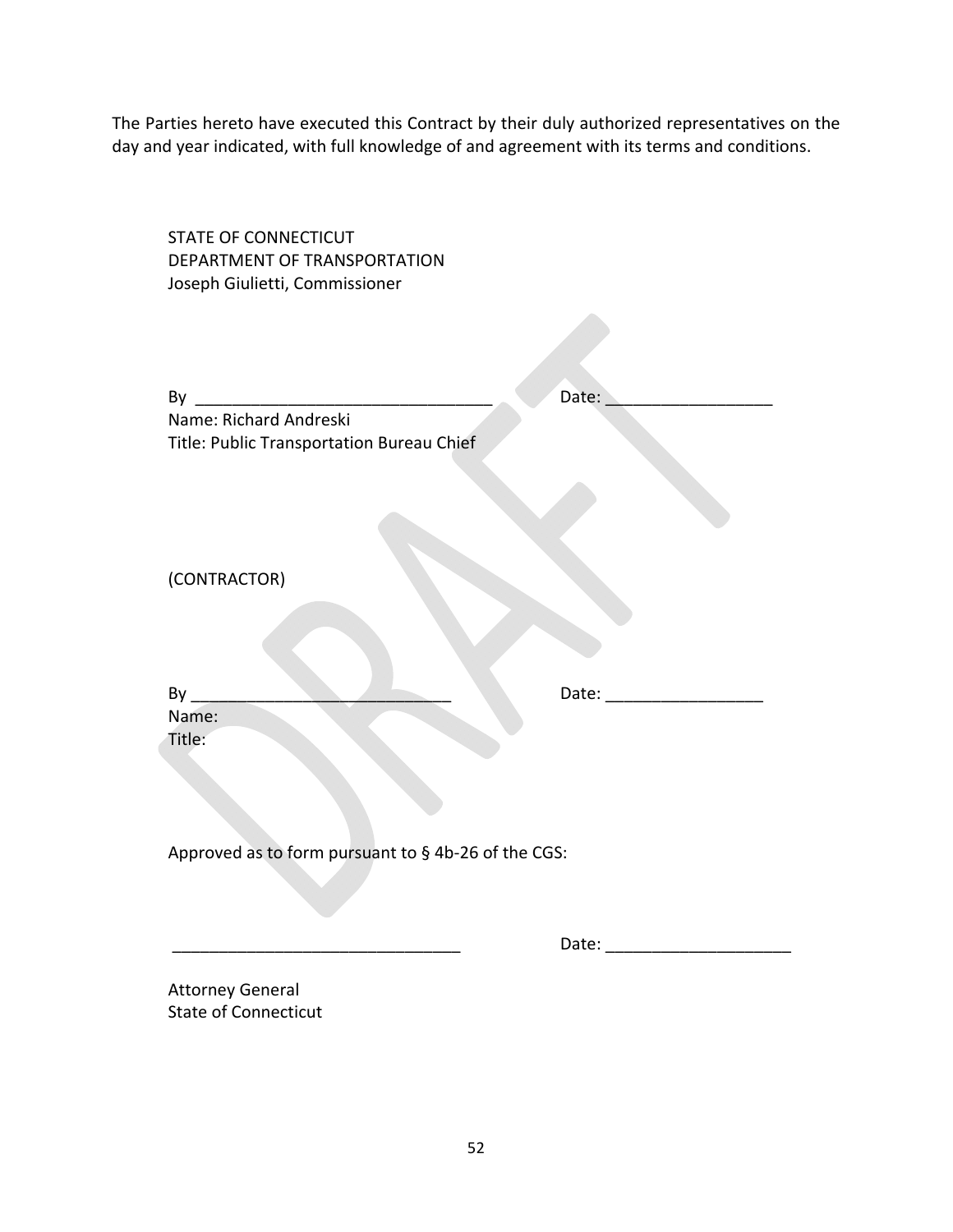The Parties hereto have executed this Contract by their duly authorized representatives on the day and year indicated, with full knowledge of and agreement with its terms and conditions.

| <b>STATE OF CONNECTICUT</b><br>DEPARTMENT OF TRANSPORTATION |                           |
|-------------------------------------------------------------|---------------------------|
| Joseph Giulietti, Commissioner                              |                           |
|                                                             |                           |
|                                                             | Date:                     |
|                                                             |                           |
| Title: Public Transportation Bureau Chief                   |                           |
| (CONTRACTOR)                                                |                           |
| Name:<br>Title:                                             | Date: ___________________ |
| Approved as to form pursuant to § 4b-26 of the CGS:         |                           |
|                                                             |                           |
|                                                             |                           |
| <b>Attorney General</b><br><b>State of Connecticut</b>      |                           |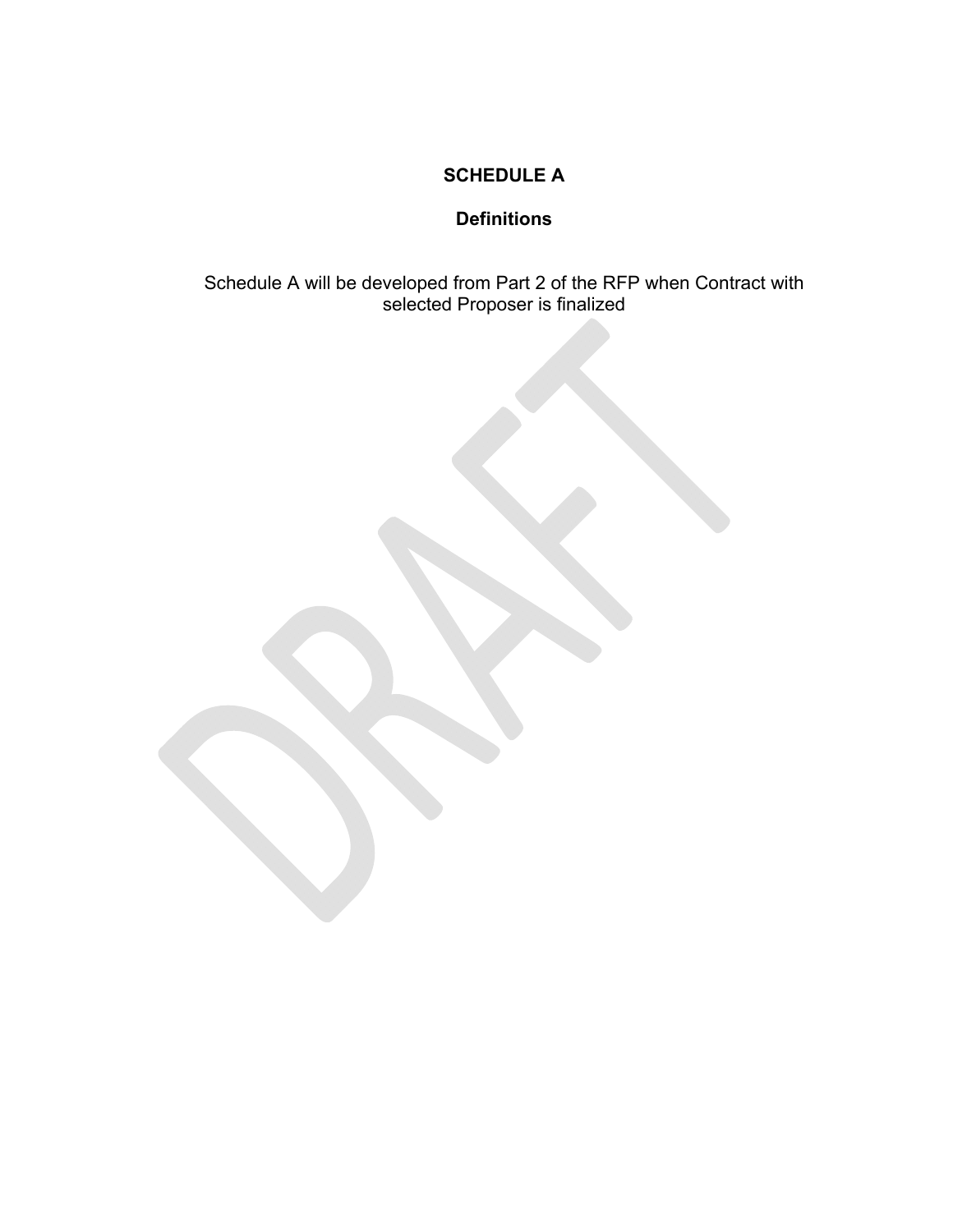## **SCHEDULE A**

## **Definitions**

Schedule A will be developed from Part 2 of the RFP when Contract with selected Proposer is finalized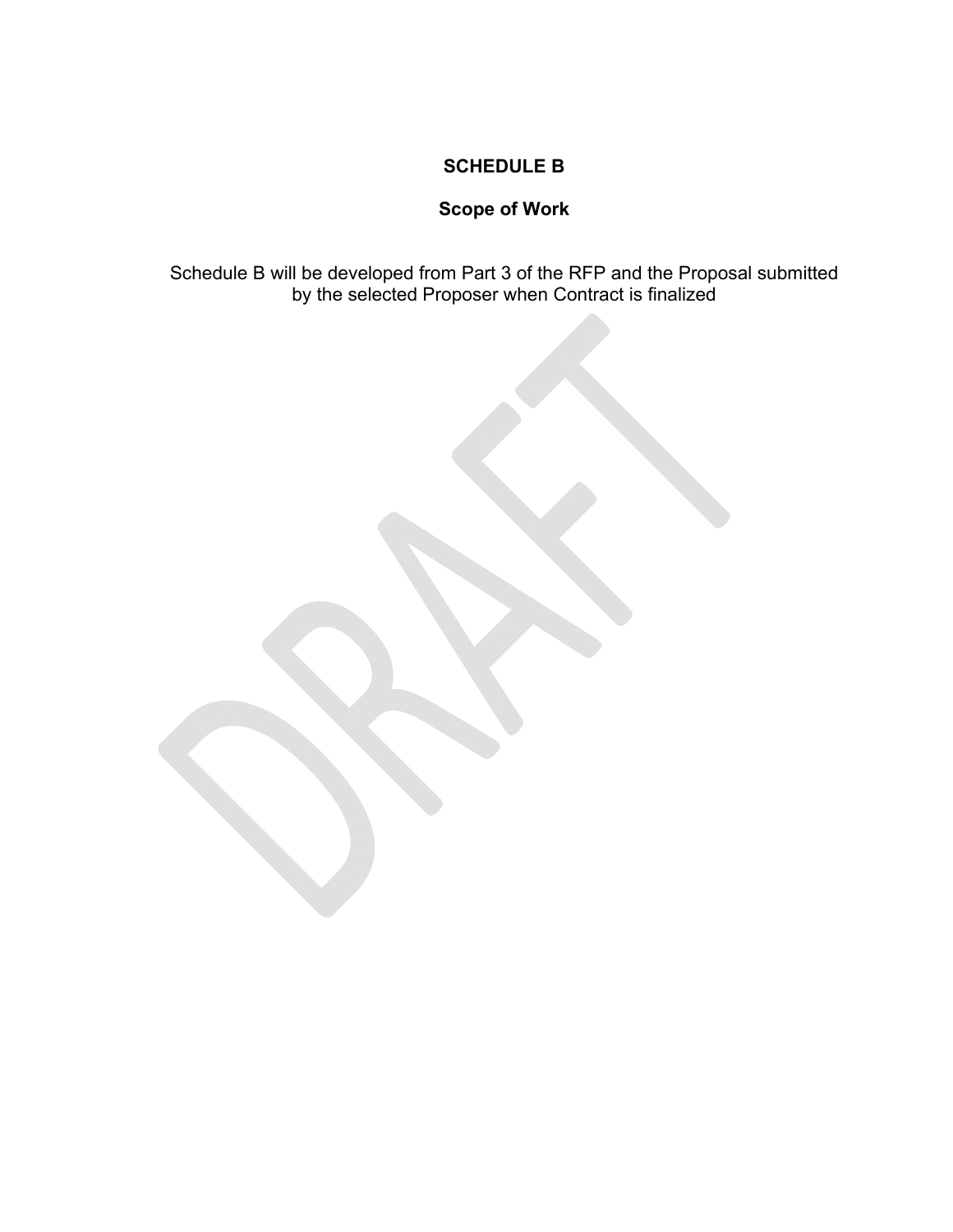## **SCHEDULE B**

## **Scope of Work**

Schedule B will be developed from Part 3 of the RFP and the Proposal submitted by the selected Proposer when Contract is finalized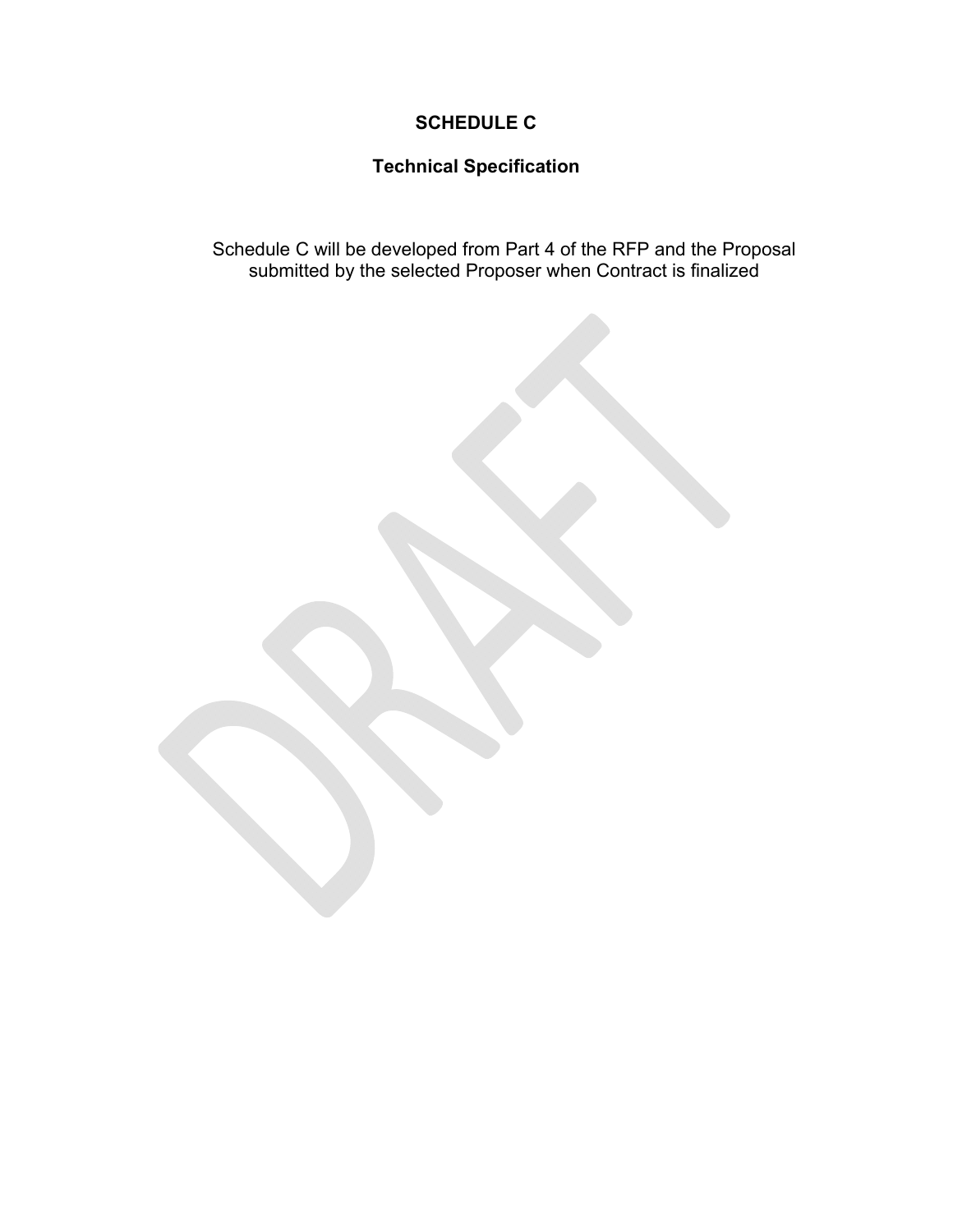## **SCHEDULE C**

## **Technical Specification**

Schedule C will be developed from Part 4 of the RFP and the Proposal submitted by the selected Proposer when Contract is finalized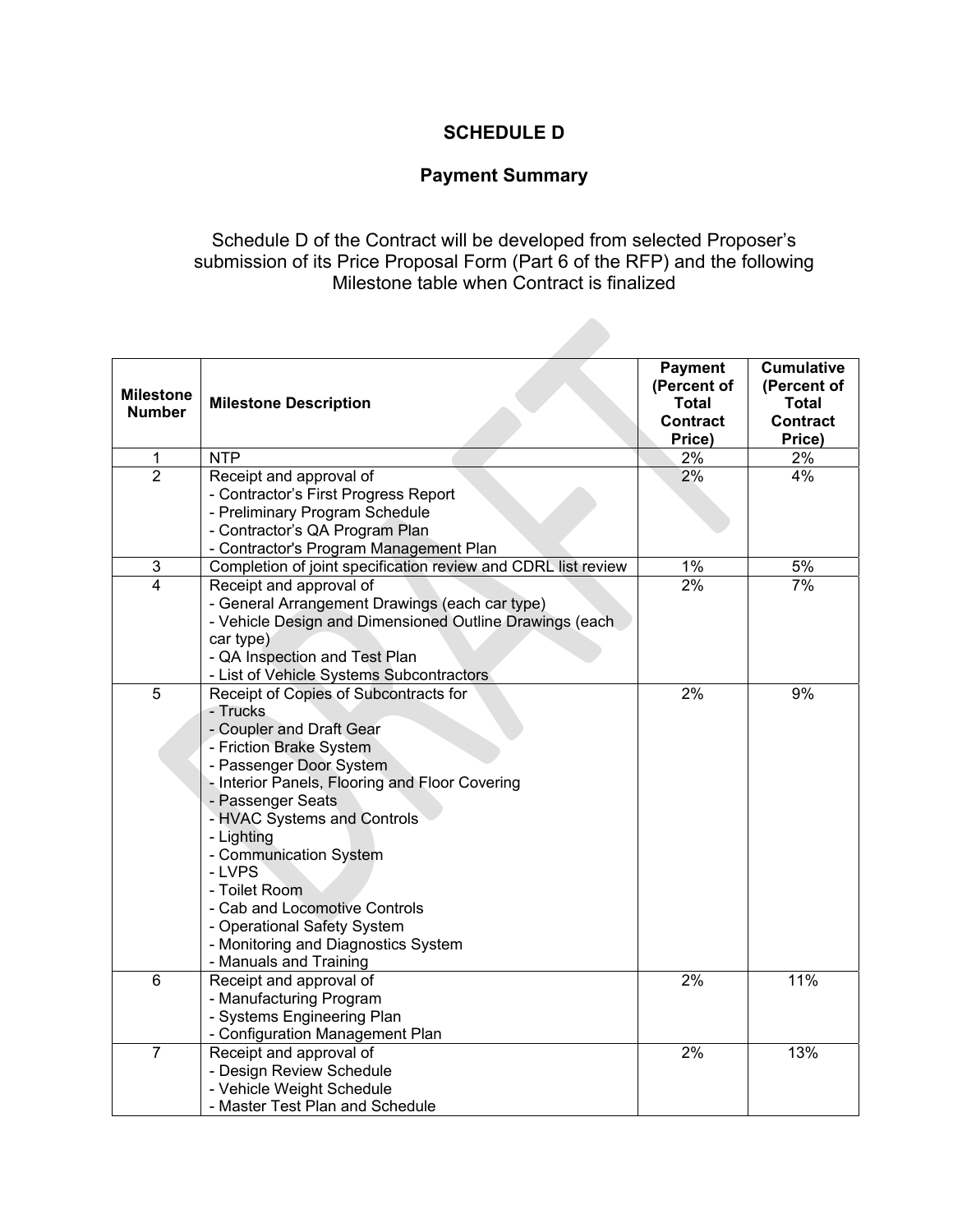## **SCHEDULE D**

## **Payment Summary**

## Schedule D of the Contract will be developed from selected Proposer's submission of its Price Proposal Form (Part 6 of the RFP) and the following Milestone table when Contract is finalized

| <b>Milestone</b><br><b>Number</b> | <b>Milestone Description</b>                                  | <b>Payment</b><br>(Percent of<br><b>Total</b><br><b>Contract</b><br>Price) | <b>Cumulative</b><br>(Percent of<br><b>Total</b><br><b>Contract</b><br>Price) |
|-----------------------------------|---------------------------------------------------------------|----------------------------------------------------------------------------|-------------------------------------------------------------------------------|
| 1                                 | <b>NTP</b>                                                    | 2%                                                                         | 2%                                                                            |
| $\overline{2}$                    | Receipt and approval of                                       | 2%                                                                         | 4%                                                                            |
|                                   | - Contractor's First Progress Report                          |                                                                            |                                                                               |
|                                   | - Preliminary Program Schedule                                |                                                                            |                                                                               |
|                                   | - Contractor's QA Program Plan                                |                                                                            |                                                                               |
|                                   | - Contractor's Program Management Plan                        |                                                                            |                                                                               |
| $\ensuremath{\mathsf{3}}$         | Completion of joint specification review and CDRL list review | 1%                                                                         | 5%                                                                            |
| $\overline{\mathbf{4}}$           | Receipt and approval of                                       | 2%                                                                         | 7%                                                                            |
|                                   | - General Arrangement Drawings (each car type)                |                                                                            |                                                                               |
|                                   | - Vehicle Design and Dimensioned Outline Drawings (each       |                                                                            |                                                                               |
|                                   | car type)                                                     |                                                                            |                                                                               |
|                                   | - QA Inspection and Test Plan                                 |                                                                            |                                                                               |
|                                   | - List of Vehicle Systems Subcontractors                      |                                                                            |                                                                               |
| 5                                 | Receipt of Copies of Subcontracts for<br>- Trucks             | 2%                                                                         | 9%                                                                            |
|                                   | - Coupler and Draft Gear                                      |                                                                            |                                                                               |
|                                   | - Friction Brake System                                       |                                                                            |                                                                               |
|                                   | - Passenger Door System                                       |                                                                            |                                                                               |
|                                   | - Interior Panels, Flooring and Floor Covering                |                                                                            |                                                                               |
|                                   | - Passenger Seats                                             |                                                                            |                                                                               |
|                                   | - HVAC Systems and Controls                                   |                                                                            |                                                                               |
|                                   | - Lighting                                                    |                                                                            |                                                                               |
|                                   | - Communication System                                        |                                                                            |                                                                               |
|                                   | - LVPS                                                        |                                                                            |                                                                               |
|                                   | - Toilet Room                                                 |                                                                            |                                                                               |
|                                   | - Cab and Locomotive Controls                                 |                                                                            |                                                                               |
|                                   | - Operational Safety System                                   |                                                                            |                                                                               |
|                                   | - Monitoring and Diagnostics System                           |                                                                            |                                                                               |
|                                   | - Manuals and Training                                        |                                                                            |                                                                               |
| $\overline{6}$                    | Receipt and approval of                                       | 2%                                                                         | 11%                                                                           |
|                                   | - Manufacturing Program                                       |                                                                            |                                                                               |
|                                   | - Systems Engineering Plan                                    |                                                                            |                                                                               |
|                                   | - Configuration Management Plan                               |                                                                            |                                                                               |
| $\overline{7}$                    | Receipt and approval of                                       | 2%                                                                         | 13%                                                                           |
|                                   | - Design Review Schedule                                      |                                                                            |                                                                               |
|                                   | - Vehicle Weight Schedule                                     |                                                                            |                                                                               |
|                                   | - Master Test Plan and Schedule                               |                                                                            |                                                                               |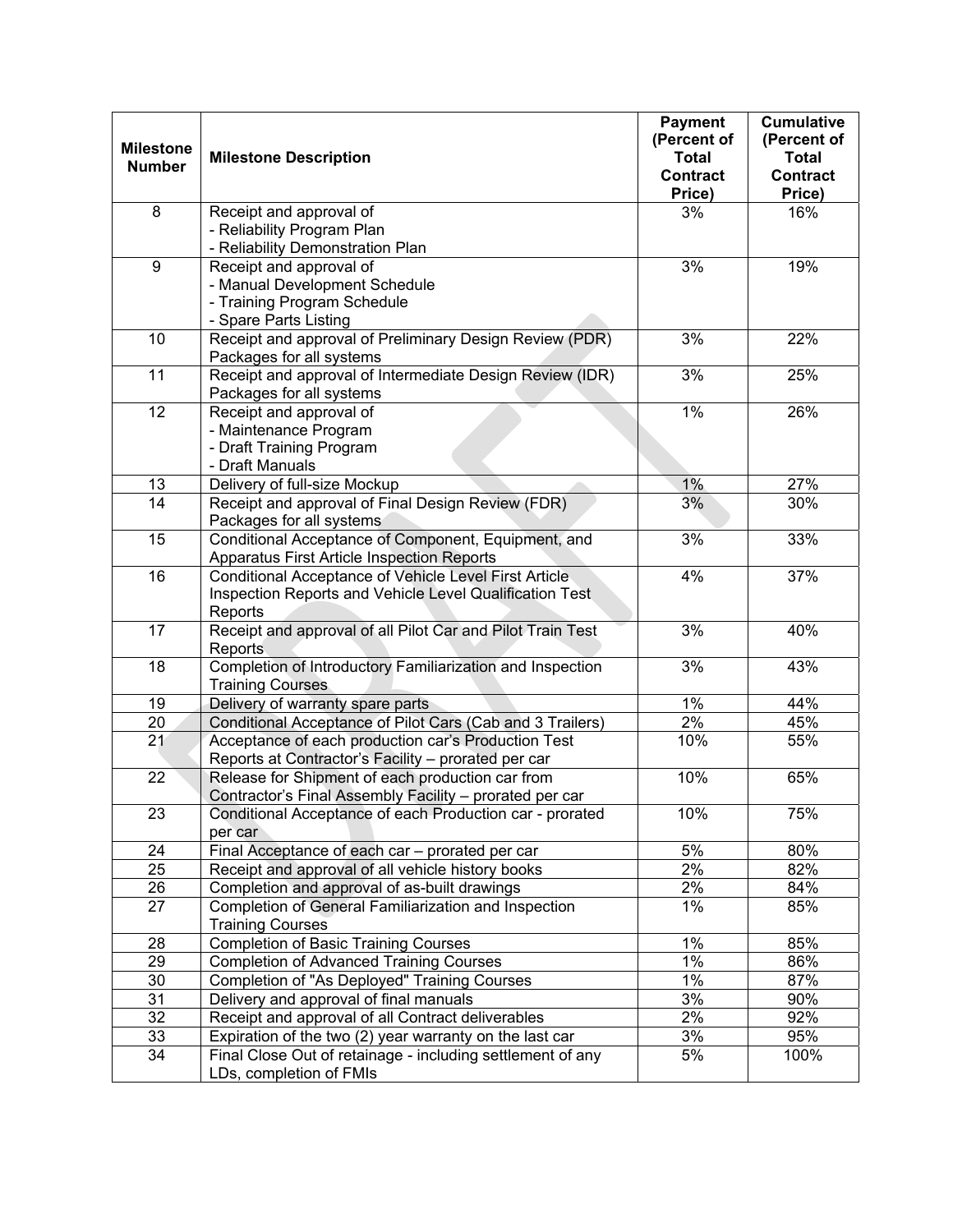| <b>Milestone</b><br><b>Number</b> | <b>Milestone Description</b>                                                                                                | <b>Payment</b><br>(Percent of<br><b>Total</b><br><b>Contract</b><br>Price) | <b>Cumulative</b><br>(Percent of<br><b>Total</b><br><b>Contract</b><br>Price) |
|-----------------------------------|-----------------------------------------------------------------------------------------------------------------------------|----------------------------------------------------------------------------|-------------------------------------------------------------------------------|
| 8                                 | Receipt and approval of<br>- Reliability Program Plan<br>- Reliability Demonstration Plan                                   | 3%                                                                         | 16%                                                                           |
| $\boldsymbol{9}$                  | Receipt and approval of<br>- Manual Development Schedule<br>- Training Program Schedule<br>- Spare Parts Listing            | 3%                                                                         | 19%                                                                           |
| 10                                | Receipt and approval of Preliminary Design Review (PDR)<br>Packages for all systems                                         | 3%                                                                         | 22%                                                                           |
| 11                                | Receipt and approval of Intermediate Design Review (IDR)<br>Packages for all systems                                        | 3%                                                                         | 25%                                                                           |
| 12                                | Receipt and approval of<br>- Maintenance Program<br>- Draft Training Program<br>- Draft Manuals                             | 1%                                                                         | 26%                                                                           |
| 13                                | Delivery of full-size Mockup                                                                                                | 1%                                                                         | 27%                                                                           |
| $\overline{14}$                   | Receipt and approval of Final Design Review (FDR)<br>Packages for all systems                                               | 3%                                                                         | 30%                                                                           |
| 15                                | Conditional Acceptance of Component, Equipment, and<br>Apparatus First Article Inspection Reports                           | 3%                                                                         | 33%                                                                           |
| 16                                | Conditional Acceptance of Vehicle Level First Article<br>Inspection Reports and Vehicle Level Qualification Test<br>Reports | 4%                                                                         | 37%                                                                           |
| 17                                | Receipt and approval of all Pilot Car and Pilot Train Test<br>Reports                                                       | 3%                                                                         | 40%                                                                           |
| 18                                | Completion of Introductory Familiarization and Inspection<br><b>Training Courses</b>                                        | 3%                                                                         | 43%                                                                           |
| 19                                | Delivery of warranty spare parts                                                                                            | 1%                                                                         | 44%                                                                           |
| 20                                | Conditional Acceptance of Pilot Cars (Cab and 3 Trailers)                                                                   | 2%                                                                         | 45%                                                                           |
| 21                                | Acceptance of each production car's Production Test<br>Reports at Contractor's Facility - prorated per car                  | 10%                                                                        | 55%                                                                           |
| 22                                | Release for Shipment of each production car from<br>Contractor's Final Assembly Facility - prorated per car                 | 10%                                                                        | 65%                                                                           |
| 23                                | Conditional Acceptance of each Production car - prorated<br>per car                                                         | 10%                                                                        | 75%                                                                           |
| 24                                | Final Acceptance of each car - prorated per car                                                                             | 5%                                                                         | 80%                                                                           |
| 25                                | Receipt and approval of all vehicle history books                                                                           | $2\%$                                                                      | 82%                                                                           |
| 26                                | Completion and approval of as-built drawings                                                                                | 2%                                                                         | 84%                                                                           |
| 27                                | Completion of General Familiarization and Inspection<br><b>Training Courses</b>                                             | 1%                                                                         | 85%                                                                           |
| 28                                | <b>Completion of Basic Training Courses</b>                                                                                 | $1\%$                                                                      | 85%                                                                           |
| 29                                | <b>Completion of Advanced Training Courses</b>                                                                              | 1%                                                                         | 86%                                                                           |
| 30                                | Completion of "As Deployed" Training Courses                                                                                | 1%                                                                         | 87%                                                                           |
| 31                                | Delivery and approval of final manuals                                                                                      | 3%                                                                         | 90%                                                                           |
| 32                                | Receipt and approval of all Contract deliverables                                                                           | 2%                                                                         | 92%                                                                           |
| 33                                | Expiration of the two (2) year warranty on the last car                                                                     | 3%                                                                         | 95%                                                                           |
| 34                                | Final Close Out of retainage - including settlement of any<br>LDs, completion of FMIs                                       | 5%                                                                         | 100%                                                                          |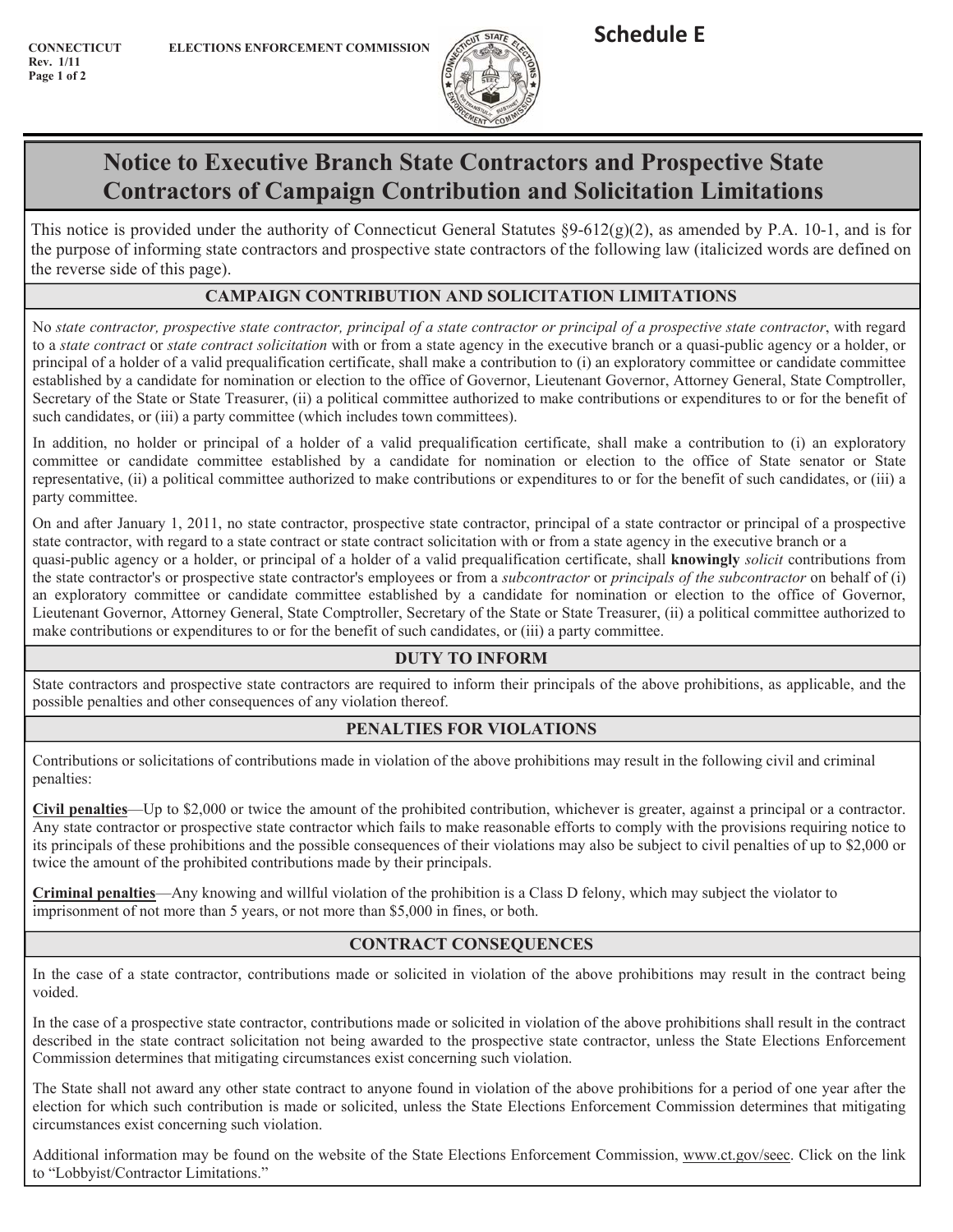**CONNECTICUT E Rev.** 1/11 **Page 1 of 2** 



# **Notice to Executive Branch State Contractors and Prospective State Contractors of Campaign Contribution and Solicitation Limitations**

This notice is provided under the authority of Connecticut General Statutes  $\S 9-612(g)(2)$ , as amended by P.A. 10-1, and is for the purpose of informing state contractors and prospective state contractors of the following law (italicized words are defined on the reverse side of this page).

## **CAMPAIGN CONTRIBUTION AND SOLICITATION LIMITATIONS**

No state contractor, prospective state contractor, principal of a prospective state contractor, with regard to a *state contract* or *state contract solicitation* with or from a state agency in the executive branch or a quasi-public agency or a holder, or principal of a holder of a valid prequalification certificate, shall make a contribution to (i) an exploratory committee or candidate committee established by a candidate for nomination or election to the office of Governor, Lieutenant Governor, Attorney General, State Comptroller, Secretary of the State or State Treasurer, (ii) a political committee authorized to make contributions or expenditures to or for the benefit of such candidates, or (iii) a party committee (which includes town committees).

In addition, no holder or principal of a holder of a valid prequalification certificate, shall make a contribution to (i) an exploratory committee or candidate committee established by a candidate for nomination or election to the office of State senator or State representative, (ii) a political committee authorized to make contributions or expenditures to or for the benefit of such candidates, or (iii) a party committee.

On and after January 1, 2011, no state contractor, prospective state contractor, principal of a state contractor or principal of a prospective state contractor, with regard to a state contract or state contract solicitation with or from a state agency in the executive branch or a quasi-public agency or a holder, or principal of a holder of a valid prequalification certificate, shall knowingly *solicit* contributions from the state contractor's or prospective state contractor's employees or from a *subcontractor* or *principals of the subcontractor* on behalf of (i) an exploratory committee or candidate committee established by a candidate for nomination or election to the office of Governor, Lieutenant Governor, Attorney General, State Comptroller, Secretary of the State or State Treasurer, (ii) a political committee authorized to make contributions or expenditures to or for the benefit of such candidates, or (iii) a party committee.

## **DUTY TO INFORM**

State contractors and prospective state contractors are required to inform their principals of the above prohibitions, as applicable, and the possible penalties and other consequences of any violation thereof.

## **PENALTIES FOR VIOLATIONS**

Contributions or solicitations of contributions made in violation of the above prohibitions may result in the following civil and criminal penalties:

Civil penalties—Up to \$2,000 or twice the amount of the prohibited contribution, whichever is greater, against a principal or a contractor. Any state contractor or prospective state contractor which fails to make reasonable efforts to comply with the provisions requiring notice to its principals of these prohibitions and the possible consequences of their violations may also be subject to civil penalties of up to \$2,000 or twice the amount of the prohibited contributions made by their principals.

**Criminal penalties—Any knowing and willful violation of the prohibition is a Class D felony, which may subject the violator to** imprisonment of not more than 5 years, or not more than \$5,000 in fines, or both.

## **CONTRACT CONSEQUENCES**

In the case of a state contractor, contributions made or solicited in violation of the above prohibitions may result in the contract being voided.

In the case of a prospective state contractor, contributions made or solicited in violation of the above prohibitions shall result in the contract described in the state contract solicitation not being awarded to the prospective state contractor, unless the State Elections Enforcement Commission determines that mitigating circumstances exist concerning such violation.

The State shall not award any other state contract to anyone found in violation of the above prohibitions for a period of one year after the election for which such contribution is made or solicited, unless the State Elections Enforcement Commission determines that mitigating circumstances exist concerning such violation.

Additional information may be found on the website of the State Elections Enforcement Commission, www.ct.gov/seec. Click on the link to "Lobbyist/Contractor Limitations."